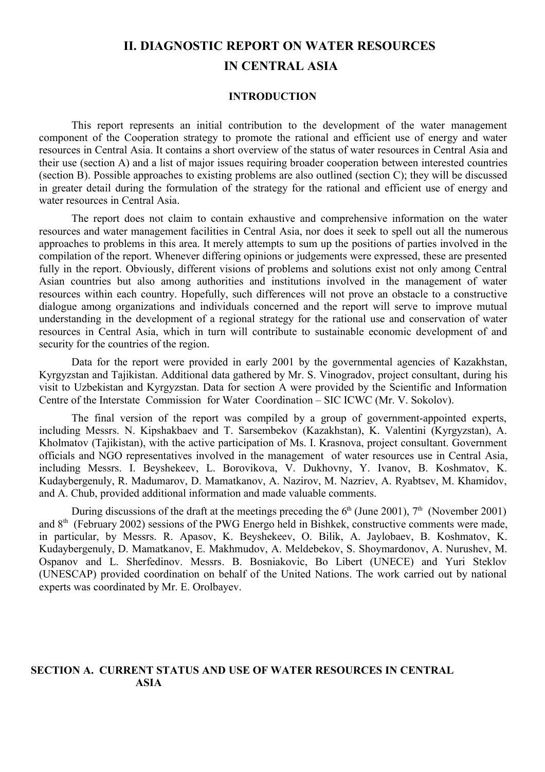# **II. DIAGNOSTIC REPORT ON WATER RESOURCES IN CENTRAL ASIA**

### **INTRODUCTION**

This report represents an initial contribution to the development of the water management component of the Cooperation strategy to promote the rational and efficient use of energy and water resources in Central Asia. It contains a short overview of the status of water resources in Central Asia and their use (section A) and a list of major issues requiring broader cooperation between interested countries (section B). Possible approaches to existing problems are also outlined (section C); they will be discussed in greater detail during the formulation of the strategy for the rational and efficient use of energy and water resources in Central Asia.

The report does not claim to contain exhaustive and comprehensive information on the water resources and water management facilities in Central Asia, nor does it seek to spell out all the numerous approaches to problems in this area. It merely attempts to sum up the positions of parties involved in the compilation of the report. Whenever differing opinions or judgements were expressed, these are presented fully in the report. Obviously, different visions of problems and solutions exist not only among Central Asian countries but also among authorities and institutions involved in the management of water resources within each country. Hopefully, such differences will not prove an obstacle to a constructive dialogue among organizations and individuals concerned and the report will serve to improve mutual understanding in the development of a regional strategy for the rational use and conservation of water resources in Central Asia, which in turn will contribute to sustainable economic development of and security for the countries of the region.

Data for the report were provided in early 2001 by the governmental agencies of Kazakhstan, Kyrgyzstan and Tajikistan. Additional data gathered by Mr. S. Vinogradov, project consultant, during his visit to Uzbekistan and Kyrgyzstan. Data for section A were provided by the Scientific and Information Centre of the Interstate Commission for Water Coordination – SIC ICWC (Mr. V. Sokolov).

The final version of the report was compiled by a group of government-appointed experts, including Messrs. N. Kipshakbaev and T. Sarsembekov (Kazakhstan), K. Valentini (Kyrgyzstan), A. Kholmatov (Tajikistan), with the active participation of Ms. I. Krasnova, project consultant. Government officials and NGO representatives involved in the management of water resources use in Central Asia, including Messrs. I. Beyshekeev, L. Borovikova, V. Dukhovny, Y. Ivanov, B. Koshmatov, K. Kudaybergenuly, R. Madumarov, D. Mamatkanov, A. Nazirov, M. Nazriev, A. Ryabtsev, M. Khamidov, and A. Chub, provided additional information and made valuable comments.

During discussions of the draft at the meetings preceding the  $6<sup>th</sup>$  (June 2001),  $7<sup>th</sup>$  (November 2001) and 8<sup>th</sup> (February 2002) sessions of the PWG Energo held in Bishkek, constructive comments were made, in particular, by Messrs. R. Apasov, K. Beyshekeev, O. Bilik, A. Jaylobaev, B. Koshmatov, K. Kudaybergenuly, D. Mamatkanov, E. Makhmudov, A. Meldebekov, S. Shoymardonov, A. Nurushev, M. Ospanov and L. Sherfedinov. Messrs. B. Bosniakovic, Bo Libert (UNECE) and Yuri Steklov (UNESCAP) provided coordination on behalf of the United Nations. The work carried out by national experts was coordinated by Mr. E. Orolbayev.

#### **SECTION A. CURRENT STATUS AND USE OF WATER RESOURCES IN CENTRAL ASIA**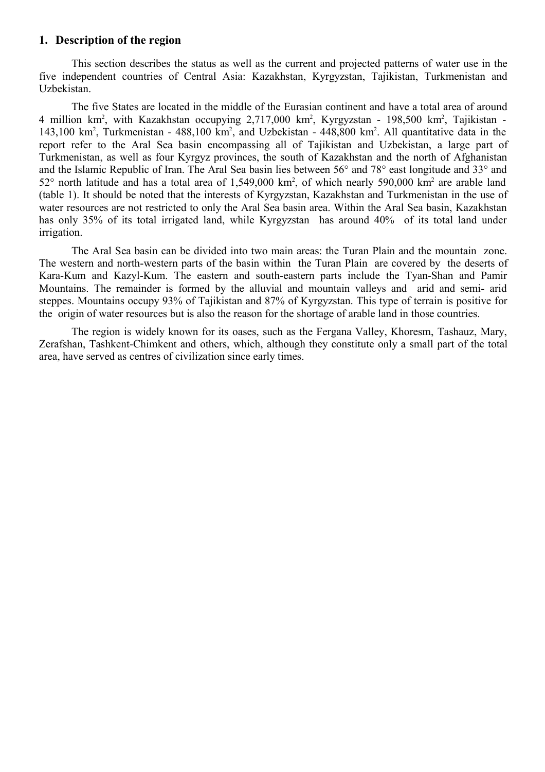### **1. Description of the region**

This section describes the status as well as the current and projected patterns of water use in the five independent countries of Central Asia: Kazakhstan, Kyrgyzstan, Tajikistan, Turkmenistan and Uzbekistan.

The five States are located in the middle of the Eurasian continent and have a total area of around 4 million km<sup>2</sup>, with Kazakhstan occupying 2,717,000 km<sup>2</sup>, Kyrgyzstan - 198,500 km<sup>2</sup>, Tajikistan -143,100 km<sup>2</sup>, Turkmenistan - 488,100 km<sup>2</sup>, and Uzbekistan - 448,800 km<sup>2</sup>. All quantitative data in the report refer to the Aral Sea basin encompassing all of Tajikistan and Uzbekistan, a large part of Turkmenistan, as well as four Kyrgyz provinces, the south of Kazakhstan and the north of Afghanistan and the Islamic Republic of Iran. The Aral Sea basin lies between 56° and 78° east longitude and 33° and  $52^{\circ}$  north latitude and has a total area of 1,549,000 km<sup>2</sup>, of which nearly 590,000 km<sup>2</sup> are arable land (table 1). It should be noted that the interests of Kyrgyzstan, Kazakhstan and Turkmenistan in the use of water resources are not restricted to only the Aral Sea basin area. Within the Aral Sea basin, Kazakhstan has only 35% of its total irrigated land, while Kyrgyzstan has around 40% of its total land under irrigation.

The Aral Sea basin can be divided into two main areas: the Turan Plain and the mountain zone. The western and north-western parts of the basin within the Turan Plain are covered by the deserts of Kara-Kum and Kazyl-Kum. The eastern and south-eastern parts include the Tyan-Shan and Pamir Mountains. The remainder is formed by the alluvial and mountain valleys and arid and semi- arid steppes. Mountains occupy 93% of Tajikistan and 87% of Kyrgyzstan. This type of terrain is positive for the origin of water resources but is also the reason for the shortage of arable land in those countries.

The region is widely known for its oases, such as the Fergana Valley, Khoresm, Tashauz, Mary, Zerafshan, Tashkent-Chimkent and others, which, although they constitute only a small part of the total area, have served as centres of civilization since early times.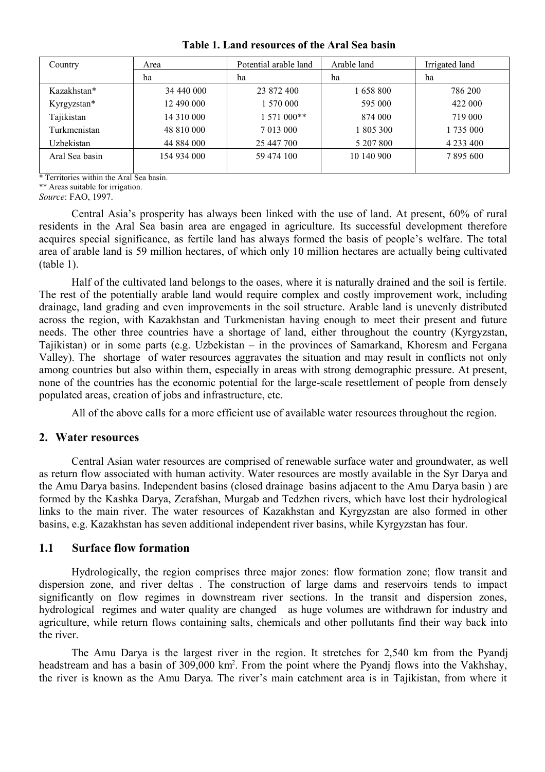| Country        | Area        | Potential arable land | Arable land | Irrigated land |
|----------------|-------------|-----------------------|-------------|----------------|
|                | ha          | ha                    | ha          | ha             |
| Kazakhstan*    | 34 440 000  | 23 872 400            | 1658800     | 786 200        |
| Kyrgyzstan*    | 12 490 000  | 570 000               | 595 000     | 422 000        |
| Tajikistan     | 14 310 000  | $1.571000**$          | 874 000     | 719 000        |
| Turkmenistan   | 48 810 000  | 7 013 000             | 805 300     | 1735 000       |
| Uzbekistan     | 44 884 000  | 25 447 700            | 5 207 800   | 4 2 3 4 4 0 0  |
| Aral Sea basin | 154 934 000 | 59 474 100            | 10 140 900  | 7 895 600      |
|                |             |                       |             |                |

**Table 1. Land resources of the Aral Sea basin**

\* Territories within the Aral Sea basin.

\*\* Areas suitable for irrigation.

*Source*: FAO, 1997.

Central Asia's prosperity has always been linked with the use of land. At present, 60% of rural residents in the Aral Sea basin area are engaged in agriculture. Its successful development therefore acquires special significance, as fertile land has always formed the basis of people's welfare. The total area of arable land is 59 million hectares, of which only 10 million hectares are actually being cultivated (table 1).

Half of the cultivated land belongs to the oases, where it is naturally drained and the soil is fertile. The rest of the potentially arable land would require complex and costly improvement work, including drainage, land grading and even improvements in the soil structure. Arable land is unevenly distributed across the region, with Kazakhstan and Turkmenistan having enough to meet their present and future needs. The other three countries have a shortage of land, either throughout the country (Kyrgyzstan, Tajikistan) or in some parts (e.g. Uzbekistan – in the provinces of Samarkand, Khoresm and Fergana Valley). The shortage of water resources aggravates the situation and may result in conflicts not only among countries but also within them, especially in areas with strong demographic pressure. At present, none of the countries has the economic potential for the large-scale resettlement of people from densely populated areas, creation of jobs and infrastructure, etc.

All of the above calls for a more efficient use of available water resources throughout the region.

#### **2. Water resources**

Central Asian water resources are comprised of renewable surface water and groundwater, as well as return flow associated with human activity. Water resources are mostly available in the Syr Darya and the Amu Darya basins. Independent basins (closed drainage basins adjacent to the Amu Darya basin ) are formed by the Kashka Darya, Zerafshan, Murgab and Tedzhen rivers, which have lost their hydrological links to the main river. The water resources of Kazakhstan and Kyrgyzstan are also formed in other basins, e.g. Kazakhstan has seven additional independent river basins, while Kyrgyzstan has four.

### **1.1 Surface flow formation**

Hydrologically, the region comprises three major zones: flow formation zone; flow transit and dispersion zone, and river deltas . The construction of large dams and reservoirs tends to impact significantly on flow regimes in downstream river sections. In the transit and dispersion zones, hydrological regimes and water quality are changed as huge volumes are withdrawn for industry and agriculture, while return flows containing salts, chemicals and other pollutants find their way back into the river.

The Amu Darya is the largest river in the region. It stretches for 2,540 km from the Pyandj headstream and has a basin of 309,000 km<sup>2</sup>. From the point where the Pyandj flows into the Vakhshay, the river is known as the Amu Darya. The river's main catchment area is in Tajikistan, from where it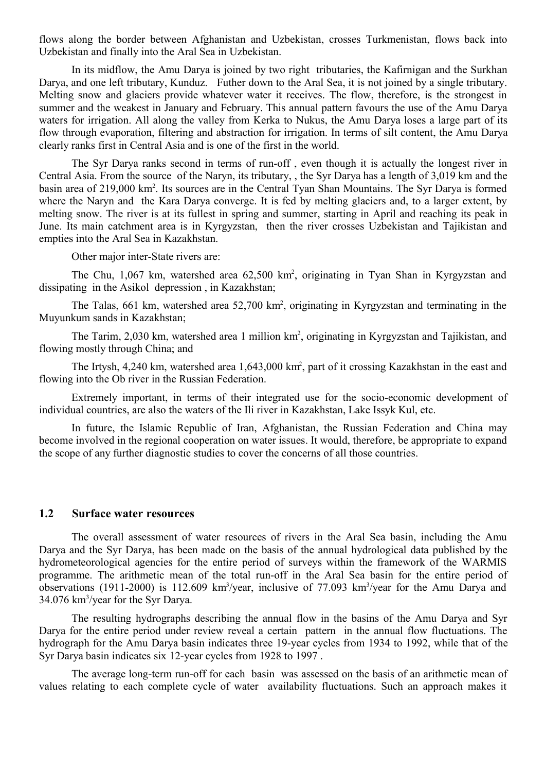flows along the border between Afghanistan and Uzbekistan, crosses Turkmenistan, flows back into Uzbekistan and finally into the Aral Sea in Uzbekistan.

In its midflow, the Amu Darya is joined by two right tributaries, the Kafirnigan and the Surkhan Darya, and one left tributary, Kunduz. Futher down to the Aral Sea, it is not joined by a single tributary. Melting snow and glaciers provide whatever water it receives. The flow, therefore, is the strongest in summer and the weakest in January and February. This annual pattern favours the use of the Amu Darya waters for irrigation. All along the valley from Kerka to Nukus, the Amu Darya loses a large part of its flow through evaporation, filtering and abstraction for irrigation. In terms of silt content, the Amu Darya clearly ranks first in Central Asia and is one of the first in the world.

The Syr Darya ranks second in terms of run-off , even though it is actually the longest river in Central Asia. From the source of the Naryn, its tributary, , the Syr Darya has a length of 3,019 km and the basin area of 219,000 km<sup>2</sup>. Its sources are in the Central Tyan Shan Mountains. The Syr Darya is formed where the Naryn and the Kara Darya converge. It is fed by melting glaciers and, to a larger extent, by melting snow. The river is at its fullest in spring and summer, starting in April and reaching its peak in June. Its main catchment area is in Kyrgyzstan, then the river crosses Uzbekistan and Tajikistan and empties into the Aral Sea in Kazakhstan.

Other major inter-State rivers are:

The Chu, 1,067 km, watershed area 62,500 km<sup>2</sup>, originating in Tyan Shan in Kyrgyzstan and dissipating in the Asikol depression , in Kazakhstan;

The Talas, 661 km, watershed area 52,700 km<sup>2</sup>, originating in Kyrgyzstan and terminating in the Muyunkum sands in Kazakhstan;

The Tarim, 2,030 km, watershed area 1 million km<sup>2</sup>, originating in Kyrgyzstan and Tajikistan, and flowing mostly through China; and

The Irtysh, 4,240 km, watershed area 1,643,000 km<sup>2</sup>, part of it crossing Kazakhstan in the east and flowing into the Ob river in the Russian Federation.

Extremely important, in terms of their integrated use for the socio-economic development of individual countries, are also the waters of the Ili river in Kazakhstan, Lake Issyk Kul, etc.

In future, the Islamic Republic of Iran, Afghanistan, the Russian Federation and China may become involved in the regional cooperation on water issues. It would, therefore, be appropriate to expand the scope of any further diagnostic studies to cover the concerns of all those countries.

#### **1.2 Surface water resources**

The overall assessment of water resources of rivers in the Aral Sea basin, including the Amu Darya and the Syr Darya, has been made on the basis of the annual hydrological data published by the hydrometeorological agencies for the entire period of surveys within the framework of the WARMIS programme. The arithmetic mean of the total run-off in the Aral Sea basin for the entire period of observations (1911-2000) is 112.609 km<sup>3</sup>/year, inclusive of 77.093 km<sup>3</sup>/year for the Amu Darya and 34.076 km<sup>3</sup>/year for the Syr Darya.

The resulting hydrographs describing the annual flow in the basins of the Amu Darya and Syr Darya for the entire period under review reveal a certain pattern in the annual flow fluctuations. The hydrograph for the Amu Darya basin indicates three 19-year cycles from 1934 to 1992, while that of the Syr Darya basin indicates six 12-year cycles from 1928 to 1997 .

The average long-term run-off for each basin was assessed on the basis of an arithmetic mean of values relating to each complete cycle of water availability fluctuations. Such an approach makes it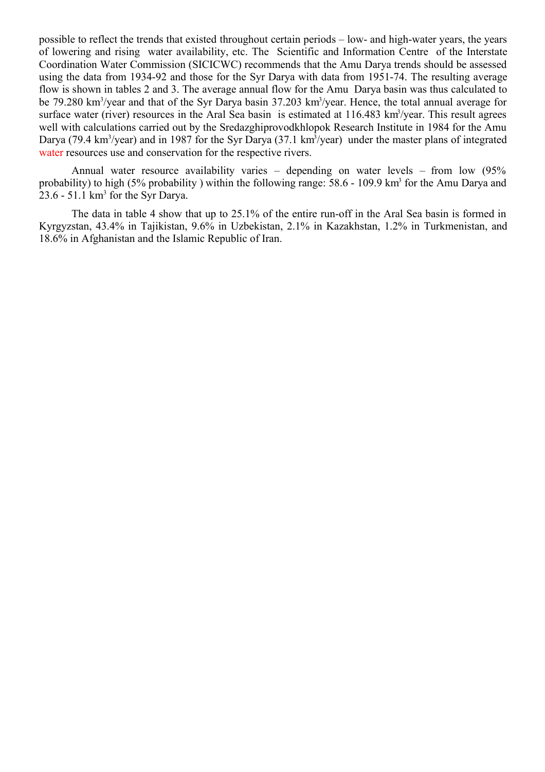possible to reflect the trends that existed throughout certain periods – low- and high-water years, the years of lowering and rising water availability, etc. The Scientific and Information Centre of the Interstate Coordination Water Commission (SICICWC) recommends that the Amu Darya trends should be assessed using the data from 1934-92 and those for the Syr Darya with data from 1951-74. The resulting average flow is shown in tables 2 and 3. The average annual flow for the Amu Darya basin was thus calculated to be 79.280 km<sup>3</sup>/year and that of the Syr Darya basin 37.203 km<sup>3</sup>/year. Hence, the total annual average for surface water (river) resources in the Aral Sea basin is estimated at 116.483 km<sup>3</sup>/year. This result agrees well with calculations carried out by the Sredazghiprovodkhlopok Research Institute in 1984 for the Amu Darya (79.4 km<sup>3</sup>/year) and in 1987 for the Syr Darya (37.1 km<sup>3</sup>/year) under the master plans of integrated water resources use and conservation for the respective rivers.

Annual water resource availability varies – depending on water levels – from low (95% probability) to high (5% probability) within the following range: 58.6 - 109.9 km<sup>3</sup> for the Amu Darya and  $23.6 - 51.1$  km<sup>3</sup> for the Syr Darya.

The data in table 4 show that up to 25.1% of the entire run-off in the Aral Sea basin is formed in Kyrgyzstan, 43.4% in Tajikistan, 9.6% in Uzbekistan, 2.1% in Kazakhstan, 1.2% in Turkmenistan, and 18.6% in Afghanistan and the Islamic Republic of Iran.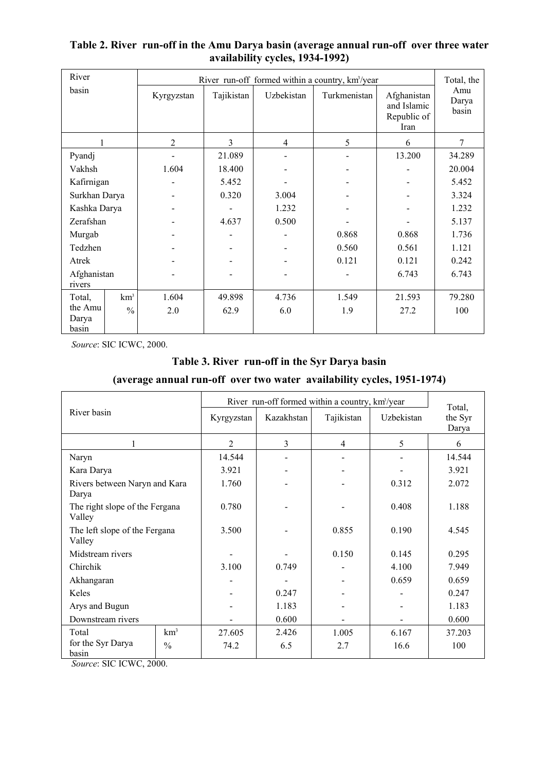| River                     |                 |            |            |                | River run-off formed within a country, km <sup>3</sup> /year |                                                   | Total, the            |
|---------------------------|-----------------|------------|------------|----------------|--------------------------------------------------------------|---------------------------------------------------|-----------------------|
| basin                     |                 | Kyrgyzstan | Tajikistan | Uzbekistan     | Turkmenistan                                                 | Afghanistan<br>and Islamic<br>Republic of<br>Iran | Amu<br>Darya<br>basin |
|                           |                 | 2          | 3          | $\overline{4}$ | 5                                                            | 6                                                 | 7                     |
| Pyandj                    |                 |            | 21.089     |                |                                                              | 13.200                                            | 34.289                |
| Vakhsh                    |                 | 1.604      | 18.400     |                |                                                              |                                                   | 20.004                |
| Kafirnigan                |                 |            | 5.452      |                |                                                              |                                                   | 5.452                 |
| Surkhan Darya             |                 |            | 0.320      | 3.004          |                                                              |                                                   | 3.324                 |
| Kashka Darya              |                 |            |            | 1.232          |                                                              |                                                   | 1.232                 |
| Zerafshan                 |                 |            | 4.637      | 0.500          |                                                              |                                                   | 5.137                 |
| Murgab                    |                 |            |            |                | 0.868                                                        | 0.868                                             | 1.736                 |
| Tedzhen                   |                 |            |            |                | 0.560                                                        | 0.561                                             | 1.121                 |
| Atrek                     |                 |            |            |                | 0.121                                                        | 0.121                                             | 0.242                 |
| Afghanistan<br>rivers     |                 |            |            |                |                                                              | 6.743                                             | 6.743                 |
| Total,                    | km <sup>3</sup> | 1.604      | 49.898     | 4.736          | 1.549                                                        | 21.593                                            | 79.280                |
| the Amu<br>Darya<br>basin | $\frac{0}{0}$   | 2.0        | 62.9       | 6.0            | 1.9                                                          | 27.2                                              | 100                   |

# **Table 2. River run-off in the Amu Darya basin (average annual run-off over three water availability cycles, 1934-1992)**

*Source*: SIC ICWC, 2000.

# **Table 3. River run-off in the Syr Darya basin**

# **(average annual run-off over two water availability cycles, 1951-1974)**

|                                             |       |                |            | River run-off formed within a country, km <sup>3</sup> /year |            | Total,           |
|---------------------------------------------|-------|----------------|------------|--------------------------------------------------------------|------------|------------------|
| River basin                                 |       | Kyrgyzstan     | Kazakhstan | Tajikistan                                                   | Uzbekistan | the Syr<br>Darya |
|                                             |       | $\overline{2}$ | 3          | 4                                                            | 5          | 6                |
| Naryn                                       |       | 14.544         |            |                                                              |            | 14.544           |
| Kara Darya                                  |       | 3.921          |            |                                                              |            | 3.921            |
| Rivers between Naryn and Kara<br>Darya      | 1.760 |                |            | 0.312                                                        | 2.072      |                  |
| The right slope of the Fergana<br>Valley    | 0.780 |                |            | 0.408                                                        | 1.188      |                  |
| The left slope of the Fergana<br>Valley     |       | 3.500          |            | 0.855                                                        | 0.190      | 4.545            |
| Midstream rivers                            |       |                |            | 0.150                                                        | 0.145      | 0.295            |
| Chirchik                                    |       | 3.100          | 0.749      |                                                              | 4.100      | 7.949            |
| Akhangaran                                  |       |                |            |                                                              | 0.659      | 0.659            |
| Keles                                       |       |                |            |                                                              |            | 0.247            |
| Arys and Bugun                              |       | 1.183          |            |                                                              | 1.183      |                  |
| Downstream rivers                           |       | 0.600          |            |                                                              | 0.600      |                  |
| km <sup>3</sup><br>Total                    |       | 27.605         | 2.426      | 1.005                                                        | 6.167      | 37.203           |
| for the Syr Darya<br>$\frac{0}{0}$<br>basin |       | 74.2           | 6.5        | 2.7                                                          | 16.6       | 100              |

*Source*: SIC ICWC, 2000.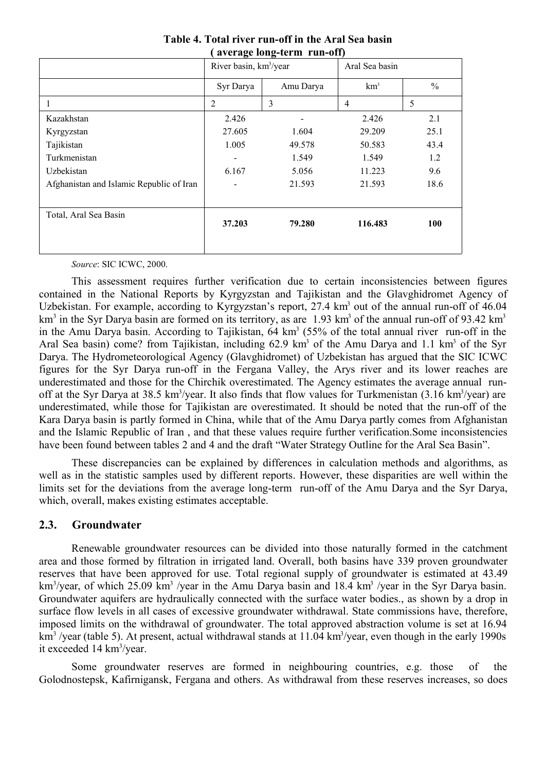| average fong-term trun-only              |                                    |                          |                 |               |  |  |  |  |  |  |
|------------------------------------------|------------------------------------|--------------------------|-----------------|---------------|--|--|--|--|--|--|
|                                          | River basin, km <sup>3</sup> /year |                          | Aral Sea basin  |               |  |  |  |  |  |  |
|                                          | Syr Darya                          | Amu Darya                | km <sup>3</sup> | $\frac{0}{0}$ |  |  |  |  |  |  |
| 1                                        | $\overline{2}$                     | 3                        | 4               | 5             |  |  |  |  |  |  |
| Kazakhstan                               | 2.426                              | $\overline{\phantom{0}}$ | 2.426           | 2.1           |  |  |  |  |  |  |
| Kyrgyzstan                               | 27.605                             | 1.604                    | 29.209          | 25.1          |  |  |  |  |  |  |
| Tajikistan                               | 1.005                              | 49.578                   | 50.583          | 43.4          |  |  |  |  |  |  |
| Turkmenistan                             |                                    | 1.549                    | 1.549           | 1.2           |  |  |  |  |  |  |
| Uzbekistan                               | 6.167                              | 5.056                    | 11.223          | 9.6           |  |  |  |  |  |  |
| Afghanistan and Islamic Republic of Iran |                                    | 21.593                   | 21.593          | 18.6          |  |  |  |  |  |  |
| Total, Aral Sea Basin                    | 37.203                             | 79.280                   | 116.483         | 100           |  |  |  |  |  |  |

**Table 4. Total river run-off in the Aral Sea basin ( average long-term run-off)**

*Source*: SIC ICWC, 2000.

This assessment requires further verification due to certain inconsistencies between figures contained in the National Reports by Kyrgyzstan and Tajikistan and the Glavghidromet Agency of Uzbekistan. For example, according to Kyrgyzstan's report, 27.4 km<sup>3</sup> out of the annual run-off of 46.04 km<sup>3</sup> in the Syr Darya basin are formed on its territory, as are 1.93 km<sup>3</sup> of the annual run-off of 93.42 km<sup>3</sup> in the Amu Darya basin. According to Tajikistan,  $64 \text{ km}^3$  (55% of the total annual river run-off in the Aral Sea basin) come? from Tajikistan, including 62.9 km<sup>3</sup> of the Amu Darya and 1.1 km<sup>3</sup> of the Syr Darya. The Hydrometeorological Agency (Glavghidromet) of Uzbekistan has argued that the SIC ICWC figures for the Syr Darya run-off in the Fergana Valley, the Arys river and its lower reaches are underestimated and those for the Chirchik overestimated. The Agency estimates the average annual runoff at the Syr Darya at 38.5 km<sup>3</sup>/year. It also finds that flow values for Turkmenistan (3.16 km<sup>3</sup>/year) are underestimated, while those for Tajikistan are overestimated. It should be noted that the run-off of the Kara Darya basin is partly formed in China, while that of the Amu Darya partly comes from Afghanistan and the Islamic Republic of Iran , and that these values require further verification.Some inconsistencies have been found between tables 2 and 4 and the draft "Water Strategy Outline for the Aral Sea Basin".

These discrepancies can be explained by differences in calculation methods and algorithms, as well as in the statistic samples used by different reports. However, these disparities are well within the limits set for the deviations from the average long-term run-off of the Amu Darya and the Syr Darya, which, overall, makes existing estimates acceptable.

### **2.3. Groundwater**

Renewable groundwater resources can be divided into those naturally formed in the catchment area and those formed by filtration in irrigated land. Overall, both basins have 339 proven groundwater reserves that have been approved for use. Total regional supply of groundwater is estimated at 43.49 km<sup>3</sup>/year, of which 25.09 km<sup>3</sup> /year in the Amu Darya basin and 18.4 km<sup>3</sup> /year in the Syr Darya basin. Groundwater aquifers are hydraulically connected with the surface water bodies., as shown by a drop in surface flow levels in all cases of excessive groundwater withdrawal. State commissions have, therefore, imposed limits on the withdrawal of groundwater. The total approved abstraction volume is set at 16.94 km<sup>3</sup>/year (table 5). At present, actual withdrawal stands at 11.04 km<sup>3</sup>/year, even though in the early 1990s it exceeded 14 km<sup>3</sup>/year.

Some groundwater reserves are formed in neighbouring countries, e.g. those of the Golodnostepsk, Kafirnigansk, Fergana and others. As withdrawal from these reserves increases, so does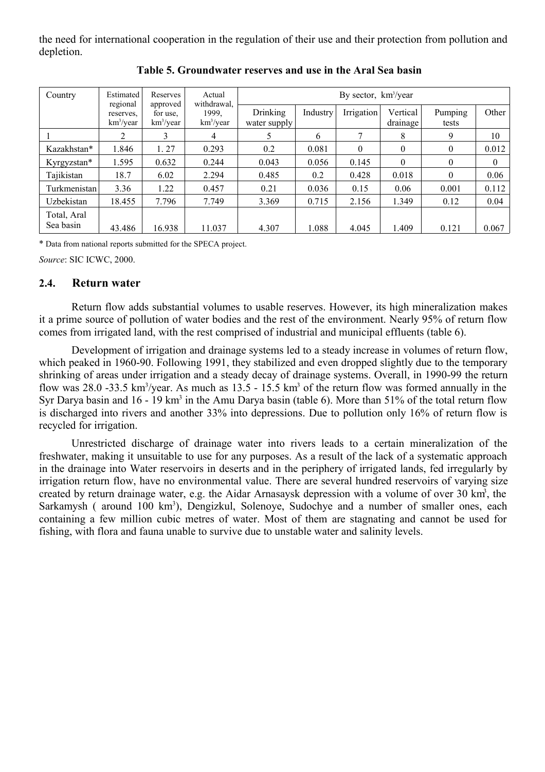the need for international cooperation in the regulation of their use and their protection from pollution and depletion.

| Country                  | Estimated<br>regional     | Reserves<br>approved              | Actual<br>withdrawal. | By sector, $km^3$ /year  |          |            |                      |                  |          |  |  |  |  |
|--------------------------|---------------------------|-----------------------------------|-----------------------|--------------------------|----------|------------|----------------------|------------------|----------|--|--|--|--|
|                          | reserves.<br>$km^3$ /year | for use.<br>km <sup>3</sup> /year | 1999.<br>$km^3$ /year | Drinking<br>water supply | Industry | Irrigation | Vertical<br>drainage | Pumping<br>tests | Other    |  |  |  |  |
|                          |                           | 3                                 | 4                     | 5                        | 6        |            | 8                    | 9                | 10       |  |  |  |  |
| Kazakhstan*              | 1.846                     | 1.27                              | 0.293                 | 0.2                      | 0.081    | 0          | $\theta$             | $\theta$         | 0.012    |  |  |  |  |
| Kyrgyzstan*              | 1.595                     | 0.632                             | 0.244                 | 0.043                    | 0.056    | 0.145      | $\theta$             | $\theta$         | $\theta$ |  |  |  |  |
| Tajikistan               | 18.7                      | 6.02                              | 2.294                 | 0.485                    | 0.2      | 0.428      | 0.018                | $\theta$         | 0.06     |  |  |  |  |
| Turkmenistan             | 3.36                      | 1.22                              | 0.457                 | 0.21                     | 0.036    | 0.15       | 0.06                 | 0.001            | 0.112    |  |  |  |  |
| Uzbekistan               | 18.455                    | 7.796                             | 7.749                 | 3.369                    | 0.715    | 2.156      | 1.349                | 0.12             | 0.04     |  |  |  |  |
| Total, Aral<br>Sea basin | 43.486                    | 16.938                            | 11.037                | 4.307                    | 1.088    | 4.045      | 1.409                | 0.121            | 0.067    |  |  |  |  |

**Table 5. Groundwater reserves and use in the Aral Sea basin**

\* Data from national reports submitted for the SPECA project.

*Source*: SIC ICWC, 2000.

#### **2.4. Return water**

Return flow adds substantial volumes to usable reserves. However, its high mineralization makes it a prime source of pollution of water bodies and the rest of the environment. Nearly 95% of return flow comes from irrigated land, with the rest comprised of industrial and municipal effluents (table 6).

Development of irrigation and drainage systems led to a steady increase in volumes of return flow, which peaked in 1960-90. Following 1991, they stabilized and even dropped slightly due to the temporary shrinking of areas under irrigation and a steady decay of drainage systems. Overall, in 1990-99 the return flow was 28.0 -33.5 km<sup>3</sup>/year. As much as  $13.5 - 15.5$  km<sup>3</sup> of the return flow was formed annually in the Syr Darya basin and 16 - 19 km<sup>3</sup> in the Amu Darya basin (table 6). More than 51% of the total return flow is discharged into rivers and another 33% into depressions. Due to pollution only 16% of return flow is recycled for irrigation.

Unrestricted discharge of drainage water into rivers leads to a certain mineralization of the freshwater, making it unsuitable to use for any purposes. As a result of the lack of a systematic approach in the drainage into Water reservoirs in deserts and in the periphery of irrigated lands, fed irregularly by irrigation return flow, have no environmental value. There are several hundred reservoirs of varying size created by return drainage water, e.g. the Aidar Arnasaysk depression with a volume of over 30 km<sup>3</sup>, the Sarkamysh (around 100 km<sup>3</sup>), Dengizkul, Solenoye, Sudochye and a number of smaller ones, each containing a few million cubic metres of water. Most of them are stagnating and cannot be used for fishing, with flora and fauna unable to survive due to unstable water and salinity levels.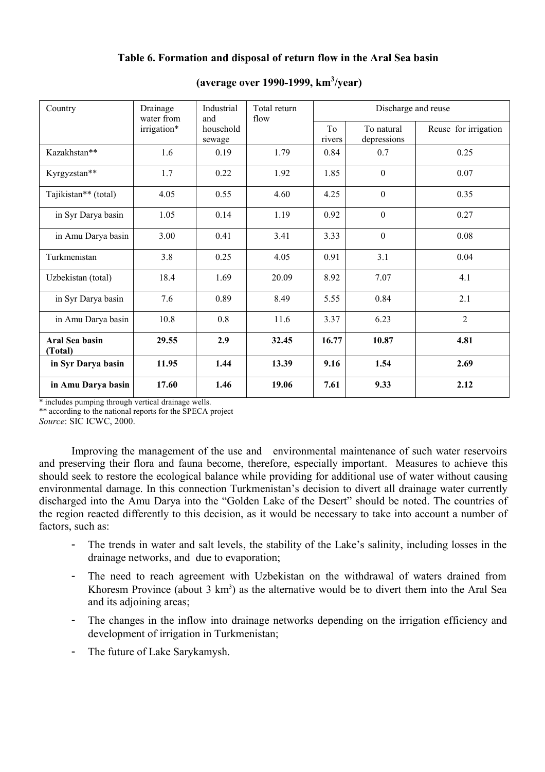# **Table 6. Formation and disposal of return flow in the Aral Sea basin**

| Country                   | Drainage<br>water from | Industrial<br>and   | Total return<br>flow |              | Discharge and reuse       |                      |
|---------------------------|------------------------|---------------------|----------------------|--------------|---------------------------|----------------------|
|                           | irrigation*            | household<br>sewage |                      | To<br>rivers | To natural<br>depressions | Reuse for irrigation |
| Kazakhstan**              | 1.6                    | 0.19                | 1.79                 | 0.84         | 0.7                       | 0.25                 |
| Kyrgyzstan**              | 1.7                    | 0.22                | 1.92                 | 1.85         | $\mathbf{0}$              | 0.07                 |
| Tajikistan** (total)      | 4.05                   | 0.55                | 4.60                 | 4.25         | $\mathbf{0}$              | 0.35                 |
| in Syr Darya basin        | 1.05                   | 0.14                | 1.19                 | 0.92         | $\overline{0}$            | 0.27                 |
| in Amu Darya basin        | 3.00                   | 0.41                | 3.41                 | 3.33         | $\mathbf{0}$              | 0.08                 |
| Turkmenistan              | 3.8                    | 0.25                | 4.05                 | 0.91         | 3.1                       | 0.04                 |
| Uzbekistan (total)        | 18.4                   | 1.69                | 20.09                | 8.92         | 7.07                      | 4.1                  |
| in Syr Darya basin        | 7.6                    | 0.89                | 8.49                 | 5.55         | 0.84                      | 2.1                  |
| in Amu Darya basin        | 10.8                   | 0.8                 | 11.6                 | 3.37         | 6.23                      | $\overline{2}$       |
| Aral Sea basin<br>(Total) | 29.55                  | 2.9                 | 32.45                | 16.77        | 10.87                     | 4.81                 |
| in Syr Darya basin        | 11.95                  | 1.44                | 13.39                | 9.16         | 1.54                      | 2.69                 |
| in Amu Darya basin        | 17.60                  | 1.46                | 19.06                | 7.61         | 9.33                      | 2.12                 |

# **(average over 1990-1999, km 3 /year)**

\* includes pumping through vertical drainage wells.

\*\* according to the national reports for the SPECA project

*Source*: SIC ICWC, 2000.

Improving the management of the use and environmental maintenance of such water reservoirs and preserving their flora and fauna become, therefore, especially important. Measures to achieve this should seek to restore the ecological balance while providing for additional use of water without causing environmental damage. In this connection Turkmenistan's decision to divert all drainage water currently discharged into the Amu Darya into the "Golden Lake of the Desert" should be noted. The countries of the region reacted differently to this decision, as it would be necessary to take into account a number of factors, such as:

- The trends in water and salt levels, the stability of the Lake's salinity, including losses in the drainage networks, and due to evaporation;
- The need to reach agreement with Uzbekistan on the withdrawal of waters drained from Khoresm Province (about  $3 \text{ km}^3$ ) as the alternative would be to divert them into the Aral Sea and its adjoining areas;
- The changes in the inflow into drainage networks depending on the irrigation efficiency and development of irrigation in Turkmenistan;
- The future of Lake Sarykamysh.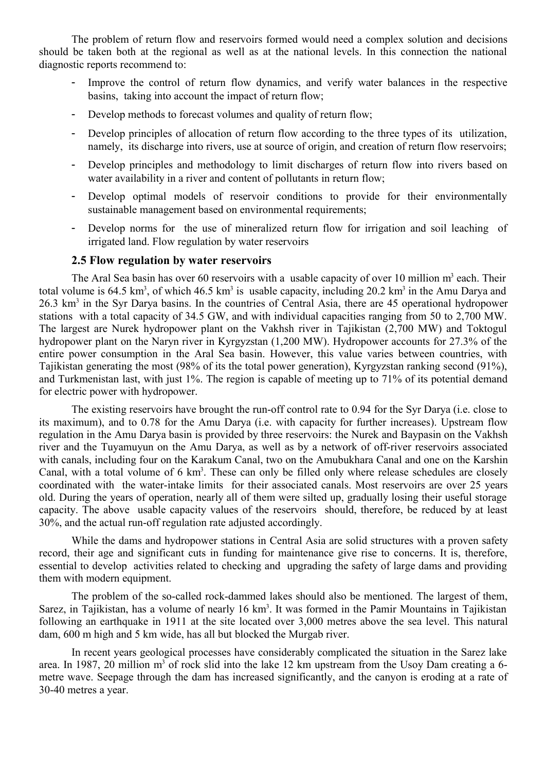The problem of return flow and reservoirs formed would need a complex solution and decisions should be taken both at the regional as well as at the national levels. In this connection the national diagnostic reports recommend to:

- Improve the control of return flow dynamics, and verify water balances in the respective basins, taking into account the impact of return flow;
- Develop methods to forecast volumes and quality of return flow;
- Develop principles of allocation of return flow according to the three types of its utilization, namely, its discharge into rivers, use at source of origin, and creation of return flow reservoirs;
- Develop principles and methodology to limit discharges of return flow into rivers based on water availability in a river and content of pollutants in return flow;
- Develop optimal models of reservoir conditions to provide for their environmentally sustainable management based on environmental requirements;
- Develop norms for the use of mineralized return flow for irrigation and soil leaching of irrigated land. Flow regulation by water reservoirs

#### **2.5 Flow regulation by water reservoirs**

The Aral Sea basin has over 60 reservoirs with a usable capacity of over 10 million  $m<sup>3</sup>$  each. Their total volume is 64.5 km<sup>3</sup>, of which 46.5 km<sup>3</sup> is usable capacity, including 20.2 km<sup>3</sup> in the Amu Darya and 26.3 km<sup>3</sup> in the Syr Darya basins. In the countries of Central Asia, there are 45 operational hydropower stations with a total capacity of 34.5 GW, and with individual capacities ranging from 50 to 2,700 MW. The largest are Nurek hydropower plant on the Vakhsh river in Tajikistan (2,700 MW) and Toktogul hydropower plant on the Naryn river in Kyrgyzstan (1,200 MW). Hydropower accounts for 27.3% of the entire power consumption in the Aral Sea basin. However, this value varies between countries, with Tajikistan generating the most (98% of its the total power generation), Kyrgyzstan ranking second (91%), and Turkmenistan last, with just 1%. The region is capable of meeting up to 71% of its potential demand for electric power with hydropower.

The existing reservoirs have brought the run-off control rate to 0.94 for the Syr Darya (i.e. close to its maximum), and to 0.78 for the Amu Darya (i.e. with capacity for further increases). Upstream flow regulation in the Amu Darya basin is provided by three reservoirs: the Nurek and Baypasin on the Vakhsh river and the Tuyamuyun on the Amu Darya, as well as by a network of off-river reservoirs associated with canals, including four on the Karakum Canal, two on the Amubukhara Canal and one on the Karshin Canal, with a total volume of 6 km<sup>3</sup>. These can only be filled only where release schedules are closely coordinated with the water-intake limits for their associated canals. Most reservoirs are over 25 years old. During the years of operation, nearly all of them were silted up, gradually losing their useful storage capacity. The above usable capacity values of the reservoirs should, therefore, be reduced by at least 30%, and the actual run-off regulation rate adjusted accordingly.

While the dams and hydropower stations in Central Asia are solid structures with a proven safety record, their age and significant cuts in funding for maintenance give rise to concerns. It is, therefore, essential to develop activities related to checking and upgrading the safety of large dams and providing them with modern equipment.

The problem of the so-called rock-dammed lakes should also be mentioned. The largest of them, Sarez, in Tajikistan, has a volume of nearly 16 km<sup>3</sup>. It was formed in the Pamir Mountains in Tajikistan following an earthquake in 1911 at the site located over 3,000 metres above the sea level. This natural dam, 600 m high and 5 km wide, has all but blocked the Murgab river.

In recent years geological processes have considerably complicated the situation in the Sarez lake area. In 1987, 20 million  $m<sup>3</sup>$  of rock slid into the lake 12 km upstream from the Usoy Dam creating a 6metre wave. Seepage through the dam has increased significantly, and the canyon is eroding at a rate of 30-40 metres a year.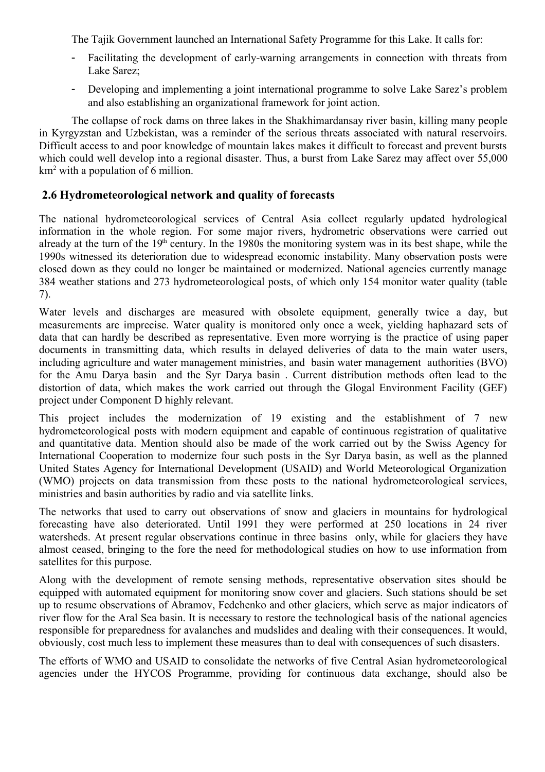The Tajik Government launched an International Safety Programme for this Lake. It calls for:

- Facilitating the development of early-warning arrangements in connection with threats from Lake Sarez;
- Developing and implementing a joint international programme to solve Lake Sarez's problem and also establishing an organizational framework for joint action.

The collapse of rock dams on three lakes in the Shakhimardansay river basin, killing many people in Kyrgyzstan and Uzbekistan, was a reminder of the serious threats associated with natural reservoirs. Difficult access to and poor knowledge of mountain lakes makes it difficult to forecast and prevent bursts which could well develop into a regional disaster. Thus, a burst from Lake Sarez may affect over 55,000 km<sup>2</sup> with a population of 6 million.

# **2.6 Hydrometeorological network and quality of forecasts**

The national hydrometeorological services of Central Asia collect regularly updated hydrological information in the whole region. For some major rivers, hydrometric observations were carried out already at the turn of the 19<sup>th</sup> century. In the 1980s the monitoring system was in its best shape, while the 1990s witnessed its deterioration due to widespread economic instability. Many observation posts were closed down as they could no longer be maintained or modernized. National agencies currently manage 384 weather stations and 273 hydrometeorological posts, of which only 154 monitor water quality (table 7).

Water levels and discharges are measured with obsolete equipment, generally twice a day, but measurements are imprecise. Water quality is monitored only once a week, yielding haphazard sets of data that can hardly be described as representative. Even more worrying is the practice of using paper documents in transmitting data, which results in delayed deliveries of data to the main water users, including agriculture and water management ministries, and basin water management authorities (BVO) for the Amu Darya basin and the Syr Darya basin . Current distribution methods often lead to the distortion of data, which makes the work carried out through the Glogal Environment Facility (GEF) project under Component D highly relevant.

This project includes the modernization of 19 existing and the establishment of 7 new hydrometeorological posts with modern equipment and capable of continuous registration of qualitative and quantitative data. Mention should also be made of the work carried out by the Swiss Agency for International Cooperation to modernize four such posts in the Syr Darya basin, as well as the planned United States Agency for International Development (USAID) and World Meteorological Organization (WMO) projects on data transmission from these posts to the national hydrometeorological services, ministries and basin authorities by radio and via satellite links.

The networks that used to carry out observations of snow and glaciers in mountains for hydrological forecasting have also deteriorated. Until 1991 they were performed at 250 locations in 24 river watersheds. At present regular observations continue in three basins only, while for glaciers they have almost ceased, bringing to the fore the need for methodological studies on how to use information from satellites for this purpose.

Along with the development of remote sensing methods, representative observation sites should be equipped with automated equipment for monitoring snow cover and glaciers. Such stations should be set up to resume observations of Abramov, Fedchenko and other glaciers, which serve as major indicators of river flow for the Aral Sea basin. It is necessary to restore the technological basis of the national agencies responsible for preparedness for avalanches and mudslides and dealing with their consequences. It would, obviously, cost much less to implement these measures than to deal with consequences of such disasters.

The efforts of WMO and USAID to consolidate the networks of five Central Asian hydrometeorological agencies under the HYCOS Programme, providing for continuous data exchange, should also be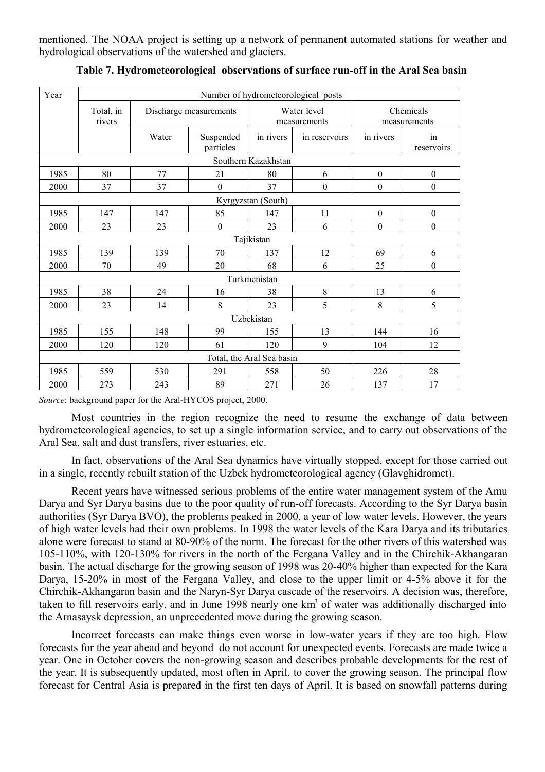mentioned. The NOAA project is setting up a network of permanent automated stations for weather and hydrological observations of the watershed and glaciers.

| Year                |                     |       |                        |                           | Number of hydrometeorological posts |                           |                  |  |  |  |  |  |
|---------------------|---------------------|-------|------------------------|---------------------------|-------------------------------------|---------------------------|------------------|--|--|--|--|--|
|                     | Total, in<br>rivers |       | Discharge measurements |                           | Water level<br>measurements         | Chemicals<br>measurements |                  |  |  |  |  |  |
|                     |                     | Water | Suspended<br>particles | in rivers                 | in reservoirs                       | in rivers                 | in<br>reservoirs |  |  |  |  |  |
| Southern Kazakhstan |                     |       |                        |                           |                                     |                           |                  |  |  |  |  |  |
| 1985                | 80                  | 77    | 21                     | 80                        | 6                                   | $\boldsymbol{0}$          | $\boldsymbol{0}$ |  |  |  |  |  |
| 2000                | 37                  | 37    | $\boldsymbol{0}$       | 37                        | $\boldsymbol{0}$                    | $\boldsymbol{0}$          | $\boldsymbol{0}$ |  |  |  |  |  |
| Kyrgyzstan (South)  |                     |       |                        |                           |                                     |                           |                  |  |  |  |  |  |
| 1985                | 147                 | 147   | 85                     | 147                       | 11                                  | $\boldsymbol{0}$          | $\boldsymbol{0}$ |  |  |  |  |  |
| 2000                | 23                  | 23    | $\boldsymbol{0}$       | 23                        | 6                                   | $\boldsymbol{0}$          | $\boldsymbol{0}$ |  |  |  |  |  |
|                     | Tajikistan          |       |                        |                           |                                     |                           |                  |  |  |  |  |  |
| 1985                | 139                 | 139   | 70                     | 137                       | 12                                  | 69                        | 6                |  |  |  |  |  |
| 2000                | 70                  | 49    | 20                     | 68                        | 6                                   | 25                        | $\boldsymbol{0}$ |  |  |  |  |  |
|                     |                     |       |                        | Turkmenistan              |                                     |                           |                  |  |  |  |  |  |
| 1985                | 38                  | 24    | 16                     | 38                        | 8                                   | 13                        | 6                |  |  |  |  |  |
| 2000                | 23                  | 14    | 8                      | 23                        | 5                                   | 8                         | 5                |  |  |  |  |  |
|                     |                     |       |                        | Uzbekistan                |                                     |                           |                  |  |  |  |  |  |
| 1985                | 155                 | 148   | 99                     | 155                       | 13                                  | 144                       | 16               |  |  |  |  |  |
| 2000                | 120<br>120<br>61    |       |                        |                           | 9                                   | 104                       | 12               |  |  |  |  |  |
|                     |                     |       |                        | Total, the Aral Sea basin |                                     |                           |                  |  |  |  |  |  |
| 1985                | 559                 | 530   | 291                    | 558                       | 50                                  | 226                       | 28               |  |  |  |  |  |
| 2000                | 273                 | 243   | 89                     | 271                       | 26                                  | 137                       | 17               |  |  |  |  |  |

**Table 7. Hydrometeorological observations of surface run-off in the Aral Sea basin**

*Source*: background paper for the Aral-HYCOS project, 2000.

Most countries in the region recognize the need to resume the exchange of data between hydrometeorological agencies, to set up a single information service, and to carry out observations of the Aral Sea, salt and dust transfers, river estuaries, etc.

In fact, observations of the Aral Sea dynamics have virtually stopped, except for those carried out in a single, recently rebuilt station of the Uzbek hydrometeorological agency (Glavghidromet).

Recent years have witnessed serious problems of the entire water management system of the Amu Darya and Syr Darya basins due to the poor quality of run-off forecasts. According to the Syr Darya basin authorities (Syr Darya BVO), the problems peaked in 2000, a year of low water levels. However, the years of high water levels had their own problems. In 1998 the water levels of the Kara Darya and its tributaries alone were forecast to stand at 80-90% of the norm. The forecast for the other rivers of this watershed was 105-110%, with 120-130% for rivers in the north of the Fergana Valley and in the Chirchik-Akhangaran basin. The actual discharge for the growing season of 1998 was 20-40% higher than expected for the Kara Darya, 15-20% in most of the Fergana Valley, and close to the upper limit or 4-5% above it for the Chirchik-Akhangaran basin and the Naryn-Syr Darya cascade of the reservoirs. A decision was, therefore, taken to fill reservoirs early, and in June 1998 nearly one  $km<sup>3</sup>$  of water was additionally discharged into the Arnasaysk depression, an unprecedented move during the growing season.

Incorrect forecasts can make things even worse in low-water years if they are too high. Flow forecasts for the year ahead and beyond do not account for unexpected events. Forecasts are made twice a year. One in October covers the non-growing season and describes probable developments for the rest of the year. It is subsequently updated, most often in April, to cover the growing season. The principal flow forecast for Central Asia is prepared in the first ten days of April. It is based on snowfall patterns during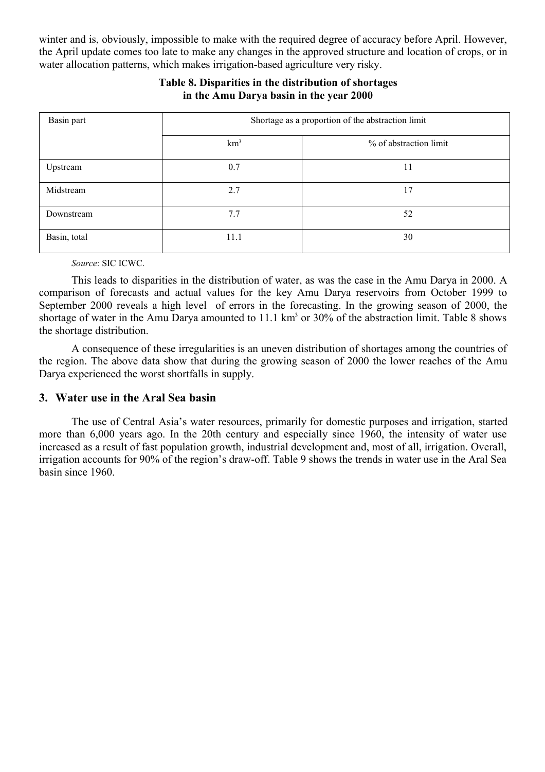winter and is, obviously, impossible to make with the required degree of accuracy before April. However, the April update comes too late to make any changes in the approved structure and location of crops, or in water allocation patterns, which makes irrigation-based agriculture very risky.

| Basin part   | Shortage as a proportion of the abstraction limit |                        |  |  |  |  |  |  |  |
|--------------|---------------------------------------------------|------------------------|--|--|--|--|--|--|--|
|              | km <sup>3</sup>                                   | % of abstraction limit |  |  |  |  |  |  |  |
| Upstream     | 0.7                                               | 11                     |  |  |  |  |  |  |  |
| Midstream    | 2.7                                               | 17                     |  |  |  |  |  |  |  |
| Downstream   | 7.7                                               | 52                     |  |  |  |  |  |  |  |
| Basin, total | 11.1                                              | 30                     |  |  |  |  |  |  |  |

# **Table 8. Disparities in the distribution of shortages in the Amu Darya basin in the year 2000**

*Source*: SIC ICWC.

This leads to disparities in the distribution of water, as was the case in the Amu Darya in 2000. A comparison of forecasts and actual values for the key Amu Darya reservoirs from October 1999 to September 2000 reveals a high level of errors in the forecasting. In the growing season of 2000, the shortage of water in the Amu Darya amounted to 11.1 km<sup>3</sup> or 30% of the abstraction limit. Table 8 shows the shortage distribution.

A consequence of these irregularities is an uneven distribution of shortages among the countries of the region. The above data show that during the growing season of 2000 the lower reaches of the Amu Darya experienced the worst shortfalls in supply.

### **3. Water use in the Aral Sea basin**

The use of Central Asia's water resources, primarily for domestic purposes and irrigation, started more than 6,000 years ago. In the 20th century and especially since 1960, the intensity of water use increased as a result of fast population growth, industrial development and, most of all, irrigation. Overall, irrigation accounts for 90% of the region's draw-off. Table 9 shows the trends in water use in the Aral Sea basin since 1960.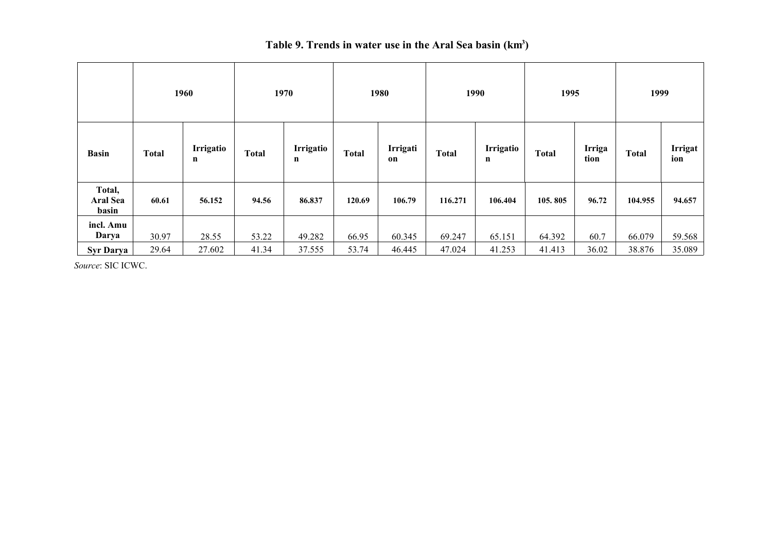|                                    | 1960         |                | 1970         |                |              | 1980<br>1990   |                                                                  |         | 1995    | 1999         |                |        |
|------------------------------------|--------------|----------------|--------------|----------------|--------------|----------------|------------------------------------------------------------------|---------|---------|--------------|----------------|--------|
| <b>Basin</b>                       | <b>Total</b> | Irrigatio<br>n | <b>Total</b> | Irrigatio<br>n | <b>Total</b> | Irrigati<br>on | Irrigatio<br><b>Total</b><br><b>Total</b><br>tion<br>$\mathbf n$ |         | Irriga  | <b>Total</b> | Irrigat<br>ion |        |
| Total,<br><b>Aral Sea</b><br>basin | 60.61        | 56.152         | 94.56        | 86.837         | 120.69       | 106.79         | 116.271                                                          | 106.404 | 105.805 | 96.72        | 104.955        | 94.657 |
| incl. Amu<br>Darya                 | 30.97        | 28.55          | 53.22        | 49.282         | 66.95        | 60.345         | 69.247                                                           | 65.151  | 64.392  | 60.7         | 66.079         | 59.568 |
| <b>Syr Darya</b>                   | 29.64        | 27.602         | 41.34        | 37.555         | 53.74        | 46.445         | 47.024                                                           | 41.253  | 41.413  | 36.02        | 38.876         | 35.089 |

#### **Table 9. Trends in water use in the Aral Sea basin (km<sup>3</sup> )**

*Source*: SIC ICWC.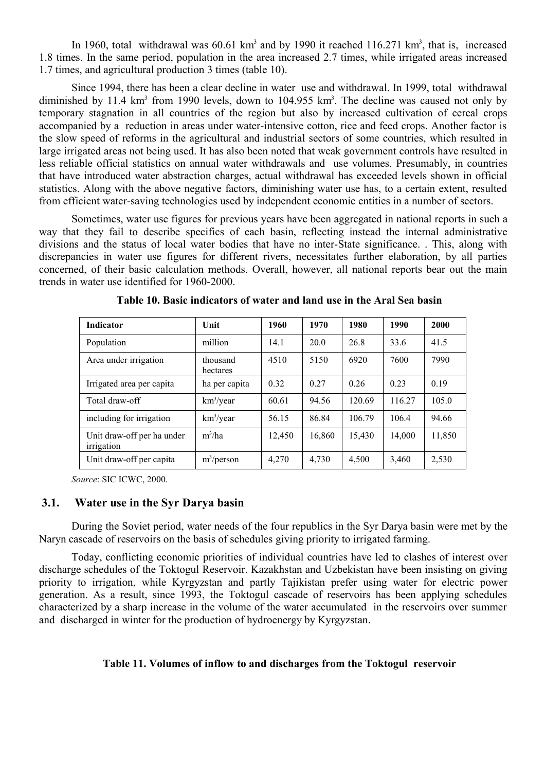In 1960, total withdrawal was  $60.61 \text{ km}^3$  and by 1990 it reached 116.271 km<sup>3</sup>, that is, increased 1.8 times. In the same period, population in the area increased 2.7 times, while irrigated areas increased 1.7 times, and agricultural production 3 times (table 10).

Since 1994, there has been a clear decline in water use and withdrawal. In 1999, total withdrawal diminished by 11.4  $km^3$  from 1990 levels, down to 104.955  $km^3$ . The decline was caused not only by temporary stagnation in all countries of the region but also by increased cultivation of cereal crops accompanied by a reduction in areas under water-intensive cotton, rice and feed crops. Another factor is the slow speed of reforms in the agricultural and industrial sectors of some countries, which resulted in large irrigated areas not being used. It has also been noted that weak government controls have resulted in less reliable official statistics on annual water withdrawals and use volumes. Presumably, in countries that have introduced water abstraction charges, actual withdrawal has exceeded levels shown in official statistics. Along with the above negative factors, diminishing water use has, to a certain extent, resulted from efficient water-saving technologies used by independent economic entities in a number of sectors.

Sometimes, water use figures for previous years have been aggregated in national reports in such a way that they fail to describe specifics of each basin, reflecting instead the internal administrative divisions and the status of local water bodies that have no inter-State significance. . This, along with discrepancies in water use figures for different rivers, necessitates further elaboration, by all parties concerned, of their basic calculation methods. Overall, however, all national reports bear out the main trends in water use identified for 1960-2000.

| <b>Indicator</b>                         | Unit                 | 1960   | 1970   | 1980   | 1990   | 2000   |
|------------------------------------------|----------------------|--------|--------|--------|--------|--------|
| Population                               | million              | 14.1   | 20.0   | 26.8   | 33.6   | 41.5   |
| Area under irrigation                    | thousand<br>hectares | 4510   | 5150   | 6920   | 7600   | 7990   |
| Irrigated area per capita                | ha per capita        | 0.32   | 0.27   | 0.26   | 0.23   | 0.19   |
| Total draw-off                           | $km^3$ /year         | 60.61  | 94.56  | 120.69 | 116.27 | 105.0  |
| including for irrigation                 | $km^3$ /year         | 56.15  | 86.84  | 106.79 | 106.4  | 94.66  |
| Unit draw-off per ha under<br>irrigation | $m^3/ha$             | 12,450 | 16,860 | 15,430 | 14,000 | 11,850 |
| Unit draw-off per capita                 | $m^3$ /person        | 4,270  | 4,730  | 4,500  | 3,460  | 2,530  |

**Table 10. Basic indicators of water and land use in the Aral Sea basin**

*Source*: SIC ICWC, 2000.

#### **3.1. Water use in the Syr Darya basin**

During the Soviet period, water needs of the four republics in the Syr Darya basin were met by the Naryn cascade of reservoirs on the basis of schedules giving priority to irrigated farming.

Today, conflicting economic priorities of individual countries have led to clashes of interest over discharge schedules of the Toktogul Reservoir. Kazakhstan and Uzbekistan have been insisting on giving priority to irrigation, while Kyrgyzstan and partly Tajikistan prefer using water for electric power generation. As a result, since 1993, the Toktogul cascade of reservoirs has been applying schedules characterized by a sharp increase in the volume of the water accumulated in the reservoirs over summer and discharged in winter for the production of hydroenergy by Kyrgyzstan.

#### **Table 11. Volumes of inflow to and discharges from the Toktogul reservoir**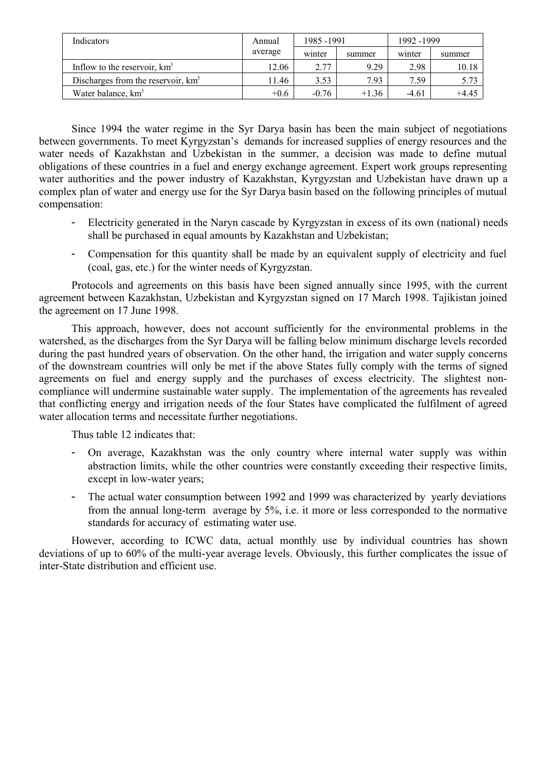| Indicators                           | Annual  | 1985-1991 |         | 1992 - 1999 |        |  |
|--------------------------------------|---------|-----------|---------|-------------|--------|--|
|                                      | average | winter    | summer  | winter      | summer |  |
| Inflow to the reservoir, $km3$       | 12.06   | 2.77      | 9.29    | 2.98        | 10.18  |  |
| Discharges from the reservoir, $km3$ | 11.46   | 3.53      | 7.93    | 7.59        | 5.73   |  |
| Water balance, km <sup>3</sup>       | $+0.6$  | $-0.76$   | $+1.36$ | $-4.61$     | +4.45  |  |

Since 1994 the water regime in the Syr Darya basin has been the main subject of negotiations between governments. To meet Kyrgyzstan's demands for increased supplies of energy resources and the water needs of Kazakhstan and Uzbekistan in the summer, a decision was made to define mutual obligations of these countries in a fuel and energy exchange agreement. Expert work groups representing water authorities and the power industry of Kazakhstan, Kyrgyzstan and Uzbekistan have drawn up a complex plan of water and energy use for the Syr Darya basin based on the following principles of mutual compensation:

- Electricity generated in the Naryn cascade by Kyrgyzstan in excess of its own (national) needs shall be purchased in equal amounts by Kazakhstan and Uzbekistan;
- Compensation for this quantity shall be made by an equivalent supply of electricity and fuel (coal, gas, etc.) for the winter needs of Kyrgyzstan.

Protocols and agreements on this basis have been signed annually since 1995, with the current agreement between Kazakhstan, Uzbekistan and Kyrgyzstan signed on 17 March 1998. Tajikistan joined the agreement on 17 June 1998.

This approach, however, does not account sufficiently for the environmental problems in the watershed, as the discharges from the Syr Darya will be falling below minimum discharge levels recorded during the past hundred years of observation. On the other hand, the irrigation and water supply concerns of the downstream countries will only be met if the above States fully comply with the terms of signed agreements on fuel and energy supply and the purchases of excess electricity. The slightest noncompliance will undermine sustainable water supply. The implementation of the agreements has revealed that conflicting energy and irrigation needs of the four States have complicated the fulfilment of agreed water allocation terms and necessitate further negotiations.

Thus table 12 indicates that:

- On average, Kazakhstan was the only country where internal water supply was within abstraction limits, while the other countries were constantly exceeding their respective limits, except in low-water years;
- The actual water consumption between 1992 and 1999 was characterized by yearly deviations from the annual long-term average by 5%, i.e. it more or less corresponded to the normative standards for accuracy of estimating water use.

However, according to ICWC data, actual monthly use by individual countries has shown deviations of up to 60% of the multi-year average levels. Obviously, this further complicates the issue of inter-State distribution and efficient use.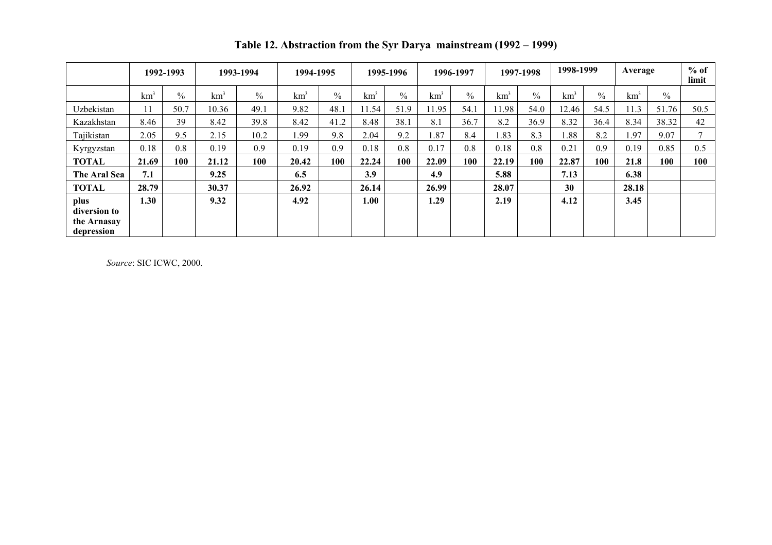|                           |                 | 1992-1993     | 1993-1994       |               | 1994-1995       |               | 1995-1996       |               | 1996-1997       |               | 1997-1998       |               | 1998-1999       |               | Average         |               | $%$ of<br>limit |
|---------------------------|-----------------|---------------|-----------------|---------------|-----------------|---------------|-----------------|---------------|-----------------|---------------|-----------------|---------------|-----------------|---------------|-----------------|---------------|-----------------|
|                           | km <sup>3</sup> | $\frac{0}{0}$ | km <sup>3</sup> | $\frac{0}{0}$ | km <sup>3</sup> | $\frac{0}{0}$ | km <sup>3</sup> | $\frac{0}{0}$ | km <sup>3</sup> | $\frac{0}{0}$ | km <sup>3</sup> | $\frac{0}{0}$ | km <sup>3</sup> | $\frac{0}{0}$ | km <sup>3</sup> | $\frac{0}{0}$ |                 |
| Uzbekistan                | 11              | 50.7          | 10.36           | 49.1          | 9.82            | 48.1          | 11.54           | 51.9          | 11.95           | 54.1          | 11.98           | 54.0          | 12.46           | 54.5          | 11.3            | 51.76         | 50.5            |
| Kazakhstan                | 8.46            | 39            | 8.42            | 39.8          | 8.42            | 41.2          | 8.48            | 38.1          | 8.1             | 36.7          | 8.2             | 36.9          | 8.32            | 36.4          | 8.34            | 38.32         | 42              |
| Tajikistan                | 2.05            | 9.5           | 2.15            | 10.2          | 1.99            | 9.8           | 2.04            | 9.2           | 1.87            | 8.4           | 1.83            | 8.3           | 1.88            | 8.2           | 1.97            | 9.07          | 7               |
| Kyrgyzstan                | 0.18            | 0.8           | 0.19            | 0.9           | 0.19            | 0.9           | 0.18            | 0.8           | 0.17            | 0.8           | 0.18            | 0.8           | 0.21            | 0.9           | 0.19            | 0.85          | 0.5             |
| <b>TOTAL</b>              | 21.69           | 100           | 21.12           | 100           | 20.42           | 100           | 22.24           | 100-          | 22.09           | 100           | 22.19           | 100           | 22.87           | 100           | 21.8            | 100           | 100             |
| The Aral Sea              | 7.1             |               | 9.25            |               | 6.5             |               | 3.9             |               | 4.9             |               | 5.88            |               | 7.13            |               | 6.38            |               |                 |
| <b>TOTAL</b>              | 28.79           |               | 30.37           |               | 26.92           |               | 26.14           |               | 26.99           |               | 28.07           |               | 30              |               | 28.18           |               |                 |
| plus<br>diversion to      | 1.30            |               | 9.32            |               | 4.92            |               | 1.00            |               | 1.29            |               | 2.19            |               | 4.12            |               | 3.45            |               |                 |
| the Arnasay<br>depression |                 |               |                 |               |                 |               |                 |               |                 |               |                 |               |                 |               |                 |               |                 |

**Table 12. Abstraction from the Syr Darya mainstream (1992 – 1999)**

*Source*: SIC ICWC, 2000.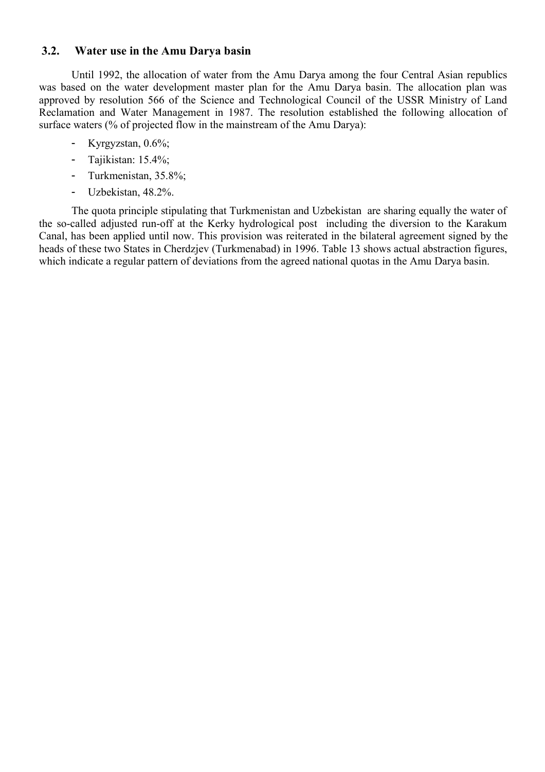# **3.2. Water use in the Amu Darya basin**

Until 1992, the allocation of water from the Amu Darya among the four Central Asian republics was based on the water development master plan for the Amu Darya basin. The allocation plan was approved by resolution 566 of the Science and Technological Council of the USSR Ministry of Land Reclamation and Water Management in 1987. The resolution established the following allocation of surface waters (% of projected flow in the mainstream of the Amu Darya):

- Kyrgyzstan, 0.6%;
- Tajikistan: 15.4%;
- Turkmenistan, 35.8%;
- Uzbekistan, 48.2%.

The quota principle stipulating that Turkmenistan and Uzbekistan are sharing equally the water of the so-called adjusted run-off at the Kerky hydrological post including the diversion to the Karakum Canal, has been applied until now. This provision was reiterated in the bilateral agreement signed by the heads of these two States in Cherdzjev (Turkmenabad) in 1996. Table 13 shows actual abstraction figures, which indicate a regular pattern of deviations from the agreed national quotas in the Amu Darya basin.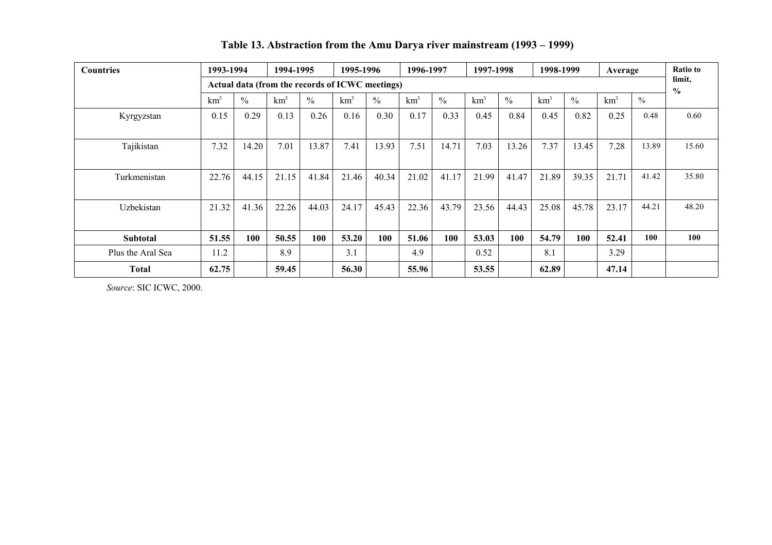| <b>Countries</b>  | 1993-1994                                       |               | 1994-1995       |               | 1995-1996       |               | 1996-1997       |               | 1997-1998               |               | 1998-1999       |               | Average         |       | Ratio to |
|-------------------|-------------------------------------------------|---------------|-----------------|---------------|-----------------|---------------|-----------------|---------------|-------------------------|---------------|-----------------|---------------|-----------------|-------|----------|
|                   | Actual data (from the records of ICWC meetings) |               |                 |               |                 |               |                 |               | limit,<br>$\frac{6}{6}$ |               |                 |               |                 |       |          |
|                   | km <sup>3</sup>                                 | $\frac{0}{0}$ | km <sup>3</sup> | $\frac{0}{0}$ | km <sup>3</sup> | $\frac{0}{0}$ | km <sup>3</sup> | $\frac{0}{0}$ | km <sup>3</sup>         | $\frac{0}{0}$ | km <sup>3</sup> | $\frac{0}{0}$ | km <sup>3</sup> | $\%$  |          |
| Kyrgyzstan        | 0.15                                            | 0.29          | 0.13            | 0.26          | 0.16            | 0.30          | 0.17            | 0.33          | 0.45                    | 0.84          | 0.45            | 0.82          | 0.25            | 0.48  | 0.60     |
|                   |                                                 |               |                 |               |                 |               |                 |               |                         |               |                 |               |                 |       |          |
| Tajikistan        | 7.32                                            | 14.20         | 7.01            | 13.87         | 7.41            | 13.93         | 7.51            | 14.71         | 7.03                    | 13.26         | 7.37            | 13.45         | 7.28            | 13.89 | 15.60    |
|                   |                                                 |               |                 |               |                 |               |                 |               |                         |               |                 |               |                 |       |          |
| Turkmenistan      | 22.76                                           | 44.15         | 21.15           | 41.84         | 21.46           | 40.34         | 21.02           | 41.17         | 21.99                   | 41.47         | 21.89           | 39.35         | 21.71           | 41.42 | 35.80    |
|                   |                                                 |               |                 |               |                 |               |                 |               |                         |               |                 |               |                 |       |          |
| Uzbekistan        | 21.32                                           | 41.36         | 22.26           | 44.03         | 24.17           | 45.43         | 22.36           | 43.79         | 23.56                   | 44.43         | 25.08           | 45.78         | 23.17           | 44.21 | 48.20    |
|                   |                                                 |               |                 |               |                 |               |                 |               |                         |               |                 |               |                 |       |          |
| <b>Subtotal</b>   | 51.55                                           | 100           | 50.55           | 100           | 53.20           | 100           | 51.06           | 100           | 53.03                   | 100           | 54.79           | 100           | 52.41           | 100   | 100      |
| Plus the Aral Sea | 11.2                                            |               | 8.9             |               | 3.1             |               | 4.9             |               | 0.52                    |               | 8.1             |               | 3.29            |       |          |
| Total             | 62.75                                           |               | 59.45           |               | 56.30           |               | 55.96           |               | 53.55                   |               | 62.89           |               | 47.14           |       |          |

**Table 13. Abstraction from the Amu Darya river mainstream (1993 – 1999)**

*Source*: SIC ICWC, 2000.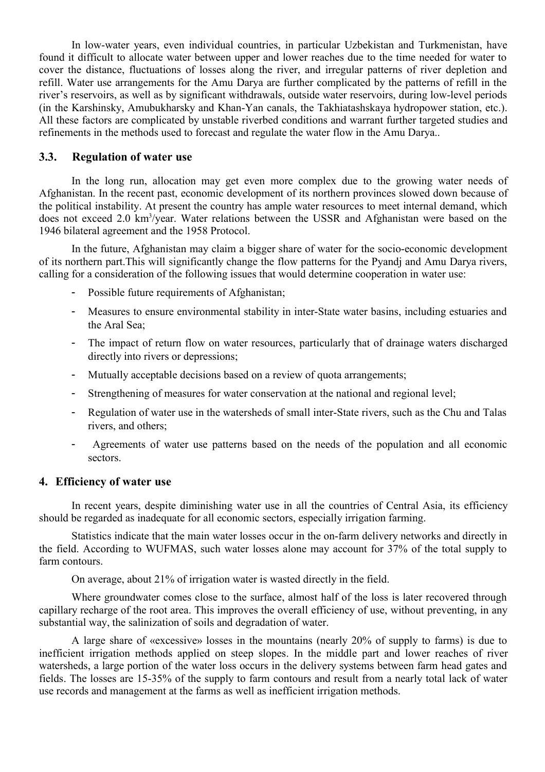In low-water years, even individual countries, in particular Uzbekistan and Turkmenistan, have found it difficult to allocate water between upper and lower reaches due to the time needed for water to cover the distance, fluctuations of losses along the river, and irregular patterns of river depletion and refill. Water use arrangements for the Amu Darya are further complicated by the patterns of refill in the river's reservoirs, as well as by significant withdrawals, outside water reservoirs, during low-level periods (in the Karshinsky, Amubukharsky and Khan-Yan canals, the Takhiatashskaya hydropower station, etc.). All these factors are complicated by unstable riverbed conditions and warrant further targeted studies and refinements in the methods used to forecast and regulate the water flow in the Amu Darya..

### **3.3. Regulation of water use**

In the long run, allocation may get even more complex due to the growing water needs of Afghanistan. In the recent past, economic development of its northern provinces slowed down because of the political instability. At present the country has ample water resources to meet internal demand, which does not exceed 2.0 km<sup>3</sup>/year. Water relations between the USSR and Afghanistan were based on the 1946 bilateral agreement and the 1958 Protocol.

In the future, Afghanistan may claim a bigger share of water for the socio-economic development of its northern part.This will significantly change the flow patterns for the Pyandj and Amu Darya rivers, calling for a consideration of the following issues that would determine cooperation in water use:

- Possible future requirements of Afghanistan;
- Measures to ensure environmental stability in inter-State water basins, including estuaries and the Aral Sea;
- The impact of return flow on water resources, particularly that of drainage waters discharged directly into rivers or depressions;
- Mutually acceptable decisions based on a review of quota arrangements;
- Strengthening of measures for water conservation at the national and regional level;
- Regulation of water use in the watersheds of small inter-State rivers, such as the Chu and Talas rivers, and others;
- Agreements of water use patterns based on the needs of the population and all economic sectors.

### **4. Efficiency of water use**

In recent years, despite diminishing water use in all the countries of Central Asia, its efficiency should be regarded as inadequate for all economic sectors, especially irrigation farming.

Statistics indicate that the main water losses occur in the on-farm delivery networks and directly in the field. According to WUFMAS, such water losses alone may account for 37% of the total supply to farm contours.

On average, about 21% of irrigation water is wasted directly in the field.

Where groundwater comes close to the surface, almost half of the loss is later recovered through capillary recharge of the root area. This improves the overall efficiency of use, without preventing, in any substantial way, the salinization of soils and degradation of water.

A large share of «excessive» losses in the mountains (nearly 20% of supply to farms) is due to inefficient irrigation methods applied on steep slopes. In the middle part and lower reaches of river watersheds, a large portion of the water loss occurs in the delivery systems between farm head gates and fields. The losses are 15-35% of the supply to farm contours and result from a nearly total lack of water use records and management at the farms as well as inefficient irrigation methods.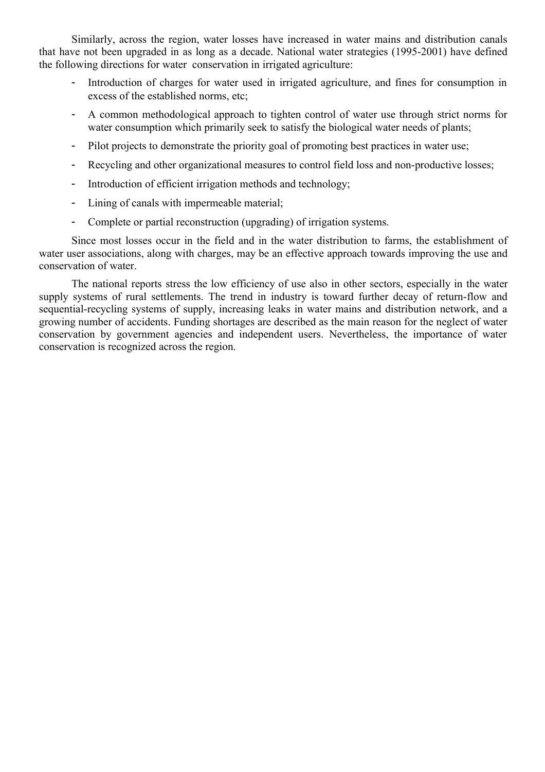Similarly, across the region, water losses have increased in water mains and distribution canals that have not been upgraded in as long as a decade. National water strategies (1995-2001) have defined the following directions for water conservation in irrigated agriculture:

- Introduction of charges for water used in irrigated agriculture, and fines for consumption in excess of the established norms, etc;
- A common methodological approach to tighten control of water use through strict norms for water consumption which primarily seek to satisfy the biological water needs of plants;
- Pilot projects to demonstrate the priority goal of promoting best practices in water use;
- Recycling and other organizational measures to control field loss and non-productive losses;
- Introduction of efficient irrigation methods and technology;
- Lining of canals with impermeable material;
- Complete or partial reconstruction (upgrading) of irrigation systems.

Since most losses occur in the field and in the water distribution to farms, the establishment of water user associations, along with charges, may be an effective approach towards improving the use and conservation of water.

The national reports stress the low efficiency of use also in other sectors, especially in the water supply systems of rural settlements. The trend in industry is toward further decay of return-flow and sequential-recycling systems of supply, increasing leaks in water mains and distribution network, and a growing number of accidents. Funding shortages are described as the main reason for the neglect of water conservation by government agencies and independent users. Nevertheless, the importance of water conservation is recognized across the region.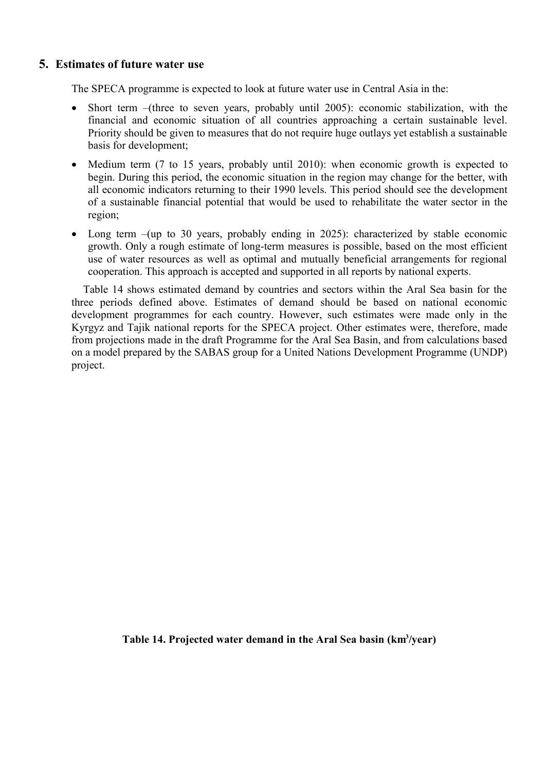### **5. Estimates of future water use**

The SPECA programme is expected to look at future water use in Central Asia in the:

- Short term –(three to seven years, probably until 2005): economic stabilization, with the financial and economic situation of all countries approaching a certain sustainable level. Priority should be given to measures that do not require huge outlays yet establish a sustainable basis for development;
- Medium term (7 to 15 years, probably until 2010): when economic growth is expected to begin. During this period, the economic situation in the region may change for the better, with all economic indicators returning to their 1990 levels. This period should see the development of a sustainable financial potential that would be used to rehabilitate the water sector in the region;
- Long term –(up to 30 years, probably ending in 2025): characterized by stable economic growth. Only a rough estimate of long-term measures is possible, based on the most efficient use of water resources as well as optimal and mutually beneficial arrangements for regional cooperation. This approach is accepted and supported in all reports by national experts.

Table 14 shows estimated demand by countries and sectors within the Aral Sea basin for the three periods defined above. Estimates of demand should be based on national economic development programmes for each country. However, such estimates were made only in the Kyrgyz and Tajik national reports for the SPECA project. Other estimates were, therefore, made from projections made in the draft Programme for the Aral Sea Basin, and from calculations based on a model prepared by the SABAS group for a United Nations Development Programme (UNDP) project.

### Table 14. Projected water demand in the Aral Sea basin (km<sup>3</sup>/year)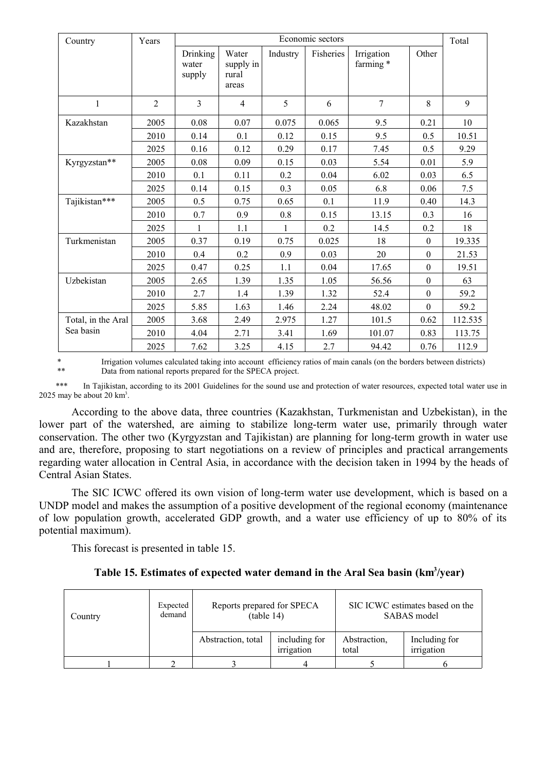| Country            | Years          | Economic sectors            |                                      |          |           |                         |                  |         |
|--------------------|----------------|-----------------------------|--------------------------------------|----------|-----------|-------------------------|------------------|---------|
|                    |                | Drinking<br>water<br>supply | Water<br>supply in<br>rural<br>areas | Industry | Fisheries | Irrigation<br>farming * | Other            |         |
| $\mathbf{1}$       | $\overline{2}$ | $\mathcal{E}$               | $\overline{4}$                       | 5        | 6         | $\overline{7}$          | 8                | 9       |
| Kazakhstan         | 2005           | 0.08                        | 0.07                                 | 0.075    | 0.065     | 9.5                     | 0.21             | 10      |
|                    | 2010           | 0.14                        | 0.1                                  | 0.12     | 0.15      | 9.5                     | 0.5              | 10.51   |
|                    | 2025           | 0.16                        | 0.12                                 | 0.29     | 0.17      | 7.45                    | 0.5              | 9.29    |
| Kyrgyzstan**       | 2005           | 0.08                        | 0.09                                 | 0.15     | 0.03      | 5.54                    | 0.01             | 5.9     |
|                    | 2010           | 0.1                         | 0.11                                 | 0.2      | 0.04      | 6.02                    | 0.03             | 6.5     |
|                    | 2025           | 0.14                        | 0.15                                 | 0.3      | 0.05      | 6.8                     | 0.06             | 7.5     |
| Tajikistan***      | 2005           | 0.5                         | 0.75                                 | 0.65     | 0.1       | 11.9                    | 0.40             | 14.3    |
|                    | 2010           | 0.7                         | 0.9                                  | 0.8      | 0.15      | 13.15                   | 0.3              | 16      |
|                    | 2025           | 1                           | 1.1                                  | 1        | 0.2       | 14.5                    | 0.2              | 18      |
| Turkmenistan       | 2005           | 0.37                        | 0.19                                 | 0.75     | 0.025     | 18                      | $\boldsymbol{0}$ | 19.335  |
|                    | 2010           | 0.4                         | 0.2                                  | 0.9      | 0.03      | 20                      | $\boldsymbol{0}$ | 21.53   |
|                    | 2025           | 0.47                        | 0.25                                 | 1.1      | 0.04      | 17.65                   | $\boldsymbol{0}$ | 19.51   |
| Uzbekistan         | 2005           | 2.65                        | 1.39                                 | 1.35     | 1.05      | 56.56                   | $\boldsymbol{0}$ | 63      |
|                    | 2010           | 2.7                         | 1.4                                  | 1.39     | 1.32      | 52.4                    | $\mathbf{0}$     | 59.2    |
|                    | 2025           | 5.85                        | 1.63                                 | 1.46     | 2.24      | 48.02                   | $\boldsymbol{0}$ | 59.2    |
| Total, in the Aral | 2005           | 3.68                        | 2.49                                 | 2.975    | 1.27      | 101.5                   | 0.62             | 112.535 |
| Sea basin          | 2010           | 4.04                        | 2.71                                 | 3.41     | 1.69      | 101.07                  | 0.83             | 113.75  |
|                    | 2025           | 7.62                        | 3.25                                 | 4.15     | 2.7       | 94.42                   | 0.76             | 112.9   |

\* Irrigation volumes calculated taking into account efficiency ratios of main canals (on the borders between districts) Data from national reports prepared for the SPECA project.

 \*\*\* In Tajikistan, according to its 2001 Guidelines for the sound use and protection of water resources, expected total water use in  $2025$  may be about  $20 \text{ km}^3$ .

According to the above data, three countries (Kazakhstan, Turkmenistan and Uzbekistan), in the lower part of the watershed, are aiming to stabilize long-term water use, primarily through water conservation. The other two (Kyrgyzstan and Tajikistan) are planning for long-term growth in water use and are, therefore, proposing to start negotiations on a review of principles and practical arrangements regarding water allocation in Central Asia, in accordance with the decision taken in 1994 by the heads of Central Asian States.

The SIC ICWC offered its own vision of long-term water use development, which is based on a UNDP model and makes the assumption of a positive development of the regional economy (maintenance of low population growth, accelerated GDP growth, and a water use efficiency of up to 80% of its potential maximum).

This forecast is presented in table 15.

Table 15. Estimates of expected water demand in the Aral Sea basin (km<sup>3</sup>/year)

| Expected<br>demand<br>Country |  | Reports prepared for SPECA<br>(table 14) |                             | SIC ICWC estimates based on the<br>SABAS model |                             |  |
|-------------------------------|--|------------------------------------------|-----------------------------|------------------------------------------------|-----------------------------|--|
|                               |  | Abstraction, total                       | including for<br>irrigation | Abstraction.<br>total                          | Including for<br>irrigation |  |
|                               |  |                                          |                             |                                                |                             |  |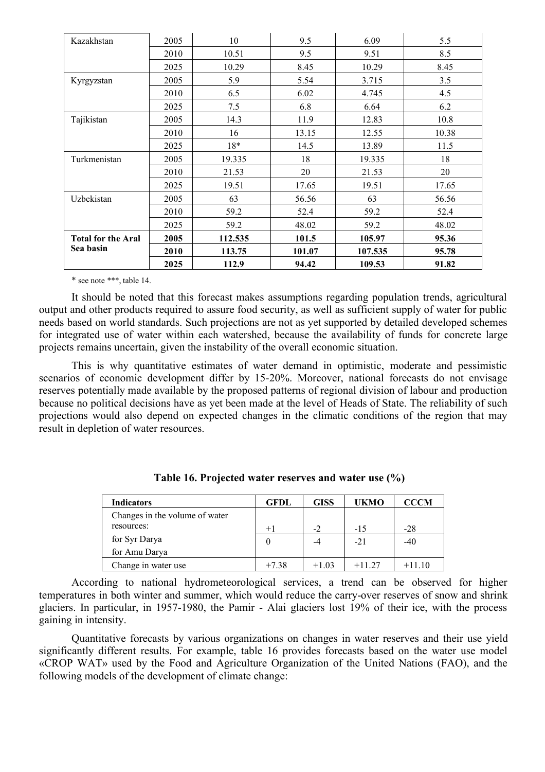| Kazakhstan                | 2005 | 10      | 9.5    | 6.09    | 5.5   |
|---------------------------|------|---------|--------|---------|-------|
|                           | 2010 | 10.51   | 9.5    | 9.51    | 8.5   |
|                           | 2025 | 10.29   | 8.45   | 10.29   | 8.45  |
| Kyrgyzstan                | 2005 | 5.9     | 5.54   | 3.715   | 3.5   |
|                           | 2010 | 6.5     | 6.02   | 4.745   | 4.5   |
|                           | 2025 | 7.5     | 6.8    | 6.64    | 6.2   |
| Tajikistan                | 2005 | 14.3    | 11.9   | 12.83   | 10.8  |
|                           | 2010 | 16      | 13.15  | 12.55   | 10.38 |
|                           | 2025 | 18*     | 14.5   | 13.89   | 11.5  |
| Turkmenistan              | 2005 | 19.335  | 18     | 19.335  | 18    |
|                           | 2010 | 21.53   | 20     | 21.53   | 20    |
|                           | 2025 | 19.51   | 17.65  | 19.51   | 17.65 |
| Uzbekistan                | 2005 | 63      | 56.56  | 63      | 56.56 |
|                           | 2010 | 59.2    | 52.4   | 59.2    | 52.4  |
|                           | 2025 | 59.2    | 48.02  | 59.2    | 48.02 |
| <b>Total for the Aral</b> | 2005 | 112.535 | 101.5  | 105.97  | 95.36 |
| Sea basin                 | 2010 | 113.75  | 101.07 | 107.535 | 95.78 |
|                           | 2025 | 112.9   | 94.42  | 109.53  | 91.82 |

\* see note \*\*\*, table 14.

It should be noted that this forecast makes assumptions regarding population trends, agricultural output and other products required to assure food security, as well as sufficient supply of water for public needs based on world standards. Such projections are not as yet supported by detailed developed schemes for integrated use of water within each watershed, because the availability of funds for concrete large projects remains uncertain, given the instability of the overall economic situation.

This is why quantitative estimates of water demand in optimistic, moderate and pessimistic scenarios of economic development differ by 15-20%. Moreover, national forecasts do not envisage reserves potentially made available by the proposed patterns of regional division of labour and production because no political decisions have as yet been made at the level of Heads of State. The reliability of such projections would also depend on expected changes in the climatic conditions of the region that may result in depletion of water resources.

| <b>Indicators</b>              | GFDL    | <b>GISS</b> | UKMO    | <b>CCCM</b> |
|--------------------------------|---------|-------------|---------|-------------|
| Changes in the volume of water |         |             |         |             |
| resources:                     | $+1$    | $-2$        | $-15$   | $-28$       |
| for Syr Darya                  | 0       | -4          | $-21$   | $-40$       |
| for Amu Darya                  |         |             |         |             |
| Change in water use            | $+7.38$ | $+1.03$     | $+1127$ | $+1110$     |

**Table 16. Projected water reserves and water use (%)**

According to national hydrometeorological services, a trend can be observed for higher temperatures in both winter and summer, which would reduce the carry-over reserves of snow and shrink glaciers. In particular, in 1957-1980, the Pamir - Alai glaciers lost 19% of their ice, with the process gaining in intensity.

Quantitative forecasts by various organizations on changes in water reserves and their use yield significantly different results. For example, table 16 provides forecasts based on the water use model «CROP WAT» used by the Food and Agriculture Organization of the United Nations (FAO), and the following models of the development of climate change: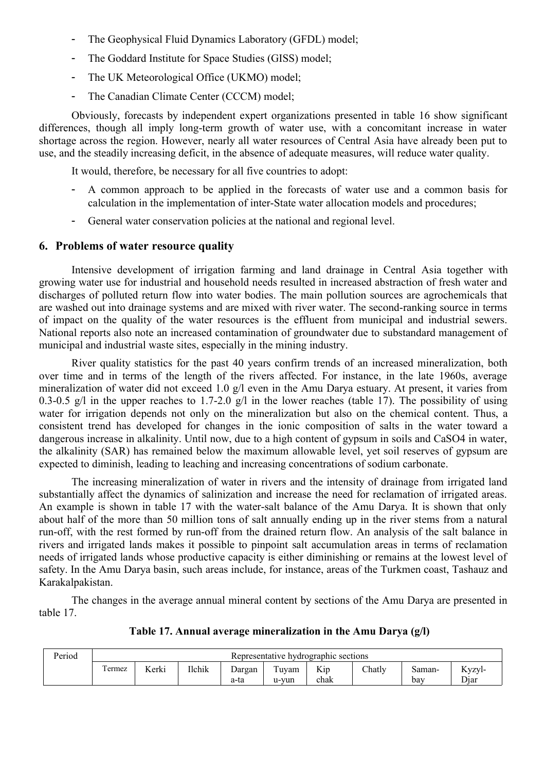- The Geophysical Fluid Dynamics Laboratory (GFDL) model;
- The Goddard Institute for Space Studies (GISS) model;
- The UK Meteorological Office (UKMO) model;
- The Canadian Climate Center (CCCM) model;

Obviously, forecasts by independent expert organizations presented in table 16 show significant differences, though all imply long-term growth of water use, with a concomitant increase in water shortage across the region. However, nearly all water resources of Central Asia have already been put to use, and the steadily increasing deficit, in the absence of adequate measures, will reduce water quality.

It would, therefore, be necessary for all five countries to adopt:

- A common approach to be applied in the forecasts of water use and a common basis for calculation in the implementation of inter-State water allocation models and procedures;
- General water conservation policies at the national and regional level.

#### **6. Problems of water resource quality**

Intensive development of irrigation farming and land drainage in Central Asia together with growing water use for industrial and household needs resulted in increased abstraction of fresh water and discharges of polluted return flow into water bodies. The main pollution sources are agrochemicals that are washed out into drainage systems and are mixed with river water. The second-ranking source in terms of impact on the quality of the water resources is the effluent from municipal and industrial sewers. National reports also note an increased contamination of groundwater due to substandard management of municipal and industrial waste sites, especially in the mining industry.

River quality statistics for the past 40 years confirm trends of an increased mineralization, both over time and in terms of the length of the rivers affected. For instance, in the late 1960s, average mineralization of water did not exceed 1.0 g/l even in the Amu Darya estuary. At present, it varies from 0.3-0.5 g/l in the upper reaches to 1.7-2.0 g/l in the lower reaches (table 17). The possibility of using water for irrigation depends not only on the mineralization but also on the chemical content. Thus, a consistent trend has developed for changes in the ionic composition of salts in the water toward a dangerous increase in alkalinity. Until now, due to a high content of gypsum in soils and CaSO4 in water, the alkalinity (SAR) has remained below the maximum allowable level, yet soil reserves of gypsum are expected to diminish, leading to leaching and increasing concentrations of sodium carbonate.

The increasing mineralization of water in rivers and the intensity of drainage from irrigated land substantially affect the dynamics of salinization and increase the need for reclamation of irrigated areas. An example is shown in table 17 with the water-salt balance of the Amu Darya. It is shown that only about half of the more than 50 million tons of salt annually ending up in the river stems from a natural run-off, with the rest formed by run-off from the drained return flow. An analysis of the salt balance in rivers and irrigated lands makes it possible to pinpoint salt accumulation areas in terms of reclamation needs of irrigated lands whose productive capacity is either diminishing or remains at the lowest level of safety. In the Amu Darya basin, such areas include, for instance, areas of the Turkmen coast, Tashauz and Karakalpakistan.

The changes in the average annual mineral content by sections of the Amu Darya are presented in table 17.

| <b>Period</b> | Representative hydrographic sections |       |               |                |               |             |        |               |                |  |
|---------------|--------------------------------------|-------|---------------|----------------|---------------|-------------|--------|---------------|----------------|--|
|               | ermez                                | Kerki | <b>Ilchik</b> | Dargan<br>a-ta | uvam<br>u-vun | Kip<br>chak | Chatly | Saman-<br>bav | Kyzyl-<br>Diar |  |

#### **Table 17. Annual average mineralization in the Amu Darya (g/l)**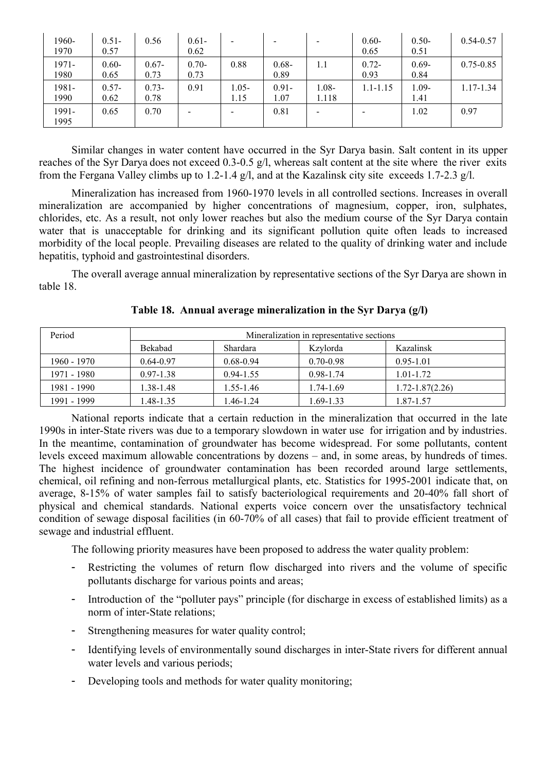| 1960-<br>1970 | $0.51 -$<br>0.57 | 0.56             | $0.61 -$<br>0.62 | $\,$             |                  | $\overline{\phantom{a}}$ | $0.60 -$<br>0.65 | $0.50 -$<br>0.51 | $0.54 - 0.57$ |
|---------------|------------------|------------------|------------------|------------------|------------------|--------------------------|------------------|------------------|---------------|
| 1971-<br>1980 | $0.60 -$<br>0.65 | $0.67 -$<br>0.73 | $0.70 -$<br>0.73 | 0.88             | $0.68 -$<br>0.89 | 1.1                      | $0.72 -$<br>0.93 | $0.69 -$<br>0.84 | $0.75 - 0.85$ |
| 1981-<br>1990 | $0.57 -$<br>0.62 | $0.73 -$<br>0.78 | 0.91             | $1.05 -$<br>1.15 | $0.91 -$<br>1.07 | 1.08-<br>1.118           | $1.1 - 1.15$     | 1.09-<br>1.41    | $1.17 - 1.34$ |
| 1991-<br>1995 | 0.65             | 0.70             |                  | $\,$             | 0.81             | -                        |                  | 1.02             | 0.97          |

Similar changes in water content have occurred in the Syr Darya basin. Salt content in its upper reaches of the Syr Darya does not exceed 0.3-0.5 g/l, whereas salt content at the site where the river exits from the Fergana Valley climbs up to 1.2-1.4 g/l, and at the Kazalinsk city site exceeds 1.7-2.3 g/l.

Mineralization has increased from 1960-1970 levels in all controlled sections. Increases in overall mineralization are accompanied by higher concentrations of magnesium, copper, iron, sulphates, chlorides, etc. As a result, not only lower reaches but also the medium course of the Syr Darya contain water that is unacceptable for drinking and its significant pollution quite often leads to increased morbidity of the local people. Prevailing diseases are related to the quality of drinking water and include hepatitis, typhoid and gastrointestinal disorders.

The overall average annual mineralization by representative sections of the Syr Darya are shown in table 18.

| Period      | Mineralization in representative sections |                 |               |                 |  |  |  |  |  |
|-------------|-------------------------------------------|-----------------|---------------|-----------------|--|--|--|--|--|
|             | Bekabad                                   | <b>Shardara</b> | Kzylorda      | Kazalinsk       |  |  |  |  |  |
| 1960 - 1970 | $0.64 - 0.97$                             | $0.68 - 0.94$   | $0.70 - 0.98$ | $0.95 - 1.01$   |  |  |  |  |  |
| 1971 - 1980 | $0.97 - 1.38$                             | $0.94 - 1.55$   | $0.98 - 1.74$ | 1.01-1.72       |  |  |  |  |  |
| 1981 - 1990 | 1.38-1.48                                 | 1.55-1.46       | 1.74-1.69     | 1.72-1.87(2.26) |  |  |  |  |  |
| 1991 - 1999 | $.48 - 1.35$                              | .46-1.24        | $.69 - 1.33$  | 1.87-1.57       |  |  |  |  |  |

**Table 18. Annual average mineralization in the Syr Darya (g/l)**

National reports indicate that a certain reduction in the mineralization that occurred in the late 1990s in inter-State rivers was due to a temporary slowdown in water use for irrigation and by industries. In the meantime, contamination of groundwater has become widespread. For some pollutants, content levels exceed maximum allowable concentrations by dozens – and, in some areas, by hundreds of times. The highest incidence of groundwater contamination has been recorded around large settlements, chemical, oil refining and non-ferrous metallurgical plants, etc. Statistics for 1995-2001 indicate that, on average, 8-15% of water samples fail to satisfy bacteriological requirements and 20-40% fall short of physical and chemical standards. National experts voice concern over the unsatisfactory technical condition of sewage disposal facilities (in 60-70% of all cases) that fail to provide efficient treatment of sewage and industrial effluent.

The following priority measures have been proposed to address the water quality problem:

- Restricting the volumes of return flow discharged into rivers and the volume of specific pollutants discharge for various points and areas;
- Introduction of the "polluter pays" principle (for discharge in excess of established limits) as a norm of inter-State relations;
- Strengthening measures for water quality control;
- Identifying levels of environmentally sound discharges in inter-State rivers for different annual water levels and various periods;
- Developing tools and methods for water quality monitoring;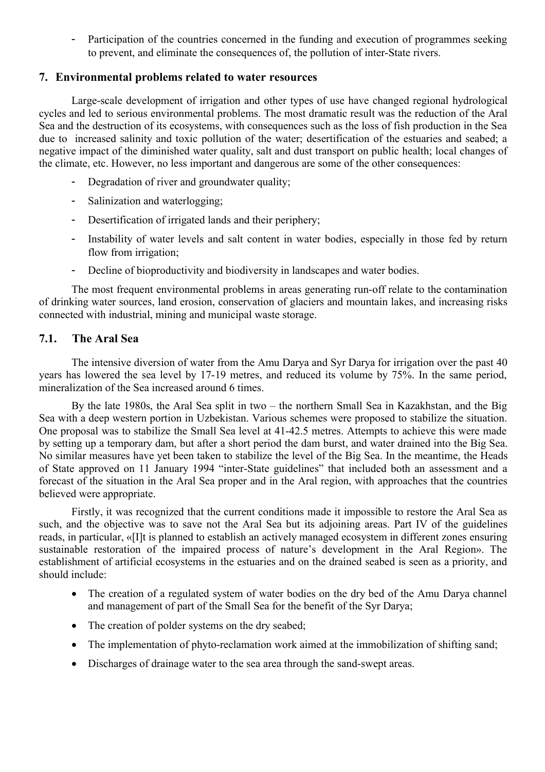Participation of the countries concerned in the funding and execution of programmes seeking to prevent, and eliminate the consequences of, the pollution of inter-State rivers.

# **7. Environmental problems related to water resources**

Large-scale development of irrigation and other types of use have changed regional hydrological cycles and led to serious environmental problems. The most dramatic result was the reduction of the Aral Sea and the destruction of its ecosystems, with consequences such as the loss of fish production in the Sea due to increased salinity and toxic pollution of the water; desertification of the estuaries and seabed; a negative impact of the diminished water quality, salt and dust transport on public health; local changes of the climate, etc. However, no less important and dangerous are some of the other consequences:

- Degradation of river and groundwater quality;
- Salinization and waterlogging;
- Desertification of irrigated lands and their periphery;
- Instability of water levels and salt content in water bodies, especially in those fed by return flow from irrigation;
- Decline of bioproductivity and biodiversity in landscapes and water bodies.

The most frequent environmental problems in areas generating run-off relate to the contamination of drinking water sources, land erosion, conservation of glaciers and mountain lakes, and increasing risks connected with industrial, mining and municipal waste storage.

# **7.1. The Aral Sea**

The intensive diversion of water from the Amu Darya and Syr Darya for irrigation over the past 40 years has lowered the sea level by 17-19 metres, and reduced its volume by 75%. In the same period, mineralization of the Sea increased around 6 times.

By the late 1980s, the Aral Sea split in two – the northern Small Sea in Kazakhstan, and the Big Sea with a deep western portion in Uzbekistan. Various schemes were proposed to stabilize the situation. One proposal was to stabilize the Small Sea level at 41-42.5 metres. Attempts to achieve this were made by setting up a temporary dam, but after a short period the dam burst, and water drained into the Big Sea. No similar measures have yet been taken to stabilize the level of the Big Sea. In the meantime, the Heads of State approved on 11 January 1994 "inter-State guidelines" that included both an assessment and a forecast of the situation in the Aral Sea proper and in the Aral region, with approaches that the countries believed were appropriate.

Firstly, it was recognized that the current conditions made it impossible to restore the Aral Sea as such, and the objective was to save not the Aral Sea but its adjoining areas. Part IV of the guidelines reads, in particular, «[I]t is planned to establish an actively managed ecosystem in different zones ensuring sustainable restoration of the impaired process of nature's development in the Aral Region». The establishment of artificial ecosystems in the estuaries and on the drained seabed is seen as a priority, and should include:

- The creation of a regulated system of water bodies on the dry bed of the Amu Darya channel and management of part of the Small Sea for the benefit of the Syr Darya;
- The creation of polder systems on the dry seabed;
- The implementation of phyto-reclamation work aimed at the immobilization of shifting sand;
- Discharges of drainage water to the sea area through the sand-swept areas.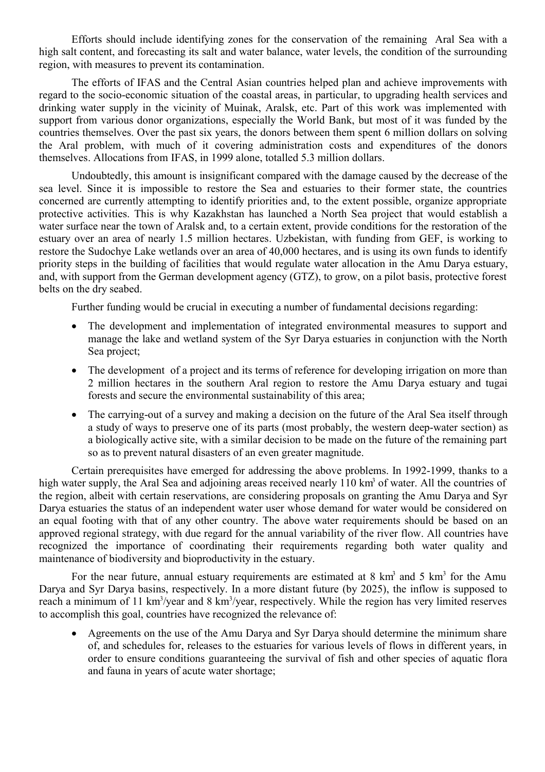Efforts should include identifying zones for the conservation of the remaining Aral Sea with a high salt content, and forecasting its salt and water balance, water levels, the condition of the surrounding region, with measures to prevent its contamination.

The efforts of IFAS and the Central Asian countries helped plan and achieve improvements with regard to the socio-economic situation of the coastal areas, in particular, to upgrading health services and drinking water supply in the vicinity of Muinak, Aralsk, etc. Part of this work was implemented with support from various donor organizations, especially the World Bank, but most of it was funded by the countries themselves. Over the past six years, the donors between them spent 6 million dollars on solving the Aral problem, with much of it covering administration costs and expenditures of the donors themselves. Allocations from IFAS, in 1999 alone, totalled 5.3 million dollars.

Undoubtedly, this amount is insignificant compared with the damage caused by the decrease of the sea level. Since it is impossible to restore the Sea and estuaries to their former state, the countries concerned are currently attempting to identify priorities and, to the extent possible, organize appropriate protective activities. This is why Kazakhstan has launched a North Sea project that would establish a water surface near the town of Aralsk and, to a certain extent, provide conditions for the restoration of the estuary over an area of nearly 1.5 million hectares. Uzbekistan, with funding from GEF, is working to restore the Sudochye Lake wetlands over an area of 40,000 hectares, and is using its own funds to identify priority steps in the building of facilities that would regulate water allocation in the Amu Darya estuary, and, with support from the German development agency (GTZ), to grow, on a pilot basis, protective forest belts on the dry seabed.

Further funding would be crucial in executing a number of fundamental decisions regarding:

- The development and implementation of integrated environmental measures to support and manage the lake and wetland system of the Syr Darya estuaries in conjunction with the North Sea project;
- The development of a project and its terms of reference for developing irrigation on more than 2 million hectares in the southern Aral region to restore the Amu Darya estuary and tugai forests and secure the environmental sustainability of this area;
- The carrying-out of a survey and making a decision on the future of the Aral Sea itself through a study of ways to preserve one of its parts (most probably, the western deep-water section) as a biologically active site, with a similar decision to be made on the future of the remaining part so as to prevent natural disasters of an even greater magnitude.

Certain prerequisites have emerged for addressing the above problems. In 1992-1999, thanks to a high water supply, the Aral Sea and adjoining areas received nearly 110 km<sup>3</sup> of water. All the countries of the region, albeit with certain reservations, are considering proposals on granting the Amu Darya and Syr Darya estuaries the status of an independent water user whose demand for water would be considered on an equal footing with that of any other country. The above water requirements should be based on an approved regional strategy, with due regard for the annual variability of the river flow. All countries have recognized the importance of coordinating their requirements regarding both water quality and maintenance of biodiversity and bioproductivity in the estuary.

For the near future, annual estuary requirements are estimated at  $8 \text{ km}^3$  and  $5 \text{ km}^3$  for the Amu Darya and Syr Darya basins, respectively. In a more distant future (by 2025), the inflow is supposed to reach a minimum of 11 km<sup>3</sup>/year and 8 km<sup>3</sup>/year, respectively. While the region has very limited reserves to accomplish this goal, countries have recognized the relevance of:

• Agreements on the use of the Amu Darya and Syr Darya should determine the minimum share of, and schedules for, releases to the estuaries for various levels of flows in different years, in order to ensure conditions guaranteeing the survival of fish and other species of aquatic flora and fauna in years of acute water shortage;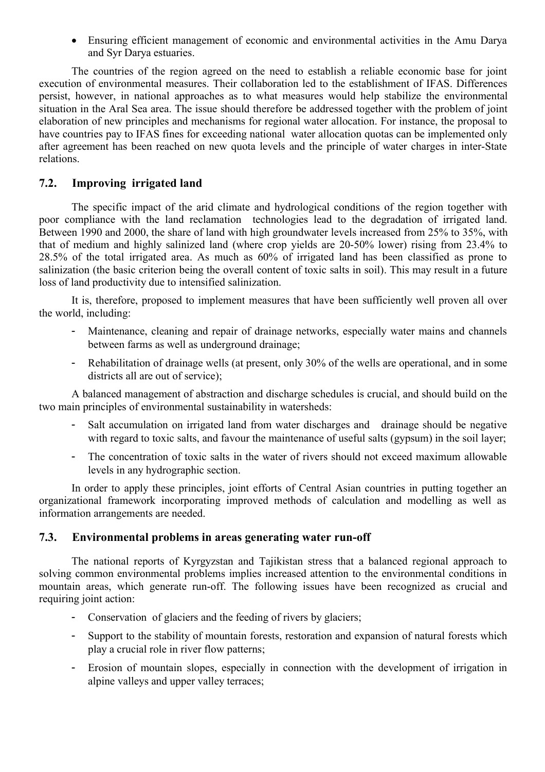Ensuring efficient management of economic and environmental activities in the Amu Darya and Syr Darya estuaries.

The countries of the region agreed on the need to establish a reliable economic base for joint execution of environmental measures. Their collaboration led to the establishment of IFAS. Differences persist, however, in national approaches as to what measures would help stabilize the environmental situation in the Aral Sea area. The issue should therefore be addressed together with the problem of joint elaboration of new principles and mechanisms for regional water allocation. For instance, the proposal to have countries pay to IFAS fines for exceeding national water allocation quotas can be implemented only after agreement has been reached on new quota levels and the principle of water charges in inter-State relations.

# **7.2. Improving irrigated land**

The specific impact of the arid climate and hydrological conditions of the region together with poor compliance with the land reclamation technologies lead to the degradation of irrigated land. Between 1990 and 2000, the share of land with high groundwater levels increased from 25% to 35%, with that of medium and highly salinized land (where crop yields are 20-50% lower) rising from 23.4% to 28.5% of the total irrigated area. As much as 60% of irrigated land has been classified as prone to salinization (the basic criterion being the overall content of toxic salts in soil). This may result in a future loss of land productivity due to intensified salinization.

It is, therefore, proposed to implement measures that have been sufficiently well proven all over the world, including:

- Maintenance, cleaning and repair of drainage networks, especially water mains and channels between farms as well as underground drainage;
- Rehabilitation of drainage wells (at present, only 30% of the wells are operational, and in some districts all are out of service);

A balanced management of abstraction and discharge schedules is crucial, and should build on the two main principles of environmental sustainability in watersheds:

- Salt accumulation on irrigated land from water discharges and drainage should be negative with regard to toxic salts, and favour the maintenance of useful salts (gypsum) in the soil layer;
- The concentration of toxic salts in the water of rivers should not exceed maximum allowable levels in any hydrographic section.

In order to apply these principles, joint efforts of Central Asian countries in putting together an organizational framework incorporating improved methods of calculation and modelling as well as information arrangements are needed.

### **7.3. Environmental problems in areas generating water run-off**

The national reports of Kyrgyzstan and Tajikistan stress that a balanced regional approach to solving common environmental problems implies increased attention to the environmental conditions in mountain areas, which generate run-off. The following issues have been recognized as crucial and requiring joint action:

- Conservation of glaciers and the feeding of rivers by glaciers;
- Support to the stability of mountain forests, restoration and expansion of natural forests which play a crucial role in river flow patterns;
- Erosion of mountain slopes, especially in connection with the development of irrigation in alpine valleys and upper valley terraces;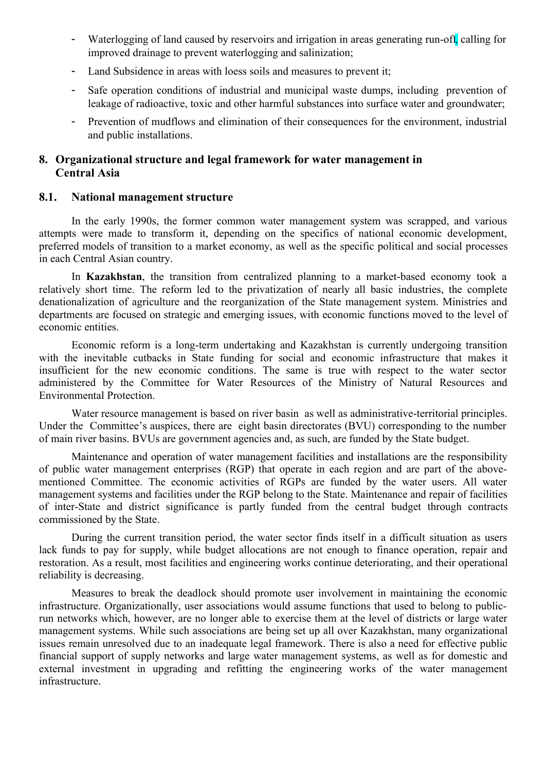- Waterlogging of land caused by reservoirs and irrigation in areas generating run-off, calling for improved drainage to prevent waterlogging and salinization;
- Land Subsidence in areas with loess soils and measures to prevent it;
- Safe operation conditions of industrial and municipal waste dumps, including prevention of leakage of radioactive, toxic and other harmful substances into surface water and groundwater;
- Prevention of mudflows and elimination of their consequences for the environment, industrial and public installations.

# **8. Organizational structure and legal framework for water management in Central Asia**

# **8.1. National management structure**

In the early 1990s, the former common water management system was scrapped, and various attempts were made to transform it, depending on the specifics of national economic development, preferred models of transition to a market economy, as well as the specific political and social processes in each Central Asian country.

In **Kazakhstan**, the transition from centralized planning to a market-based economy took a relatively short time. The reform led to the privatization of nearly all basic industries, the complete denationalization of agriculture and the reorganization of the State management system. Ministries and departments are focused on strategic and emerging issues, with economic functions moved to the level of economic entities.

Economic reform is a long-term undertaking and Kazakhstan is currently undergoing transition with the inevitable cutbacks in State funding for social and economic infrastructure that makes it insufficient for the new economic conditions. The same is true with respect to the water sector administered by the Committee for Water Resources of the Ministry of Natural Resources and Environmental Protection.

Water resource management is based on river basin as well as administrative-territorial principles. Under the Committee's auspices, there are eight basin directorates (BVU) corresponding to the number of main river basins. BVUs are government agencies and, as such, are funded by the State budget.

Maintenance and operation of water management facilities and installations are the responsibility of public water management enterprises (RGP) that operate in each region and are part of the abovementioned Committee. The economic activities of RGPs are funded by the water users. All water management systems and facilities under the RGP belong to the State. Maintenance and repair of facilities of inter-State and district significance is partly funded from the central budget through contracts commissioned by the State.

During the current transition period, the water sector finds itself in a difficult situation as users lack funds to pay for supply, while budget allocations are not enough to finance operation, repair and restoration. As a result, most facilities and engineering works continue deteriorating, and their operational reliability is decreasing.

Measures to break the deadlock should promote user involvement in maintaining the economic infrastructure. Organizationally, user associations would assume functions that used to belong to publicrun networks which, however, are no longer able to exercise them at the level of districts or large water management systems. While such associations are being set up all over Kazakhstan, many organizational issues remain unresolved due to an inadequate legal framework. There is also a need for effective public financial support of supply networks and large water management systems, as well as for domestic and external investment in upgrading and refitting the engineering works of the water management infrastructure.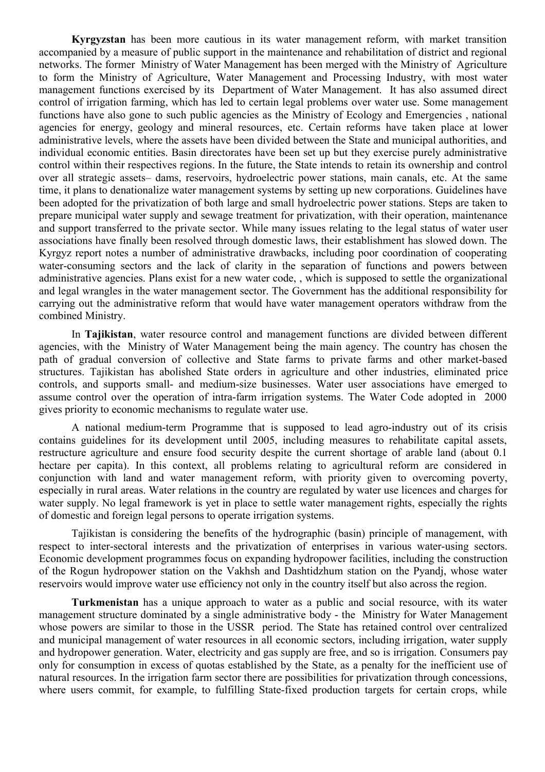**Kyrgyzstan** has been more cautious in its water management reform, with market transition accompanied by a measure of public support in the maintenance and rehabilitation of district and regional networks. The former Ministry of Water Management has been merged with the Ministry of Agriculture to form the Ministry of Agriculture, Water Management and Processing Industry, with most water management functions exercised by its Department of Water Management. It has also assumed direct control of irrigation farming, which has led to certain legal problems over water use. Some management functions have also gone to such public agencies as the Ministry of Ecology and Emergencies , national agencies for energy, geology and mineral resources, etc. Certain reforms have taken place at lower administrative levels, where the assets have been divided between the State and municipal authorities, and individual economic entities. Basin directorates have been set up but they exercise purely administrative control within their respectives regions. In the future, the State intends to retain its ownership and control over all strategic assets– dams, reservoirs, hydroelectric power stations, main canals, etc. At the same time, it plans to denationalize water management systems by setting up new corporations. Guidelines have been adopted for the privatization of both large and small hydroelectric power stations. Steps are taken to prepare municipal water supply and sewage treatment for privatization, with their operation, maintenance and support transferred to the private sector. While many issues relating to the legal status of water user associations have finally been resolved through domestic laws, their establishment has slowed down. The Kyrgyz report notes a number of administrative drawbacks, including poor coordination of cooperating water-consuming sectors and the lack of clarity in the separation of functions and powers between administrative agencies. Plans exist for a new water code, , which is supposed to settle the organizational and legal wrangles in the water management sector. The Government has the additional responsibility for carrying out the administrative reform that would have water management operators withdraw from the combined Ministry.

In **Tajikistan**, water resource control and management functions are divided between different agencies, with the Ministry of Water Management being the main agency. The country has chosen the path of gradual conversion of collective and State farms to private farms and other market-based structures. Tajikistan has abolished State orders in agriculture and other industries, eliminated price controls, and supports small- and medium-size businesses. Water user associations have emerged to assume control over the operation of intra-farm irrigation systems. The Water Code adopted in 2000 gives priority to economic mechanisms to regulate water use.

A national medium-term Programme that is supposed to lead agro-industry out of its crisis contains guidelines for its development until 2005, including measures to rehabilitate capital assets, restructure agriculture and ensure food security despite the current shortage of arable land (about 0.1 hectare per capita). In this context, all problems relating to agricultural reform are considered in conjunction with land and water management reform, with priority given to overcoming poverty, especially in rural areas. Water relations in the country are regulated by water use licences and charges for water supply. No legal framework is yet in place to settle water management rights, especially the rights of domestic and foreign legal persons to operate irrigation systems.

Tajikistan is considering the benefits of the hydrographic (basin) principle of management, with respect to inter-sectoral interests and the privatization of enterprises in various water-using sectors. Economic development programmes focus on expanding hydropower facilities, including the construction of the Rogun hydropower station on the Vakhsh and Dashtidzhum station on the Pyandj, whose water reservoirs would improve water use efficiency not only in the country itself but also across the region.

**Turkmenistan** has a unique approach to water as a public and social resource, with its water management structure dominated by a single administrative body - the Ministry for Water Management whose powers are similar to those in the USSR period. The State has retained control over centralized and municipal management of water resources in all economic sectors, including irrigation, water supply and hydropower generation. Water, electricity and gas supply are free, and so is irrigation. Consumers pay only for consumption in excess of quotas established by the State, as a penalty for the inefficient use of natural resources. In the irrigation farm sector there are possibilities for privatization through concessions, where users commit, for example, to fulfilling State-fixed production targets for certain crops, while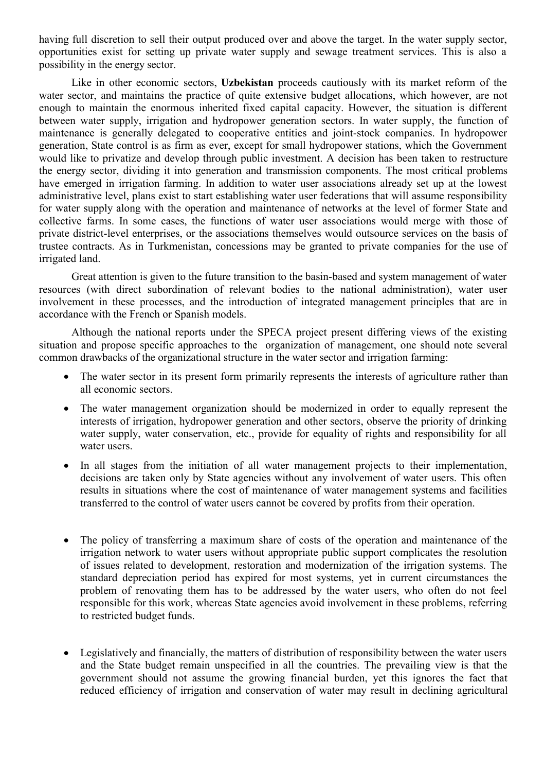having full discretion to sell their output produced over and above the target. In the water supply sector, opportunities exist for setting up private water supply and sewage treatment services. This is also a possibility in the energy sector.

Like in other economic sectors, **Uzbekistan** proceeds cautiously with its market reform of the water sector, and maintains the practice of quite extensive budget allocations, which however, are not enough to maintain the enormous inherited fixed capital capacity. However, the situation is different between water supply, irrigation and hydropower generation sectors. In water supply, the function of maintenance is generally delegated to cooperative entities and joint-stock companies. In hydropower generation, State control is as firm as ever, except for small hydropower stations, which the Government would like to privatize and develop through public investment. A decision has been taken to restructure the energy sector, dividing it into generation and transmission components. The most critical problems have emerged in irrigation farming. In addition to water user associations already set up at the lowest administrative level, plans exist to start establishing water user federations that will assume responsibility for water supply along with the operation and maintenance of networks at the level of former State and collective farms. In some cases, the functions of water user associations would merge with those of private district-level enterprises, or the associations themselves would outsource services on the basis of trustee contracts. As in Turkmenistan, concessions may be granted to private companies for the use of irrigated land.

Great attention is given to the future transition to the basin-based and system management of water resources (with direct subordination of relevant bodies to the national administration), water user involvement in these processes, and the introduction of integrated management principles that are in accordance with the French or Spanish models.

Although the national reports under the SPECA project present differing views of the existing situation and propose specific approaches to the organization of management, one should note several common drawbacks of the organizational structure in the water sector and irrigation farming:

- The water sector in its present form primarily represents the interests of agriculture rather than all economic sectors.
- The water management organization should be modernized in order to equally represent the interests of irrigation, hydropower generation and other sectors, observe the priority of drinking water supply, water conservation, etc., provide for equality of rights and responsibility for all water users.
- In all stages from the initiation of all water management projects to their implementation, decisions are taken only by State agencies without any involvement of water users. This often results in situations where the cost of maintenance of water management systems and facilities transferred to the control of water users cannot be covered by profits from their operation.
- The policy of transferring a maximum share of costs of the operation and maintenance of the irrigation network to water users without appropriate public support complicates the resolution of issues related to development, restoration and modernization of the irrigation systems. The standard depreciation period has expired for most systems, yet in current circumstances the problem of renovating them has to be addressed by the water users, who often do not feel responsible for this work, whereas State agencies avoid involvement in these problems, referring to restricted budget funds.
- Legislatively and financially, the matters of distribution of responsibility between the water users and the State budget remain unspecified in all the countries. The prevailing view is that the government should not assume the growing financial burden, yet this ignores the fact that reduced efficiency of irrigation and conservation of water may result in declining agricultural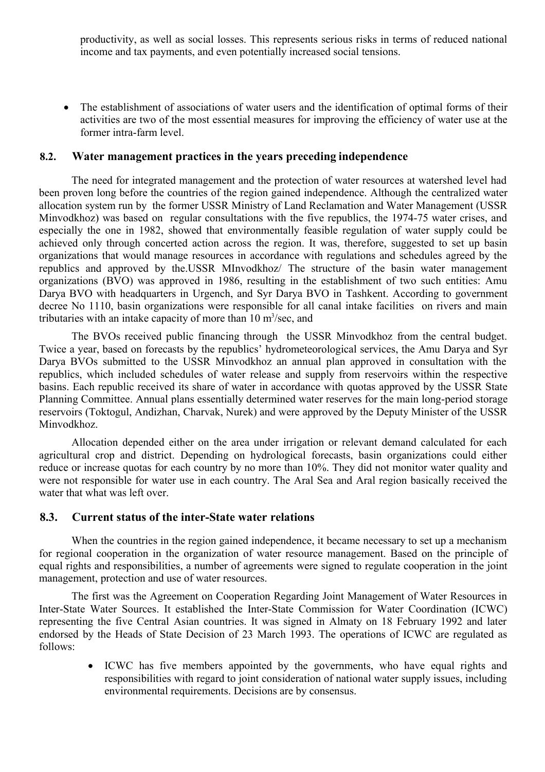productivity, as well as social losses. This represents serious risks in terms of reduced national income and tax payments, and even potentially increased social tensions.

• The establishment of associations of water users and the identification of optimal forms of their activities are two of the most essential measures for improving the efficiency of water use at the former intra-farm level.

### **8.2. Water management practices in the years preceding independence**

The need for integrated management and the protection of water resources at watershed level had been proven long before the countries of the region gained independence. Although the centralized water allocation system run by the former USSR Ministry of Land Reclamation and Water Management (USSR Minvodkhoz) was based on regular consultations with the five republics, the 1974-75 water crises, and especially the one in 1982, showed that environmentally feasible regulation of water supply could be achieved only through concerted action across the region. It was, therefore, suggested to set up basin organizations that would manage resources in accordance with regulations and schedules agreed by the republics and approved by the.USSR MInvodkhoz/ The structure of the basin water management organizations (BVO) was approved in 1986, resulting in the establishment of two such entities: Amu Darya BVO with headquarters in Urgench, and Syr Darya BVO in Tashkent. According to government decree No 1110, basin organizations were responsible for all canal intake facilities on rivers and main tributaries with an intake capacity of more than  $10 \text{ m}^3/\text{sec}$ , and

The BVOs received public financing through the USSR Minvodkhoz from the central budget. Twice a year, based on forecasts by the republics' hydrometeorological services, the Amu Darya and Syr Darya BVOs submitted to the USSR Minvodkhoz an annual plan approved in consultation with the republics, which included schedules of water release and supply from reservoirs within the respective basins. Each republic received its share of water in accordance with quotas approved by the USSR State Planning Committee. Annual plans essentially determined water reserves for the main long-period storage reservoirs (Toktogul, Andizhan, Charvak, Nurek) and were approved by the Deputy Minister of the USSR Minvodkhoz.

Allocation depended either on the area under irrigation or relevant demand calculated for each agricultural crop and district. Depending on hydrological forecasts, basin organizations could either reduce or increase quotas for each country by no more than 10%. They did not monitor water quality and were not responsible for water use in each country. The Aral Sea and Aral region basically received the water that what was left over.

### **8.3. Current status of the inter-State water relations**

When the countries in the region gained independence, it became necessary to set up a mechanism for regional cooperation in the organization of water resource management. Based on the principle of equal rights and responsibilities, a number of agreements were signed to regulate cooperation in the joint management, protection and use of water resources.

The first was the Agreement on Cooperation Regarding Joint Management of Water Resources in Inter-State Water Sources. It established the Inter-State Commission for Water Coordination (ICWC) representing the five Central Asian countries. It was signed in Almaty on 18 February 1992 and later endorsed by the Heads of State Decision of 23 March 1993. The operations of ICWC are regulated as follows:

> ICWC has five members appointed by the governments, who have equal rights and responsibilities with regard to joint consideration of national water supply issues, including environmental requirements. Decisions are by consensus.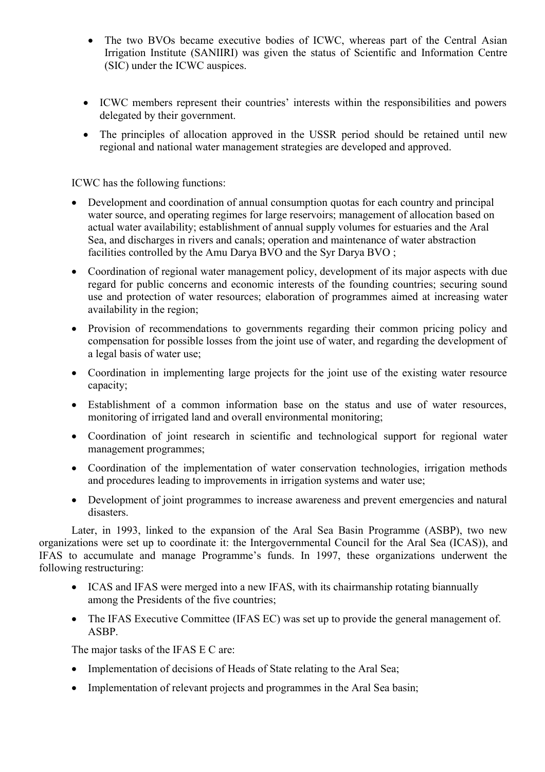- The two BVOs became executive bodies of ICWC, whereas part of the Central Asian Irrigation Institute (SANIIRI) was given the status of Scientific and Information Centre (SIC) under the ICWC auspices.
- ICWC members represent their countries' interests within the responsibilities and powers delegated by their government.
- The principles of allocation approved in the USSR period should be retained until new regional and national water management strategies are developed and approved.

ICWC has the following functions:

- Development and coordination of annual consumption quotas for each country and principal water source, and operating regimes for large reservoirs; management of allocation based on actual water availability; establishment of annual supply volumes for estuaries and the Aral Sea, and discharges in rivers and canals; operation and maintenance of water abstraction facilities controlled by the Amu Darya BVO and the Syr Darya BVO;
- Coordination of regional water management policy, development of its major aspects with due regard for public concerns and economic interests of the founding countries; securing sound use and protection of water resources; elaboration of programmes aimed at increasing water availability in the region;
- Provision of recommendations to governments regarding their common pricing policy and compensation for possible losses from the joint use of water, and regarding the development of a legal basis of water use;
- Coordination in implementing large projects for the joint use of the existing water resource capacity;
- Establishment of a common information base on the status and use of water resources, monitoring of irrigated land and overall environmental monitoring;
- Coordination of joint research in scientific and technological support for regional water management programmes;
- Coordination of the implementation of water conservation technologies, irrigation methods and procedures leading to improvements in irrigation systems and water use;
- Development of joint programmes to increase awareness and prevent emergencies and natural disasters.

Later, in 1993, linked to the expansion of the Aral Sea Basin Programme (ASBP), two new organizations were set up to coordinate it: the Intergovernmental Council for the Aral Sea (ICAS)), and IFAS to accumulate and manage Programme's funds. In 1997, these organizations underwent the following restructuring:

- ICAS and IFAS were merged into a new IFAS, with its chairmanship rotating biannually among the Presidents of the five countries;
- The IFAS Executive Committee (IFAS EC) was set up to provide the general management of. ASBP.

The major tasks of the IFAS E C are:

- Implementation of decisions of Heads of State relating to the Aral Sea;
- Implementation of relevant projects and programmes in the Aral Sea basin;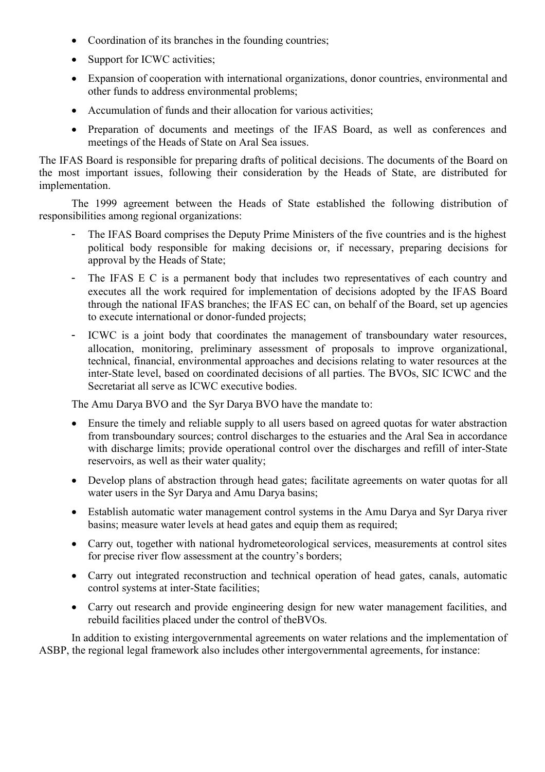- Coordination of its branches in the founding countries;
- Support for ICWC activities;
- Expansion of cooperation with international organizations, donor countries, environmental and other funds to address environmental problems;
- Accumulation of funds and their allocation for various activities;
- Preparation of documents and meetings of the IFAS Board, as well as conferences and meetings of the Heads of State on Aral Sea issues.

The IFAS Board is responsible for preparing drafts of political decisions. The documents of the Board on the most important issues, following their consideration by the Heads of State, are distributed for implementation.

The 1999 agreement between the Heads of State established the following distribution of responsibilities among regional organizations:

- The IFAS Board comprises the Deputy Prime Ministers of the five countries and is the highest political body responsible for making decisions or, if necessary, preparing decisions for approval by the Heads of State;
- The IFAS E C is a permanent body that includes two representatives of each country and executes all the work required for implementation of decisions adopted by the IFAS Board through the national IFAS branches; the IFAS EC can, on behalf of the Board, set up agencies to execute international or donor-funded projects;
- ICWC is a joint body that coordinates the management of transboundary water resources, allocation, monitoring, preliminary assessment of proposals to improve organizational, technical, financial, environmental approaches and decisions relating to water resources at the inter-State level, based on coordinated decisions of all parties. The BVOs, SIC ICWC and the Secretariat all serve as ICWC executive bodies.

The Amu Darya BVO and the Syr Darya BVO have the mandate to:

- Ensure the timely and reliable supply to all users based on agreed quotas for water abstraction from transboundary sources; control discharges to the estuaries and the Aral Sea in accordance with discharge limits; provide operational control over the discharges and refill of inter-State reservoirs, as well as their water quality;
- Develop plans of abstraction through head gates; facilitate agreements on water quotas for all water users in the Syr Darya and Amu Darya basins;
- Establish automatic water management control systems in the Amu Darya and Syr Darya river basins; measure water levels at head gates and equip them as required;
- Carry out, together with national hydrometeorological services, measurements at control sites for precise river flow assessment at the country's borders;
- Carry out integrated reconstruction and technical operation of head gates, canals, automatic control systems at inter-State facilities;
- Carry out research and provide engineering design for new water management facilities, and rebuild facilities placed under the control of theBVOs.

In addition to existing intergovernmental agreements on water relations and the implementation of ASBP, the regional legal framework also includes other intergovernmental agreements, for instance: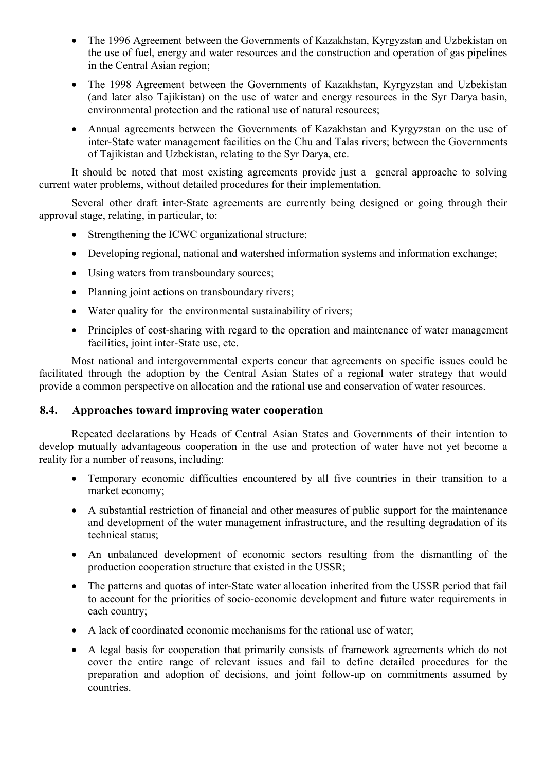- The 1996 Agreement between the Governments of Kazakhstan, Kyrgyzstan and Uzbekistan on the use of fuel, energy and water resources and the construction and operation of gas pipelines in the Central Asian region;
- The 1998 Agreement between the Governments of Kazakhstan, Kyrgyzstan and Uzbekistan (and later also Tajikistan) on the use of water and energy resources in the Syr Darya basin, environmental protection and the rational use of natural resources;
- Annual agreements between the Governments of Kazakhstan and Kyrgyzstan on the use of inter-State water management facilities on the Chu and Talas rivers; between the Governments of Tajikistan and Uzbekistan, relating to the Syr Darya, etc.

It should be noted that most existing agreements provide just a general approache to solving current water problems, without detailed procedures for their implementation.

Several other draft inter-State agreements are currently being designed or going through their approval stage, relating, in particular, to:

- Strengthening the ICWC organizational structure;
- Developing regional, national and watershed information systems and information exchange;
- Using waters from transboundary sources;
- Planning joint actions on transboundary rivers;
- Water quality for the environmental sustainability of rivers;
- Principles of cost-sharing with regard to the operation and maintenance of water management facilities, joint inter-State use, etc.

Most national and intergovernmental experts concur that agreements on specific issues could be facilitated through the adoption by the Central Asian States of a regional water strategy that would provide a common perspective on allocation and the rational use and conservation of water resources.

# **8.4. Approaches toward improving water cooperation**

Repeated declarations by Heads of Central Asian States and Governments of their intention to develop mutually advantageous cooperation in the use and protection of water have not yet become a reality for a number of reasons, including:

- Temporary economic difficulties encountered by all five countries in their transition to a market economy;
- A substantial restriction of financial and other measures of public support for the maintenance and development of the water management infrastructure, and the resulting degradation of its technical status;
- An unbalanced development of economic sectors resulting from the dismantling of the production cooperation structure that existed in the USSR;
- The patterns and quotas of inter-State water allocation inherited from the USSR period that fail to account for the priorities of socio-economic development and future water requirements in each country;
- A lack of coordinated economic mechanisms for the rational use of water;
- A legal basis for cooperation that primarily consists of framework agreements which do not cover the entire range of relevant issues and fail to define detailed procedures for the preparation and adoption of decisions, and joint follow-up on commitments assumed by countries.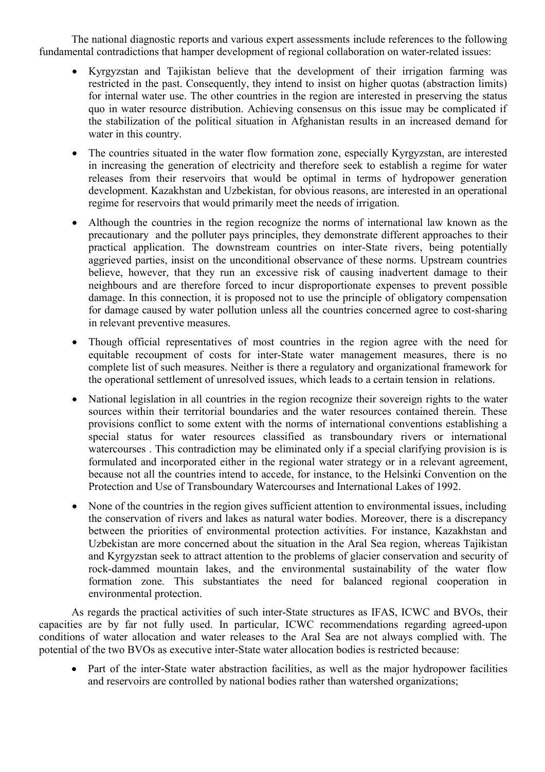The national diagnostic reports and various expert assessments include references to the following fundamental contradictions that hamper development of regional collaboration on water-related issues:

- Kyrgyzstan and Tajikistan believe that the development of their irrigation farming was restricted in the past. Consequently, they intend to insist on higher quotas (abstraction limits) for internal water use. The other countries in the region are interested in preserving the status quo in water resource distribution. Achieving consensus on this issue may be complicated if the stabilization of the political situation in Afghanistan results in an increased demand for water in this country.
- The countries situated in the water flow formation zone, especially Kyrgyzstan, are interested in increasing the generation of electricity and therefore seek to establish a regime for water releases from their reservoirs that would be optimal in terms of hydropower generation development. Kazakhstan and Uzbekistan, for obvious reasons, are interested in an operational regime for reservoirs that would primarily meet the needs of irrigation.
- Although the countries in the region recognize the norms of international law known as the precautionary and the polluter pays principles, they demonstrate different approaches to their practical application. The downstream countries on inter-State rivers, being potentially aggrieved parties, insist on the unconditional observance of these norms. Upstream countries believe, however, that they run an excessive risk of causing inadvertent damage to their neighbours and are therefore forced to incur disproportionate expenses to prevent possible damage. In this connection, it is proposed not to use the principle of obligatory compensation for damage caused by water pollution unless all the countries concerned agree to cost-sharing in relevant preventive measures.
- Though official representatives of most countries in the region agree with the need for equitable recoupment of costs for inter-State water management measures, there is no complete list of such measures. Neither is there a regulatory and organizational framework for the operational settlement of unresolved issues, which leads to a certain tension in relations.
- National legislation in all countries in the region recognize their sovereign rights to the water sources within their territorial boundaries and the water resources contained therein. These provisions conflict to some extent with the norms of international conventions establishing a special status for water resources classified as transboundary rivers or international watercourses . This contradiction may be eliminated only if a special clarifying provision is is formulated and incorporated either in the regional water strategy or in a relevant agreement, because not all the countries intend to accede, for instance, to the Helsinki Convention on the Protection and Use of Transboundary Watercourses and International Lakes of 1992.
- None of the countries in the region gives sufficient attention to environmental issues, including the conservation of rivers and lakes as natural water bodies. Moreover, there is a discrepancy between the priorities of environmental protection activities. For instance, Kazakhstan and Uzbekistan are more concerned about the situation in the Aral Sea region, whereas Tajikistan and Kyrgyzstan seek to attract attention to the problems of glacier conservation and security of rock-dammed mountain lakes, and the environmental sustainability of the water flow formation zone. This substantiates the need for balanced regional cooperation in environmental protection.

As regards the practical activities of such inter-State structures as IFAS, ICWC and BVOs, their capacities are by far not fully used. In particular, ICWC recommendations regarding agreed-upon conditions of water allocation and water releases to the Aral Sea are not always complied with. The potential of the two BVOs as executive inter-State water allocation bodies is restricted because:

• Part of the inter-State water abstraction facilities, as well as the major hydropower facilities and reservoirs are controlled by national bodies rather than watershed organizations;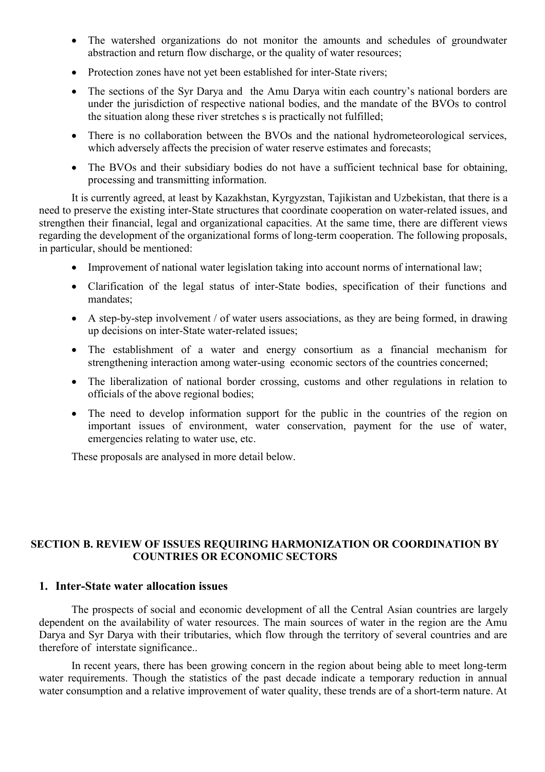- The watershed organizations do not monitor the amounts and schedules of groundwater abstraction and return flow discharge, or the quality of water resources;
- Protection zones have not yet been established for inter-State rivers;
- The sections of the Syr Darya and the Amu Darya witin each country's national borders are under the jurisdiction of respective national bodies, and the mandate of the BVOs to control the situation along these river stretches s is practically not fulfilled;
- There is no collaboration between the BVOs and the national hydrometeorological services, which adversely affects the precision of water reserve estimates and forecasts;
- The BVOs and their subsidiary bodies do not have a sufficient technical base for obtaining, processing and transmitting information.

It is currently agreed, at least by Kazakhstan, Kyrgyzstan, Tajikistan and Uzbekistan, that there is a need to preserve the existing inter-State structures that coordinate cooperation on water-related issues, and strengthen their financial, legal and organizational capacities. At the same time, there are different views regarding the development of the organizational forms of long-term cooperation. The following proposals, in particular, should be mentioned:

- Improvement of national water legislation taking into account norms of international law;
- Clarification of the legal status of inter-State bodies, specification of their functions and mandates;
- A step-by-step involvement / of water users associations, as they are being formed, in drawing up decisions on inter-State water-related issues;
- The establishment of a water and energy consortium as a financial mechanism for strengthening interaction among water-using economic sectors of the countries concerned;
- The liberalization of national border crossing, customs and other regulations in relation to officials of the above regional bodies;
- The need to develop information support for the public in the countries of the region on important issues of environment, water conservation, payment for the use of water, emergencies relating to water use, etc.

These proposals are analysed in more detail below.

### **SECTION B. REVIEW OF ISSUES REQUIRING HARMONIZATION OR COORDINATION BY COUNTRIES OR ECONOMIC SECTORS**

### **1. Inter-State water allocation issues**

The prospects of social and economic development of all the Central Asian countries are largely dependent on the availability of water resources. The main sources of water in the region are the Amu Darya and Syr Darya with their tributaries, which flow through the territory of several countries and are therefore of interstate significance..

In recent years, there has been growing concern in the region about being able to meet long-term water requirements. Though the statistics of the past decade indicate a temporary reduction in annual water consumption and a relative improvement of water quality, these trends are of a short-term nature. At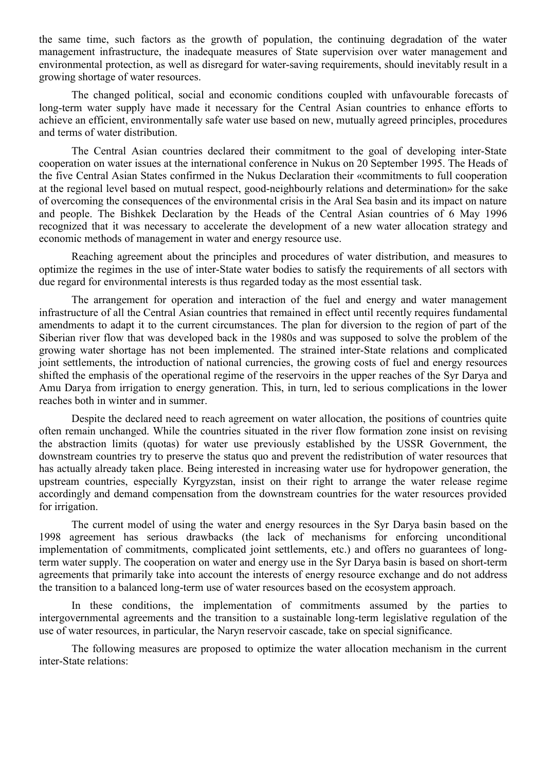the same time, such factors as the growth of population, the continuing degradation of the water management infrastructure, the inadequate measures of State supervision over water management and environmental protection, as well as disregard for water-saving requirements, should inevitably result in a growing shortage of water resources.

The changed political, social and economic conditions coupled with unfavourable forecasts of long-term water supply have made it necessary for the Central Asian countries to enhance efforts to achieve an efficient, environmentally safe water use based on new, mutually agreed principles, procedures and terms of water distribution.

The Central Asian countries declared their commitment to the goal of developing inter-State cooperation on water issues at the international conference in Nukus on 20 September 1995. The Heads of the five Central Asian States confirmed in the Nukus Declaration their «commitments to full cooperation at the regional level based on mutual respect, good-neighbourly relations and determination» for the sake of overcoming the consequences of the environmental crisis in the Aral Sea basin and its impact on nature and people. The Bishkek Declaration by the Heads of the Central Asian countries of 6 May 1996 recognized that it was necessary to accelerate the development of a new water allocation strategy and economic methods of management in water and energy resource use.

Reaching agreement about the principles and procedures of water distribution, and measures to optimize the regimes in the use of inter-State water bodies to satisfy the requirements of all sectors with due regard for environmental interests is thus regarded today as the most essential task.

The arrangement for operation and interaction of the fuel and energy and water management infrastructure of all the Central Asian countries that remained in effect until recently requires fundamental amendments to adapt it to the current circumstances. The plan for diversion to the region of part of the Siberian river flow that was developed back in the 1980s and was supposed to solve the problem of the growing water shortage has not been implemented. The strained inter-State relations and complicated joint settlements, the introduction of national currencies, the growing costs of fuel and energy resources shifted the emphasis of the operational regime of the reservoirs in the upper reaches of the Syr Darya and Amu Darya from irrigation to energy generation. This, in turn, led to serious complications in the lower reaches both in winter and in summer.

Despite the declared need to reach agreement on water allocation, the positions of countries quite often remain unchanged. While the countries situated in the river flow formation zone insist on revising the abstraction limits (quotas) for water use previously established by the USSR Government, the downstream countries try to preserve the status quo and prevent the redistribution of water resources that has actually already taken place. Being interested in increasing water use for hydropower generation, the upstream countries, especially Kyrgyzstan, insist on their right to arrange the water release regime accordingly and demand compensation from the downstream countries for the water resources provided for irrigation.

The current model of using the water and energy resources in the Syr Darya basin based on the 1998 agreement has serious drawbacks (the lack of mechanisms for enforcing unconditional implementation of commitments, complicated joint settlements, etc.) and offers no guarantees of longterm water supply. The cooperation on water and energy use in the Syr Darya basin is based on short-term agreements that primarily take into account the interests of energy resource exchange and do not address the transition to a balanced long-term use of water resources based on the ecosystem approach.

In these conditions, the implementation of commitments assumed by the parties to intergovernmental agreements and the transition to a sustainable long-term legislative regulation of the use of water resources, in particular, the Naryn reservoir cascade, take on special significance.

The following measures are proposed to optimize the water allocation mechanism in the current inter-State relations: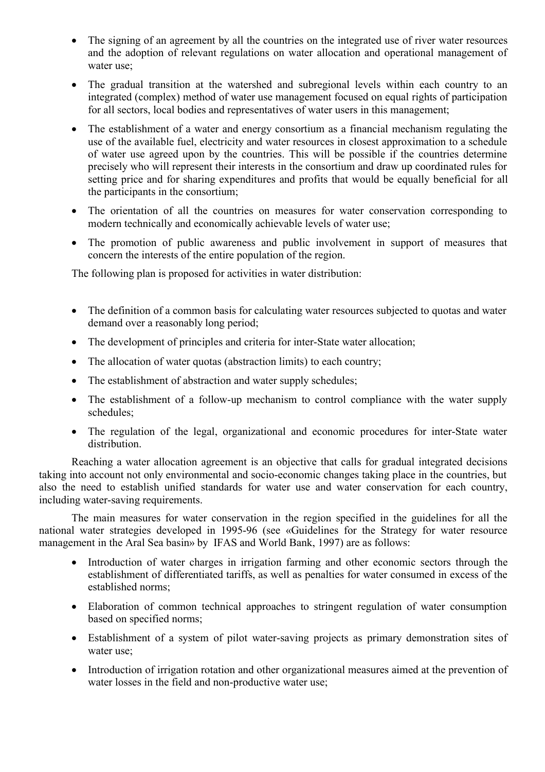- The signing of an agreement by all the countries on the integrated use of river water resources and the adoption of relevant regulations on water allocation and operational management of water use;
- The gradual transition at the watershed and subregional levels within each country to an integrated (complex) method of water use management focused on equal rights of participation for all sectors, local bodies and representatives of water users in this management;
- The establishment of a water and energy consortium as a financial mechanism regulating the use of the available fuel, electricity and water resources in closest approximation to a schedule of water use agreed upon by the countries. This will be possible if the countries determine precisely who will represent their interests in the consortium and draw up coordinated rules for setting price and for sharing expenditures and profits that would be equally beneficial for all the participants in the consortium;
- The orientation of all the countries on measures for water conservation corresponding to modern technically and economically achievable levels of water use;
- The promotion of public awareness and public involvement in support of measures that concern the interests of the entire population of the region.

The following plan is proposed for activities in water distribution:

- The definition of a common basis for calculating water resources subjected to quotas and water demand over a reasonably long period;
- The development of principles and criteria for inter-State water allocation;
- The allocation of water quotas (abstraction limits) to each country;
- The establishment of abstraction and water supply schedules;
- The establishment of a follow-up mechanism to control compliance with the water supply schedules;
- The regulation of the legal, organizational and economic procedures for inter-State water distribution.

Reaching a water allocation agreement is an objective that calls for gradual integrated decisions taking into account not only environmental and socio-economic changes taking place in the countries, but also the need to establish unified standards for water use and water conservation for each country, including water-saving requirements.

The main measures for water conservation in the region specified in the guidelines for all the national water strategies developed in 1995-96 (see «Guidelines for the Strategy for water resource management in the Aral Sea basin» by IFAS and World Bank, 1997) are as follows:

- Introduction of water charges in irrigation farming and other economic sectors through the establishment of differentiated tariffs, as well as penalties for water consumed in excess of the established norms;
- Elaboration of common technical approaches to stringent regulation of water consumption based on specified norms;
- Establishment of a system of pilot water-saving projects as primary demonstration sites of water use;
- Introduction of irrigation rotation and other organizational measures aimed at the prevention of water losses in the field and non-productive water use;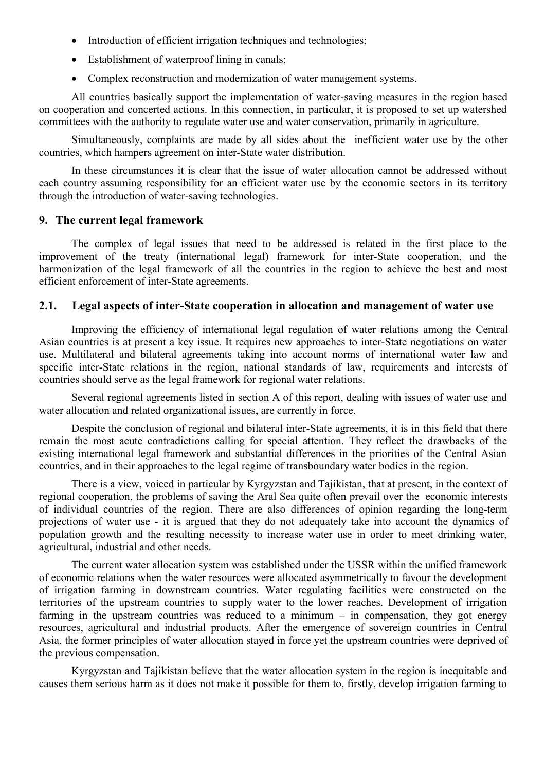- Introduction of efficient irrigation techniques and technologies;
- Establishment of waterproof lining in canals;
- Complex reconstruction and modernization of water management systems.

All countries basically support the implementation of water-saving measures in the region based on cooperation and concerted actions. In this connection, in particular, it is proposed to set up watershed committees with the authority to regulate water use and water conservation, primarily in agriculture.

Simultaneously, complaints are made by all sides about the inefficient water use by the other countries, which hampers agreement on inter-State water distribution.

In these circumstances it is clear that the issue of water allocation cannot be addressed without each country assuming responsibility for an efficient water use by the economic sectors in its territory through the introduction of water-saving technologies.

### **9. The current legal framework**

The complex of legal issues that need to be addressed is related in the first place to the improvement of the treaty (international legal) framework for inter-State cooperation, and the harmonization of the legal framework of all the countries in the region to achieve the best and most efficient enforcement of inter-State agreements.

### **2.1. Legal aspects of inter-State cooperation in allocation and management of water use**

Improving the efficiency of international legal regulation of water relations among the Central Asian countries is at present a key issue. It requires new approaches to inter-State negotiations on water use. Multilateral and bilateral agreements taking into account norms of international water law and specific inter-State relations in the region, national standards of law, requirements and interests of countries should serve as the legal framework for regional water relations.

Several regional agreements listed in section A of this report, dealing with issues of water use and water allocation and related organizational issues, are currently in force.

Despite the conclusion of regional and bilateral inter-State agreements, it is in this field that there remain the most acute contradictions calling for special attention. They reflect the drawbacks of the existing international legal framework and substantial differences in the priorities of the Central Asian countries, and in their approaches to the legal regime of transboundary water bodies in the region.

There is a view, voiced in particular by Kyrgyzstan and Tajikistan, that at present, in the context of regional cooperation, the problems of saving the Aral Sea quite often prevail over the economic interests of individual countries of the region. There are also differences of opinion regarding the long-term projections of water use - it is argued that they do not adequately take into account the dynamics of population growth and the resulting necessity to increase water use in order to meet drinking water, agricultural, industrial and other needs.

The current water allocation system was established under the USSR within the unified framework of economic relations when the water resources were allocated asymmetrically to favour the development of irrigation farming in downstream countries. Water regulating facilities were constructed on the territories of the upstream countries to supply water to the lower reaches. Development of irrigation farming in the upstream countries was reduced to a minimum  $-$  in compensation, they got energy resources, agricultural and industrial products. After the emergence of sovereign countries in Central Asia, the former principles of water allocation stayed in force yet the upstream countries were deprived of the previous compensation.

Kyrgyzstan and Tajikistan believe that the water allocation system in the region is inequitable and causes them serious harm as it does not make it possible for them to, firstly, develop irrigation farming to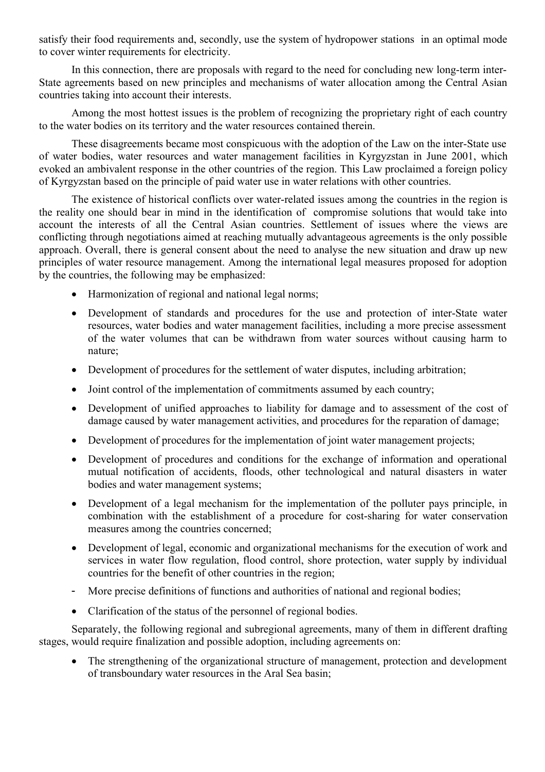satisfy their food requirements and, secondly, use the system of hydropower stations in an optimal mode to cover winter requirements for electricity.

In this connection, there are proposals with regard to the need for concluding new long-term inter-State agreements based on new principles and mechanisms of water allocation among the Central Asian countries taking into account their interests.

Among the most hottest issues is the problem of recognizing the proprietary right of each country to the water bodies on its territory and the water resources contained therein.

These disagreements became most conspicuous with the adoption of the Law on the inter-State use of water bodies, water resources and water management facilities in Kyrgyzstan in June 2001, which evoked an ambivalent response in the other countries of the region. This Law proclaimed a foreign policy of Kyrgyzstan based on the principle of paid water use in water relations with other countries.

The existence of historical conflicts over water-related issues among the countries in the region is the reality one should bear in mind in the identification of compromise solutions that would take into account the interests of all the Central Asian countries. Settlement of issues where the views are conflicting through negotiations aimed at reaching mutually advantageous agreements is the only possible approach. Overall, there is general consent about the need to analyse the new situation and draw up new principles of water resource management. Among the international legal measures proposed for adoption by the countries, the following may be emphasized:

- Harmonization of regional and national legal norms;
- Development of standards and procedures for the use and protection of inter-State water resources, water bodies and water management facilities, including a more precise assessment of the water volumes that can be withdrawn from water sources without causing harm to nature;
- Development of procedures for the settlement of water disputes, including arbitration;
- Joint control of the implementation of commitments assumed by each country;
- Development of unified approaches to liability for damage and to assessment of the cost of damage caused by water management activities, and procedures for the reparation of damage;
- Development of procedures for the implementation of joint water management projects;
- Development of procedures and conditions for the exchange of information and operational mutual notification of accidents, floods, other technological and natural disasters in water bodies and water management systems;
- Development of a legal mechanism for the implementation of the polluter pays principle, in combination with the establishment of a procedure for cost-sharing for water conservation measures among the countries concerned;
- Development of legal, economic and organizational mechanisms for the execution of work and services in water flow regulation, flood control, shore protection, water supply by individual countries for the benefit of other countries in the region;
- More precise definitions of functions and authorities of national and regional bodies;
- Clarification of the status of the personnel of regional bodies.

Separately, the following regional and subregional agreements, many of them in different drafting stages, would require finalization and possible adoption, including agreements on:

 The strengthening of the organizational structure of management, protection and development of transboundary water resources in the Aral Sea basin;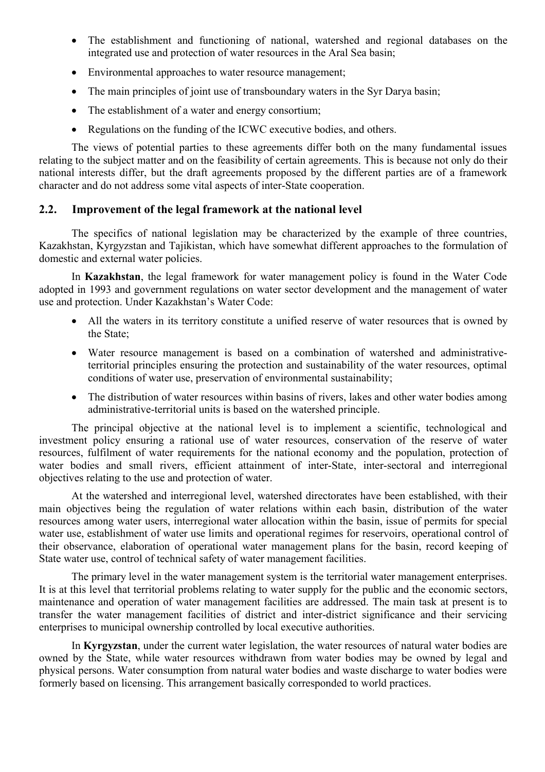- The establishment and functioning of national, watershed and regional databases on the integrated use and protection of water resources in the Aral Sea basin;
- Environmental approaches to water resource management;
- The main principles of joint use of transboundary waters in the Syr Darya basin;
- The establishment of a water and energy consortium;
- Regulations on the funding of the ICWC executive bodies, and others.

The views of potential parties to these agreements differ both on the many fundamental issues relating to the subject matter and on the feasibility of certain agreements. This is because not only do their national interests differ, but the draft agreements proposed by the different parties are of a framework character and do not address some vital aspects of inter-State cooperation.

# **2.2. Improvement of the legal framework at the national level**

The specifics of national legislation may be characterized by the example of three countries, Kazakhstan, Kyrgyzstan and Tajikistan, which have somewhat different approaches to the formulation of domestic and external water policies.

In **Kazakhstan**, the legal framework for water management policy is found in the Water Code adopted in 1993 and government regulations on water sector development and the management of water use and protection. Under Kazakhstan's Water Code:

- All the waters in its territory constitute a unified reserve of water resources that is owned by the State;
- Water resource management is based on a combination of watershed and administrativeterritorial principles ensuring the protection and sustainability of the water resources, optimal conditions of water use, preservation of environmental sustainability;
- The distribution of water resources within basins of rivers, lakes and other water bodies among administrative-territorial units is based on the watershed principle.

The principal objective at the national level is to implement a scientific, technological and investment policy ensuring a rational use of water resources, conservation of the reserve of water resources, fulfilment of water requirements for the national economy and the population, protection of water bodies and small rivers, efficient attainment of inter-State, inter-sectoral and interregional objectives relating to the use and protection of water.

At the watershed and interregional level, watershed directorates have been established, with their main objectives being the regulation of water relations within each basin, distribution of the water resources among water users, interregional water allocation within the basin, issue of permits for special water use, establishment of water use limits and operational regimes for reservoirs, operational control of their observance, elaboration of operational water management plans for the basin, record keeping of State water use, control of technical safety of water management facilities.

The primary level in the water management system is the territorial water management enterprises. It is at this level that territorial problems relating to water supply for the public and the economic sectors, maintenance and operation of water management facilities are addressed. The main task at present is to transfer the water management facilities of district and inter-district significance and their servicing enterprises to municipal ownership controlled by local executive authorities.

In **Kyrgyzstan**, under the current water legislation, the water resources of natural water bodies are owned by the State, while water resources withdrawn from water bodies may be owned by legal and physical persons. Water consumption from natural water bodies and waste discharge to water bodies were formerly based on licensing. This arrangement basically corresponded to world practices.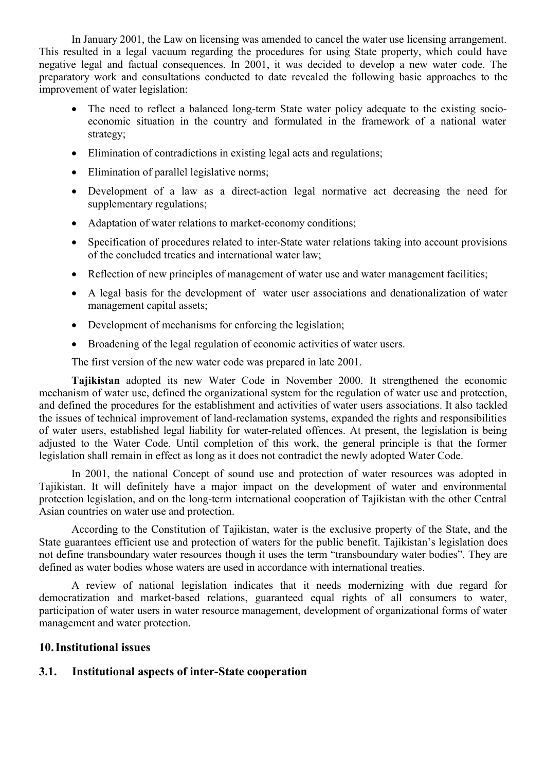In January 2001, the Law on licensing was amended to cancel the water use licensing arrangement. This resulted in a legal vacuum regarding the procedures for using State property, which could have negative legal and factual consequences. In 2001, it was decided to develop a new water code. The preparatory work and consultations conducted to date revealed the following basic approaches to the improvement of water legislation:

- The need to reflect a balanced long-term State water policy adequate to the existing socioeconomic situation in the country and formulated in the framework of a national water strategy;
- Elimination of contradictions in existing legal acts and regulations;
- Elimination of parallel legislative norms;
- Development of a law as a direct-action legal normative act decreasing the need for supplementary regulations;
- Adaptation of water relations to market-economy conditions;
- Specification of procedures related to inter-State water relations taking into account provisions of the concluded treaties and international water law;
- Reflection of new principles of management of water use and water management facilities;
- A legal basis for the development of water user associations and denationalization of water management capital assets;
- Development of mechanisms for enforcing the legislation;
- Broadening of the legal regulation of economic activities of water users.

The first version of the new water code was prepared in late 2001.

**Tajikistan** adopted its new Water Code in November 2000. It strengthened the economic mechanism of water use, defined the organizational system for the regulation of water use and protection, and defined the procedures for the establishment and activities of water users associations. It also tackled the issues of technical improvement of land-reclamation systems, expanded the rights and responsibilities of water users, established legal liability for water-related offences. At present, the legislation is being adjusted to the Water Code. Until completion of this work, the general principle is that the former legislation shall remain in effect as long as it does not contradict the newly adopted Water Code.

In 2001, the national Concept of sound use and protection of water resources was adopted in Tajikistan. It will definitely have a major impact on the development of water and environmental protection legislation, and on the long-term international cooperation of Tajikistan with the other Central Asian countries on water use and protection.

According to the Constitution of Tajikistan, water is the exclusive property of the State, and the State guarantees efficient use and protection of waters for the public benefit. Tajikistan's legislation does not define transboundary water resources though it uses the term "transboundary water bodies". They are defined as water bodies whose waters are used in accordance with international treaties.

A review of national legislation indicates that it needs modernizing with due regard for democratization and market-based relations, guaranteed equal rights of all consumers to water, participation of water users in water resource management, development of organizational forms of water management and water protection.

### **10.Institutional issues**

### **3.1. Institutional aspects of inter-State cooperation**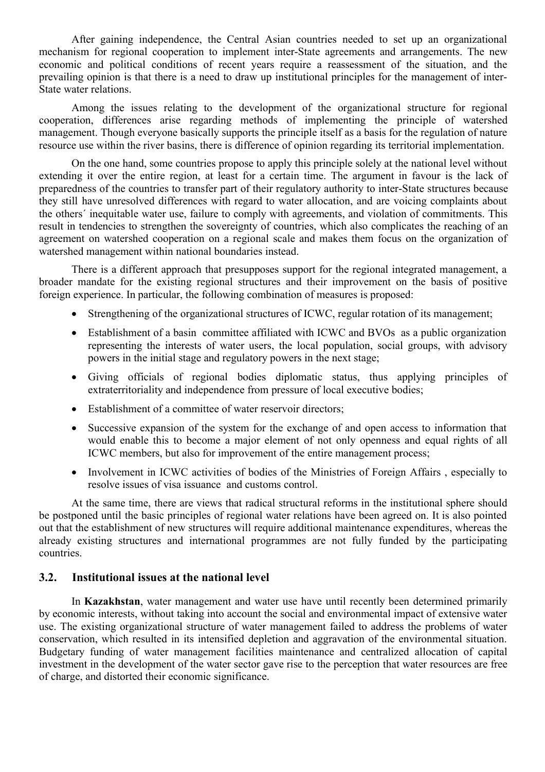After gaining independence, the Central Asian countries needed to set up an organizational mechanism for regional cooperation to implement inter-State agreements and arrangements. The new economic and political conditions of recent years require a reassessment of the situation, and the prevailing opinion is that there is a need to draw up institutional principles for the management of inter-State water relations.

Among the issues relating to the development of the organizational structure for regional cooperation, differences arise regarding methods of implementing the principle of watershed management. Though everyone basically supports the principle itself as a basis for the regulation of nature resource use within the river basins, there is difference of opinion regarding its territorial implementation.

On the one hand, some countries propose to apply this principle solely at the national level without extending it over the entire region, at least for a certain time. The argument in favour is the lack of preparedness of the countries to transfer part of their regulatory authority to inter-State structures because they still have unresolved differences with regard to water allocation, and are voicing complaints about the others´ inequitable water use, failure to comply with agreements, and violation of commitments. This result in tendencies to strengthen the sovereignty of countries, which also complicates the reaching of an agreement on watershed cooperation on a regional scale and makes them focus on the organization of watershed management within national boundaries instead.

There is a different approach that presupposes support for the regional integrated management, a broader mandate for the existing regional structures and their improvement on the basis of positive foreign experience. In particular, the following combination of measures is proposed:

- Strengthening of the organizational structures of ICWC, regular rotation of its management;
- Establishment of a basin committee affiliated with ICWC and BVOs as a public organization representing the interests of water users, the local population, social groups, with advisory powers in the initial stage and regulatory powers in the next stage;
- Giving officials of regional bodies diplomatic status, thus applying principles of extraterritoriality and independence from pressure of local executive bodies;
- Establishment of a committee of water reservoir directors;
- Successive expansion of the system for the exchange of and open access to information that would enable this to become a major element of not only openness and equal rights of all ICWC members, but also for improvement of the entire management process;
- Involvement in ICWC activities of bodies of the Ministries of Foreign Affairs , especially to resolve issues of visa issuance and customs control.

At the same time, there are views that radical structural reforms in the institutional sphere should be postponed until the basic principles of regional water relations have been agreed on. It is also pointed out that the establishment of new structures will require additional maintenance expenditures, whereas the already existing structures and international programmes are not fully funded by the participating countries.

### **3.2. Institutional issues at the national level**

In **Kazakhstan**, water management and water use have until recently been determined primarily by economic interests, without taking into account the social and environmental impact of extensive water use. The existing organizational structure of water management failed to address the problems of water conservation, which resulted in its intensified depletion and aggravation of the environmental situation. Budgetary funding of water management facilities maintenance and centralized allocation of capital investment in the development of the water sector gave rise to the perception that water resources are free of charge, and distorted their economic significance.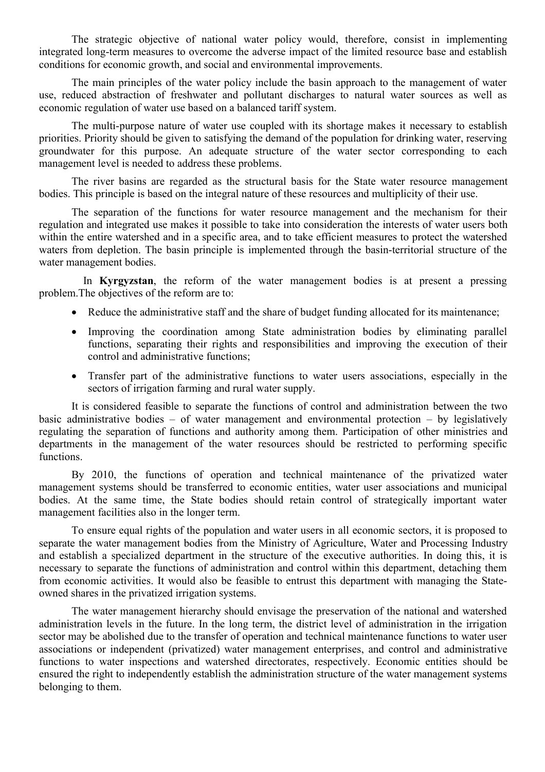The strategic objective of national water policy would, therefore, consist in implementing integrated long-term measures to overcome the adverse impact of the limited resource base and establish conditions for economic growth, and social and environmental improvements.

The main principles of the water policy include the basin approach to the management of water use, reduced abstraction of freshwater and pollutant discharges to natural water sources as well as economic regulation of water use based on a balanced tariff system.

The multi-purpose nature of water use coupled with its shortage makes it necessary to establish priorities. Priority should be given to satisfying the demand of the population for drinking water, reserving groundwater for this purpose. An adequate structure of the water sector corresponding to each management level is needed to address these problems.

The river basins are regarded as the structural basis for the State water resource management bodies. This principle is based on the integral nature of these resources and multiplicity of their use.

The separation of the functions for water resource management and the mechanism for their regulation and integrated use makes it possible to take into consideration the interests of water users both within the entire watershed and in a specific area, and to take efficient measures to protect the watershed waters from depletion. The basin principle is implemented through the basin-territorial structure of the water management bodies.

In **Kyrgyzstan**, the reform of the water management bodies is at present a pressing problem.The objectives of the reform are to:

- Reduce the administrative staff and the share of budget funding allocated for its maintenance;
- Improving the coordination among State administration bodies by eliminating parallel functions, separating their rights and responsibilities and improving the execution of their control and administrative functions;
- Transfer part of the administrative functions to water users associations, especially in the sectors of irrigation farming and rural water supply.

It is considered feasible to separate the functions of control and administration between the two basic administrative bodies – of water management and environmental protection – by legislatively regulating the separation of functions and authority among them. Participation of other ministries and departments in the management of the water resources should be restricted to performing specific functions.

By 2010, the functions of operation and technical maintenance of the privatized water management systems should be transferred to economic entities, water user associations and municipal bodies. At the same time, the State bodies should retain control of strategically important water management facilities also in the longer term.

To ensure equal rights of the population and water users in all economic sectors, it is proposed to separate the water management bodies from the Ministry of Agriculture, Water and Processing Industry and establish a specialized department in the structure of the executive authorities. In doing this, it is necessary to separate the functions of administration and control within this department, detaching them from economic activities. It would also be feasible to entrust this department with managing the Stateowned shares in the privatized irrigation systems.

The water management hierarchy should envisage the preservation of the national and watershed administration levels in the future. In the long term, the district level of administration in the irrigation sector may be abolished due to the transfer of operation and technical maintenance functions to water user associations or independent (privatized) water management enterprises, and control and administrative functions to water inspections and watershed directorates, respectively. Economic entities should be ensured the right to independently establish the administration structure of the water management systems belonging to them.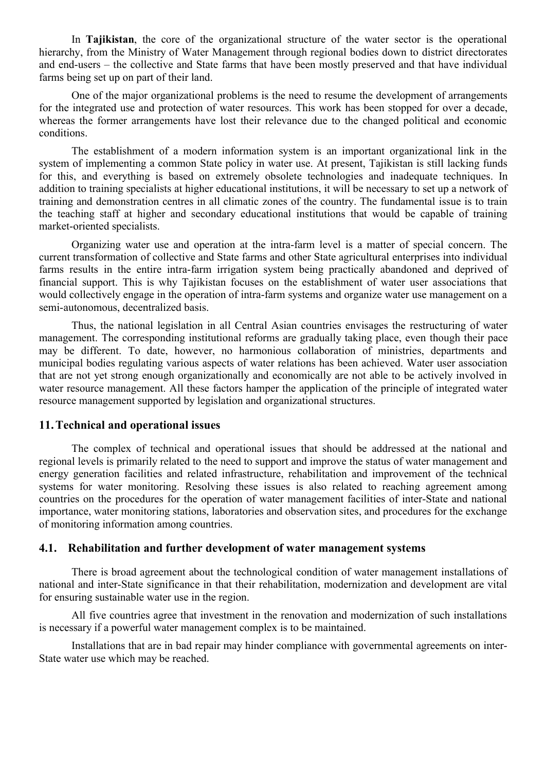In **Tajikistan**, the core of the organizational structure of the water sector is the operational hierarchy, from the Ministry of Water Management through regional bodies down to district directorates and end-users – the collective and State farms that have been mostly preserved and that have individual farms being set up on part of their land.

One of the major organizational problems is the need to resume the development of arrangements for the integrated use and protection of water resources. This work has been stopped for over a decade, whereas the former arrangements have lost their relevance due to the changed political and economic conditions.

The establishment of a modern information system is an important organizational link in the system of implementing a common State policy in water use. At present, Tajikistan is still lacking funds for this, and everything is based on extremely obsolete technologies and inadequate techniques. In addition to training specialists at higher educational institutions, it will be necessary to set up a network of training and demonstration centres in all climatic zones of the country. The fundamental issue is to train the teaching staff at higher and secondary educational institutions that would be capable of training market-oriented specialists.

Organizing water use and operation at the intra-farm level is a matter of special concern. The current transformation of collective and State farms and other State agricultural enterprises into individual farms results in the entire intra-farm irrigation system being practically abandoned and deprived of financial support. This is why Tajikistan focuses on the establishment of water user associations that would collectively engage in the operation of intra-farm systems and organize water use management on a semi-autonomous, decentralized basis.

Thus, the national legislation in all Central Asian countries envisages the restructuring of water management. The corresponding institutional reforms are gradually taking place, even though their pace may be different. To date, however, no harmonious collaboration of ministries, departments and municipal bodies regulating various aspects of water relations has been achieved. Water user association that are not yet strong enough organizationally and economically are not able to be actively involved in water resource management. All these factors hamper the application of the principle of integrated water resource management supported by legislation and organizational structures.

#### **11.Technical and operational issues**

The complex of technical and operational issues that should be addressed at the national and regional levels is primarily related to the need to support and improve the status of water management and energy generation facilities and related infrastructure, rehabilitation and improvement of the technical systems for water monitoring. Resolving these issues is also related to reaching agreement among countries on the procedures for the operation of water management facilities of inter-State and national importance, water monitoring stations, laboratories and observation sites, and procedures for the exchange of monitoring information among countries.

### **4.1. Rehabilitation and further development of water management systems**

There is broad agreement about the technological condition of water management installations of national and inter-State significance in that their rehabilitation, modernization and development are vital for ensuring sustainable water use in the region.

All five countries agree that investment in the renovation and modernization of such installations is necessary if a powerful water management complex is to be maintained.

Installations that are in bad repair may hinder compliance with governmental agreements on inter-State water use which may be reached.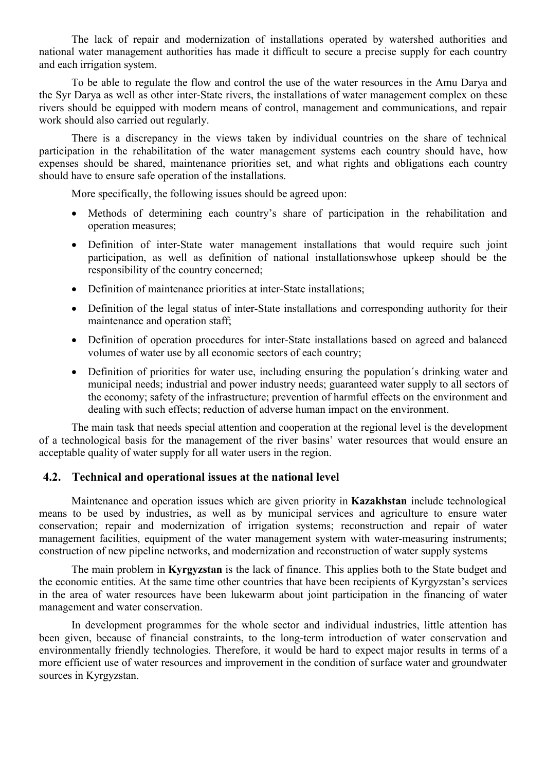The lack of repair and modernization of installations operated by watershed authorities and national water management authorities has made it difficult to secure a precise supply for each country and each irrigation system.

To be able to regulate the flow and control the use of the water resources in the Amu Darya and the Syr Darya as well as other inter-State rivers, the installations of water management complex on these rivers should be equipped with modern means of control, management and communications, and repair work should also carried out regularly.

There is a discrepancy in the views taken by individual countries on the share of technical participation in the rehabilitation of the water management systems each country should have, how expenses should be shared, maintenance priorities set, and what rights and obligations each country should have to ensure safe operation of the installations.

More specifically, the following issues should be agreed upon:

- Methods of determining each country's share of participation in the rehabilitation and operation measures;
- Definition of inter-State water management installations that would require such joint participation, as well as definition of national installationswhose upkeep should be the responsibility of the country concerned;
- Definition of maintenance priorities at inter-State installations;
- Definition of the legal status of inter-State installations and corresponding authority for their maintenance and operation staff;
- Definition of operation procedures for inter-State installations based on agreed and balanced volumes of water use by all economic sectors of each country;
- Definition of priorities for water use, including ensuring the population's drinking water and municipal needs; industrial and power industry needs; guaranteed water supply to all sectors of the economy; safety of the infrastructure; prevention of harmful effects on the environment and dealing with such effects; reduction of adverse human impact on the environment.

The main task that needs special attention and cooperation at the regional level is the development of a technological basis for the management of the river basins' water resources that would ensure an acceptable quality of water supply for all water users in the region.

# **4.2. Technical and operational issues at the national level**

Maintenance and operation issues which are given priority in **Kazakhstan** include technological means to be used by industries, as well as by municipal services and agriculture to ensure water conservation; repair and modernization of irrigation systems; reconstruction and repair of water management facilities, equipment of the water management system with water-measuring instruments; construction of new pipeline networks, and modernization and reconstruction of water supply systems

The main problem in **Kyrgyzstan** is the lack of finance. This applies both to the State budget and the economic entities. At the same time other countries that have been recipients of Kyrgyzstan's services in the area of water resources have been lukewarm about joint participation in the financing of water management and water conservation.

In development programmes for the whole sector and individual industries, little attention has been given, because of financial constraints, to the long-term introduction of water conservation and environmentally friendly technologies. Therefore, it would be hard to expect major results in terms of a more efficient use of water resources and improvement in the condition of surface water and groundwater sources in Kyrgyzstan.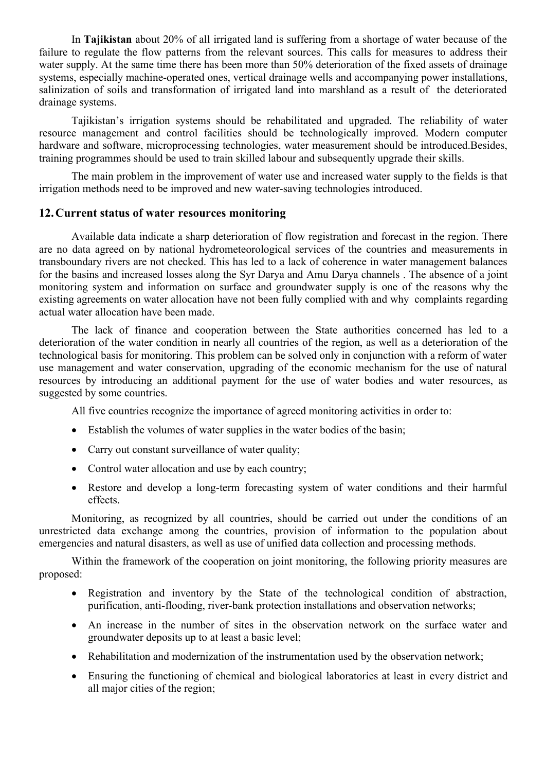In **Tajikistan** about 20% of all irrigated land is suffering from a shortage of water because of the failure to regulate the flow patterns from the relevant sources. This calls for measures to address their water supply. At the same time there has been more than 50% deterioration of the fixed assets of drainage systems, especially machine-operated ones, vertical drainage wells and accompanying power installations, salinization of soils and transformation of irrigated land into marshland as a result of the deteriorated drainage systems.

Tajikistan's irrigation systems should be rehabilitated and upgraded. The reliability of water resource management and control facilities should be technologically improved. Modern computer hardware and software, microprocessing technologies, water measurement should be introduced.Besides, training programmes should be used to train skilled labour and subsequently upgrade their skills.

The main problem in the improvement of water use and increased water supply to the fields is that irrigation methods need to be improved and new water-saving technologies introduced.

### **12.Current status of water resources monitoring**

Available data indicate a sharp deterioration of flow registration and forecast in the region. There are no data agreed on by national hydrometeorological services of the countries and measurements in transboundary rivers are not checked. This has led to a lack of coherence in water management balances for the basins and increased losses along the Syr Darya and Amu Darya channels . The absence of a joint monitoring system and information on surface and groundwater supply is one of the reasons why the existing agreements on water allocation have not been fully complied with and why complaints regarding actual water allocation have been made.

The lack of finance and cooperation between the State authorities concerned has led to a deterioration of the water condition in nearly all countries of the region, as well as a deterioration of the technological basis for monitoring. This problem can be solved only in conjunction with a reform of water use management and water conservation, upgrading of the economic mechanism for the use of natural resources by introducing an additional payment for the use of water bodies and water resources, as suggested by some countries.

All five countries recognize the importance of agreed monitoring activities in order to:

- Establish the volumes of water supplies in the water bodies of the basin;
- Carry out constant surveillance of water quality;
- Control water allocation and use by each country;
- Restore and develop a long-term forecasting system of water conditions and their harmful effects.

Monitoring, as recognized by all countries, should be carried out under the conditions of an unrestricted data exchange among the countries, provision of information to the population about emergencies and natural disasters, as well as use of unified data collection and processing methods.

Within the framework of the cooperation on joint monitoring, the following priority measures are proposed:

- Registration and inventory by the State of the technological condition of abstraction, purification, anti-flooding, river-bank protection installations and observation networks;
- An increase in the number of sites in the observation network on the surface water and groundwater deposits up to at least a basic level;
- Rehabilitation and modernization of the instrumentation used by the observation network;
- Ensuring the functioning of chemical and biological laboratories at least in every district and all major cities of the region;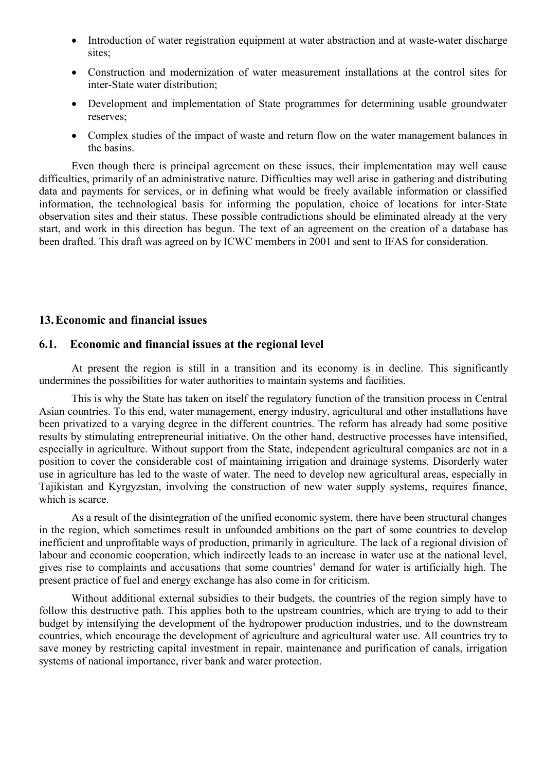- Introduction of water registration equipment at water abstraction and at waste-water discharge sites:
- Construction and modernization of water measurement installations at the control sites for inter-State water distribution;
- Development and implementation of State programmes for determining usable groundwater reserves;
- Complex studies of the impact of waste and return flow on the water management balances in the basins.

Even though there is principal agreement on these issues, their implementation may well cause difficulties, primarily of an administrative nature. Difficulties may well arise in gathering and distributing data and payments for services, or in defining what would be freely available information or classified information, the technological basis for informing the population, choice of locations for inter-State observation sites and their status. These possible contradictions should be eliminated already at the very start, and work in this direction has begun. The text of an agreement on the creation of a database has been drafted. This draft was agreed on by ICWC members in 2001 and sent to IFAS for consideration.

### **13.Economic and financial issues**

#### **6.1. Economic and financial issues at the regional level**

At present the region is still in a transition and its economy is in decline. This significantly undermines the possibilities for water authorities to maintain systems and facilities.

This is why the State has taken on itself the regulatory function of the transition process in Central Asian countries. To this end, water management, energy industry, agricultural and other installations have been privatized to a varying degree in the different countries. The reform has already had some positive results by stimulating entrepreneurial initiative. On the other hand, destructive processes have intensified, especially in agriculture. Without support from the State, independent agricultural companies are not in a position to cover the considerable cost of maintaining irrigation and drainage systems. Disorderly water use in agriculture has led to the waste of water. The need to develop new agricultural areas, especially in Tajikistan and Kyrgyzstan, involving the construction of new water supply systems, requires finance, which is scarce.

As a result of the disintegration of the unified economic system, there have been structural changes in the region, which sometimes result in unfounded ambitions on the part of some countries to develop inefficient and unprofitable ways of production, primarily in agriculture. The lack of a regional division of labour and economic cooperation, which indirectly leads to an increase in water use at the national level, gives rise to complaints and accusations that some countries' demand for water is artificially high. The present practice of fuel and energy exchange has also come in for criticism.

Without additional external subsidies to their budgets, the countries of the region simply have to follow this destructive path. This applies both to the upstream countries, which are trying to add to their budget by intensifying the development of the hydropower production industries, and to the downstream countries, which encourage the development of agriculture and agricultural water use. All countries try to save money by restricting capital investment in repair, maintenance and purification of canals, irrigation systems of national importance, river bank and water protection.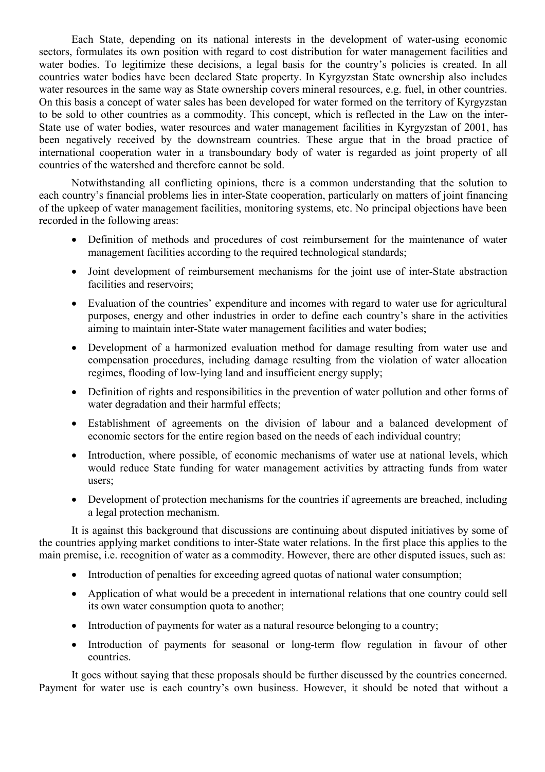Each State, depending on its national interests in the development of water-using economic sectors, formulates its own position with regard to cost distribution for water management facilities and water bodies. To legitimize these decisions, a legal basis for the country's policies is created. In all countries water bodies have been declared State property. In Kyrgyzstan State ownership also includes water resources in the same way as State ownership covers mineral resources, e.g. fuel, in other countries. On this basis a concept of water sales has been developed for water formed on the territory of Kyrgyzstan to be sold to other countries as a commodity. This concept, which is reflected in the Law on the inter-State use of water bodies, water resources and water management facilities in Kyrgyzstan of 2001, has been negatively received by the downstream countries. These argue that in the broad practice of international cooperation water in a transboundary body of water is regarded as joint property of all countries of the watershed and therefore cannot be sold.

Notwithstanding all conflicting opinions, there is a common understanding that the solution to each country's financial problems lies in inter-State cooperation, particularly on matters of joint financing of the upkeep of water management facilities, monitoring systems, etc. No principal objections have been recorded in the following areas:

- Definition of methods and procedures of cost reimbursement for the maintenance of water management facilities according to the required technological standards;
- Joint development of reimbursement mechanisms for the joint use of inter-State abstraction facilities and reservoirs;
- Evaluation of the countries' expenditure and incomes with regard to water use for agricultural purposes, energy and other industries in order to define each country's share in the activities aiming to maintain inter-State water management facilities and water bodies;
- Development of a harmonized evaluation method for damage resulting from water use and compensation procedures, including damage resulting from the violation of water allocation regimes, flooding of low-lying land and insufficient energy supply;
- Definition of rights and responsibilities in the prevention of water pollution and other forms of water degradation and their harmful effects;
- Establishment of agreements on the division of labour and a balanced development of economic sectors for the entire region based on the needs of each individual country;
- Introduction, where possible, of economic mechanisms of water use at national levels, which would reduce State funding for water management activities by attracting funds from water users;
- Development of protection mechanisms for the countries if agreements are breached, including a legal protection mechanism.

It is against this background that discussions are continuing about disputed initiatives by some of the countries applying market conditions to inter-State water relations. In the first place this applies to the main premise, i.e. recognition of water as a commodity. However, there are other disputed issues, such as:

- Introduction of penalties for exceeding agreed quotas of national water consumption;
- Application of what would be a precedent in international relations that one country could sell its own water consumption quota to another;
- Introduction of payments for water as a natural resource belonging to a country;
- Introduction of payments for seasonal or long-term flow regulation in favour of other countries.

It goes without saying that these proposals should be further discussed by the countries concerned. Payment for water use is each country's own business. However, it should be noted that without a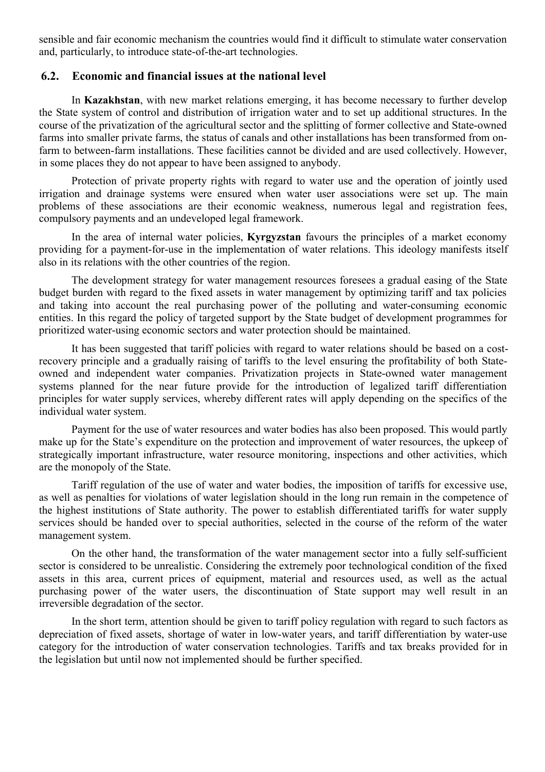sensible and fair economic mechanism the countries would find it difficult to stimulate water conservation and, particularly, to introduce state-of-the-art technologies.

### **6.2. Economic and financial issues at the national level**

In **Kazakhstan**, with new market relations emerging, it has become necessary to further develop the State system of control and distribution of irrigation water and to set up additional structures. In the course of the privatization of the agricultural sector and the splitting of former collective and State-owned farms into smaller private farms, the status of canals and other installations has been transformed from onfarm to between-farm installations. These facilities cannot be divided and are used collectively. However, in some places they do not appear to have been assigned to anybody.

Protection of private property rights with regard to water use and the operation of jointly used irrigation and drainage systems were ensured when water user associations were set up. The main problems of these associations are their economic weakness, numerous legal and registration fees, compulsory payments and an undeveloped legal framework.

In the area of internal water policies, **Kyrgyzstan** favours the principles of a market economy providing for a payment-for-use in the implementation of water relations. This ideology manifests itself also in its relations with the other countries of the region.

The development strategy for water management resources foresees a gradual easing of the State budget burden with regard to the fixed assets in water management by optimizing tariff and tax policies and taking into account the real purchasing power of the polluting and water-consuming economic entities. In this regard the policy of targeted support by the State budget of development programmes for prioritized water-using economic sectors and water protection should be maintained.

It has been suggested that tariff policies with regard to water relations should be based on a costrecovery principle and a gradually raising of tariffs to the level ensuring the profitability of both Stateowned and independent water companies. Privatization projects in State-owned water management systems planned for the near future provide for the introduction of legalized tariff differentiation principles for water supply services, whereby different rates will apply depending on the specifics of the individual water system.

Payment for the use of water resources and water bodies has also been proposed. This would partly make up for the State's expenditure on the protection and improvement of water resources, the upkeep of strategically important infrastructure, water resource monitoring, inspections and other activities, which are the monopoly of the State.

Tariff regulation of the use of water and water bodies, the imposition of tariffs for excessive use, as well as penalties for violations of water legislation should in the long run remain in the competence of the highest institutions of State authority. The power to establish differentiated tariffs for water supply services should be handed over to special authorities, selected in the course of the reform of the water management system.

On the other hand, the transformation of the water management sector into a fully self-sufficient sector is considered to be unrealistic. Considering the extremely poor technological condition of the fixed assets in this area, current prices of equipment, material and resources used, as well as the actual purchasing power of the water users, the discontinuation of State support may well result in an irreversible degradation of the sector.

In the short term, attention should be given to tariff policy regulation with regard to such factors as depreciation of fixed assets, shortage of water in low-water years, and tariff differentiation by water-use category for the introduction of water conservation technologies. Tariffs and tax breaks provided for in the legislation but until now not implemented should be further specified.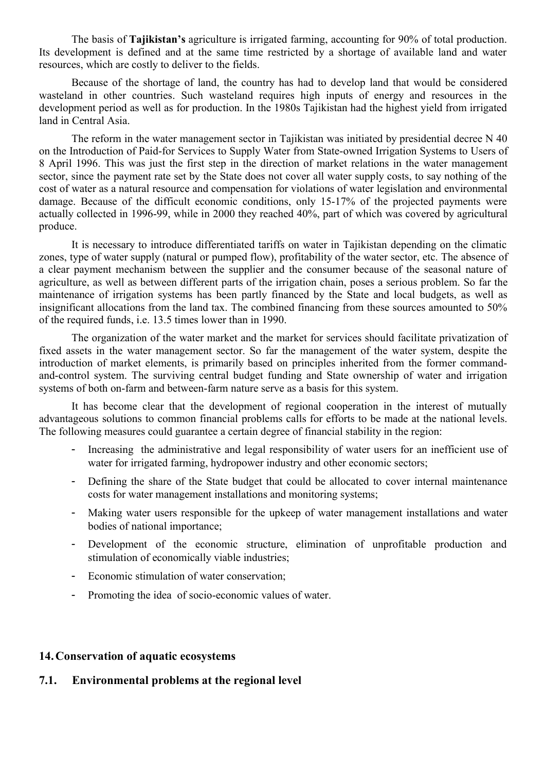The basis of **Tajikistan's** agriculture is irrigated farming, accounting for 90% of total production. Its development is defined and at the same time restricted by a shortage of available land and water resources, which are costly to deliver to the fields.

Because of the shortage of land, the country has had to develop land that would be considered wasteland in other countries. Such wasteland requires high inputs of energy and resources in the development period as well as for production. In the 1980s Tajikistan had the highest yield from irrigated land in Central Asia.

The reform in the water management sector in Tajikistan was initiated by presidential decree N 40 on the Introduction of Paid-for Services to Supply Water from State-owned Irrigation Systems to Users of 8 April 1996. This was just the first step in the direction of market relations in the water management sector, since the payment rate set by the State does not cover all water supply costs, to say nothing of the cost of water as a natural resource and compensation for violations of water legislation and environmental damage. Because of the difficult economic conditions, only 15-17% of the projected payments were actually collected in 1996-99, while in 2000 they reached 40%, part of which was covered by agricultural produce.

It is necessary to introduce differentiated tariffs on water in Tajikistan depending on the climatic zones, type of water supply (natural or pumped flow), profitability of the water sector, etc. The absence of a clear payment mechanism between the supplier and the consumer because of the seasonal nature of agriculture, as well as between different parts of the irrigation chain, poses a serious problem. So far the maintenance of irrigation systems has been partly financed by the State and local budgets, as well as insignificant allocations from the land tax. The combined financing from these sources amounted to 50% of the required funds, i.e. 13.5 times lower than in 1990.

The organization of the water market and the market for services should facilitate privatization of fixed assets in the water management sector. So far the management of the water system, despite the introduction of market elements, is primarily based on principles inherited from the former commandand-control system. The surviving central budget funding and State ownership of water and irrigation systems of both on-farm and between-farm nature serve as a basis for this system.

It has become clear that the development of regional cooperation in the interest of mutually advantageous solutions to common financial problems calls for efforts to be made at the national levels. The following measures could guarantee a certain degree of financial stability in the region:

- Increasing the administrative and legal responsibility of water users for an inefficient use of water for irrigated farming, hydropower industry and other economic sectors;
- Defining the share of the State budget that could be allocated to cover internal maintenance costs for water management installations and monitoring systems;
- Making water users responsible for the upkeep of water management installations and water bodies of national importance;
- Development of the economic structure, elimination of unprofitable production and stimulation of economically viable industries;
- Economic stimulation of water conservation;
- Promoting the idea of socio-economic values of water.

### **14.Conservation of aquatic ecosystems**

# **7.1. Environmental problems at the regional level**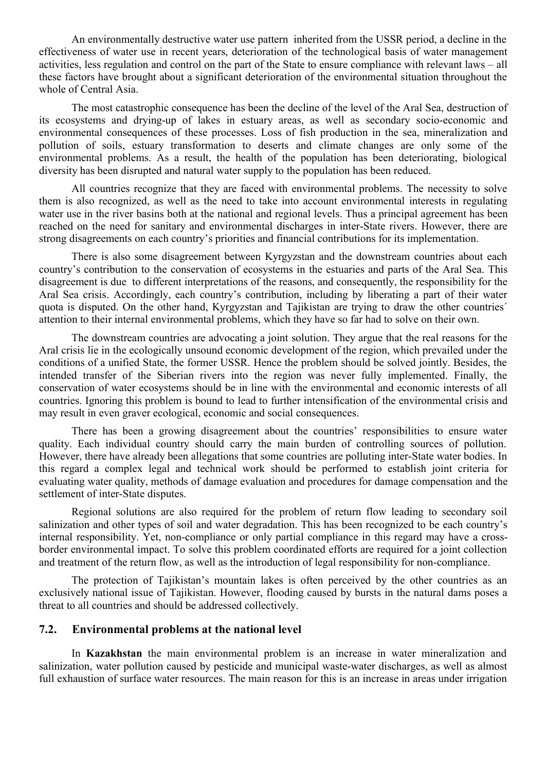An environmentally destructive water use pattern inherited from the USSR period, a decline in the effectiveness of water use in recent years, deterioration of the technological basis of water management activities, less regulation and control on the part of the State to ensure compliance with relevant laws – all these factors have brought about a significant deterioration of the environmental situation throughout the whole of Central Asia.

The most catastrophic consequence has been the decline of the level of the Aral Sea, destruction of its ecosystems and drying-up of lakes in estuary areas, as well as secondary socio-economic and environmental consequences of these processes. Loss of fish production in the sea, mineralization and pollution of soils, estuary transformation to deserts and climate changes are only some of the environmental problems. As a result, the health of the population has been deteriorating, biological diversity has been disrupted and natural water supply to the population has been reduced.

All countries recognize that they are faced with environmental problems. The necessity to solve them is also recognized, as well as the need to take into account environmental interests in regulating water use in the river basins both at the national and regional levels. Thus a principal agreement has been reached on the need for sanitary and environmental discharges in inter-State rivers. However, there are strong disagreements on each country's priorities and financial contributions for its implementation.

There is also some disagreement between Kyrgyzstan and the downstream countries about each country's contribution to the conservation of ecosystems in the estuaries and parts of the Aral Sea. This disagreement is due to different interpretations of the reasons, and consequently, the responsibility for the Aral Sea crisis. Accordingly, each country's contribution, including by liberating a part of their water quota is disputed. On the other hand, Kyrgyzstan and Tajikistan are trying to draw the other countries´ attention to their internal environmental problems, which they have so far had to solve on their own.

The downstream countries are advocating a joint solution. They argue that the real reasons for the Aral crisis lie in the ecologically unsound economic development of the region, which prevailed under the conditions of a unified State, the former USSR. Hence the problem should be solved jointly. Besides, the intended transfer of the Siberian rivers into the region was never fully implemented. Finally, the conservation of water ecosystems should be in line with the environmental and economic interests of all countries. Ignoring this problem is bound to lead to further intensification of the environmental crisis and may result in even graver ecological, economic and social consequences.

There has been a growing disagreement about the countries' responsibilities to ensure water quality. Each individual country should carry the main burden of controlling sources of pollution. However, there have already been allegations that some countries are polluting inter-State water bodies. In this regard a complex legal and technical work should be performed to establish joint criteria for evaluating water quality, methods of damage evaluation and procedures for damage compensation and the settlement of inter-State disputes.

Regional solutions are also required for the problem of return flow leading to secondary soil salinization and other types of soil and water degradation. This has been recognized to be each country's internal responsibility. Yet, non-compliance or only partial compliance in this regard may have a crossborder environmental impact. To solve this problem coordinated efforts are required for a joint collection and treatment of the return flow, as well as the introduction of legal responsibility for non-compliance.

The protection of Tajikistan's mountain lakes is often perceived by the other countries as an exclusively national issue of Tajikistan. However, flooding caused by bursts in the natural dams poses a threat to all countries and should be addressed collectively.

### **7.2. Environmental problems at the national level**

In **Kazakhstan** the main environmental problem is an increase in water mineralization and salinization, water pollution caused by pesticide and municipal waste-water discharges, as well as almost full exhaustion of surface water resources. The main reason for this is an increase in areas under irrigation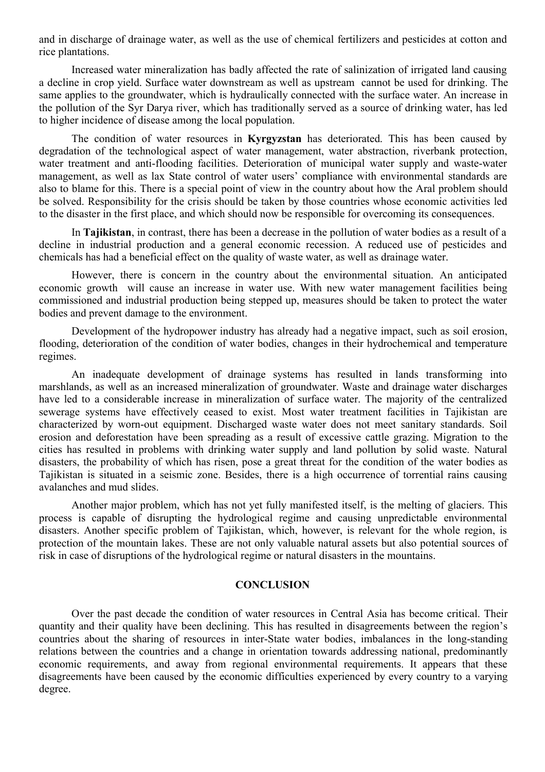and in discharge of drainage water, as well as the use of chemical fertilizers and pesticides at cotton and rice plantations.

Increased water mineralization has badly affected the rate of salinization of irrigated land causing a decline in crop yield. Surface water downstream as well as upstream cannot be used for drinking. The same applies to the groundwater, which is hydraulically connected with the surface water. An increase in the pollution of the Syr Darya river, which has traditionally served as a source of drinking water, has led to higher incidence of disease among the local population.

The condition of water resources in **Kyrgyzstan** has deteriorated. This has been caused by degradation of the technological aspect of water management, water abstraction, riverbank protection, water treatment and anti-flooding facilities. Deterioration of municipal water supply and waste-water management, as well as lax State control of water users' compliance with environmental standards are also to blame for this. There is a special point of view in the country about how the Aral problem should be solved. Responsibility for the crisis should be taken by those countries whose economic activities led to the disaster in the first place, and which should now be responsible for overcoming its consequences.

In **Tajikistan**, in contrast, there has been a decrease in the pollution of water bodies as a result of a decline in industrial production and a general economic recession. A reduced use of pesticides and chemicals has had a beneficial effect on the quality of waste water, as well as drainage water.

However, there is concern in the country about the environmental situation. An anticipated economic growth will cause an increase in water use. With new water management facilities being commissioned and industrial production being stepped up, measures should be taken to protect the water bodies and prevent damage to the environment.

Development of the hydropower industry has already had a negative impact, such as soil erosion, flooding, deterioration of the condition of water bodies, changes in their hydrochemical and temperature regimes.

An inadequate development of drainage systems has resulted in lands transforming into marshlands, as well as an increased mineralization of groundwater. Waste and drainage water discharges have led to a considerable increase in mineralization of surface water. The majority of the centralized sewerage systems have effectively ceased to exist. Most water treatment facilities in Tajikistan are characterized by worn-out equipment. Discharged waste water does not meet sanitary standards. Soil erosion and deforestation have been spreading as a result of excessive cattle grazing. Migration to the cities has resulted in problems with drinking water supply and land pollution by solid waste. Natural disasters, the probability of which has risen, pose a great threat for the condition of the water bodies as Tajikistan is situated in a seismic zone. Besides, there is a high occurrence of torrential rains causing avalanches and mud slides.

Another major problem, which has not yet fully manifested itself, is the melting of glaciers. This process is capable of disrupting the hydrological regime and causing unpredictable environmental disasters. Another specific problem of Tajikistan, which, however, is relevant for the whole region, is protection of the mountain lakes. These are not only valuable natural assets but also potential sources of risk in case of disruptions of the hydrological regime or natural disasters in the mountains.

#### **CONCLUSION**

Over the past decade the condition of water resources in Central Asia has become critical. Their quantity and their quality have been declining. This has resulted in disagreements between the region's countries about the sharing of resources in inter-State water bodies, imbalances in the long-standing relations between the countries and a change in orientation towards addressing national, predominantly economic requirements, and away from regional environmental requirements. It appears that these disagreements have been caused by the economic difficulties experienced by every country to a varying degree.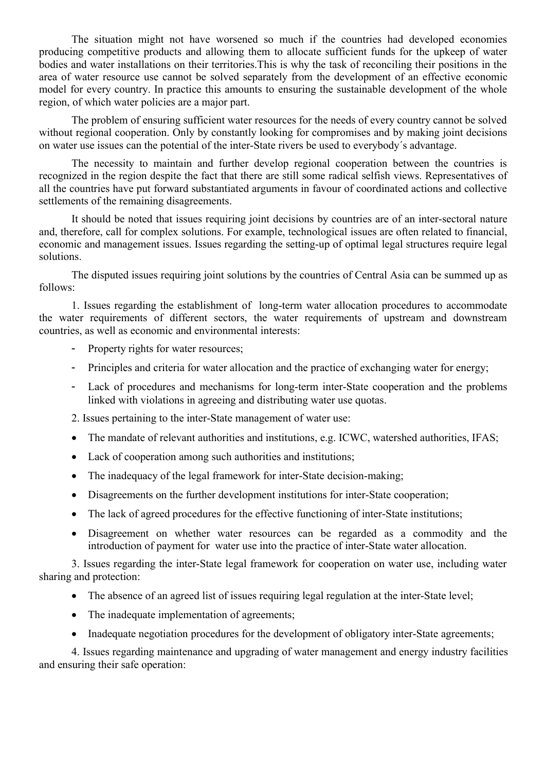The situation might not have worsened so much if the countries had developed economies producing competitive products and allowing them to allocate sufficient funds for the upkeep of water bodies and water installations on their territories.This is why the task of reconciling their positions in the area of water resource use cannot be solved separately from the development of an effective economic model for every country. In practice this amounts to ensuring the sustainable development of the whole region, of which water policies are a major part.

The problem of ensuring sufficient water resources for the needs of every country cannot be solved without regional cooperation. Only by constantly looking for compromises and by making joint decisions on water use issues can the potential of the inter-State rivers be used to everybody´s advantage.

The necessity to maintain and further develop regional cooperation between the countries is recognized in the region despite the fact that there are still some radical selfish views. Representatives of all the countries have put forward substantiated arguments in favour of coordinated actions and collective settlements of the remaining disagreements.

It should be noted that issues requiring joint decisions by countries are of an inter-sectoral nature and, therefore, call for complex solutions. For example, technological issues are often related to financial, economic and management issues. Issues regarding the setting-up of optimal legal structures require legal solutions.

The disputed issues requiring joint solutions by the countries of Central Asia can be summed up as follows:

1. Issues regarding the establishment of long-term water allocation procedures to accommodate the water requirements of different sectors, the water requirements of upstream and downstream countries, as well as economic and environmental interests:

- Property rights for water resources;
- Principles and criteria for water allocation and the practice of exchanging water for energy;
- Lack of procedures and mechanisms for long-term inter-State cooperation and the problems linked with violations in agreeing and distributing water use quotas.
- 2. Issues pertaining to the inter-State management of water use:
- The mandate of relevant authorities and institutions, e.g. ICWC, watershed authorities, IFAS;
- Lack of cooperation among such authorities and institutions;
- The inadequacy of the legal framework for inter-State decision-making;
- Disagreements on the further development institutions for inter-State cooperation;
- The lack of agreed procedures for the effective functioning of inter-State institutions;
- Disagreement on whether water resources can be regarded as a commodity and the introduction of payment for water use into the practice of inter-State water allocation.

3. Issues regarding the inter-State legal framework for cooperation on water use, including water sharing and protection:

- The absence of an agreed list of issues requiring legal regulation at the inter-State level;
- The inadequate implementation of agreements;
- Inadequate negotiation procedures for the development of obligatory inter-State agreements;

4. Issues regarding maintenance and upgrading of water management and energy industry facilities and ensuring their safe operation: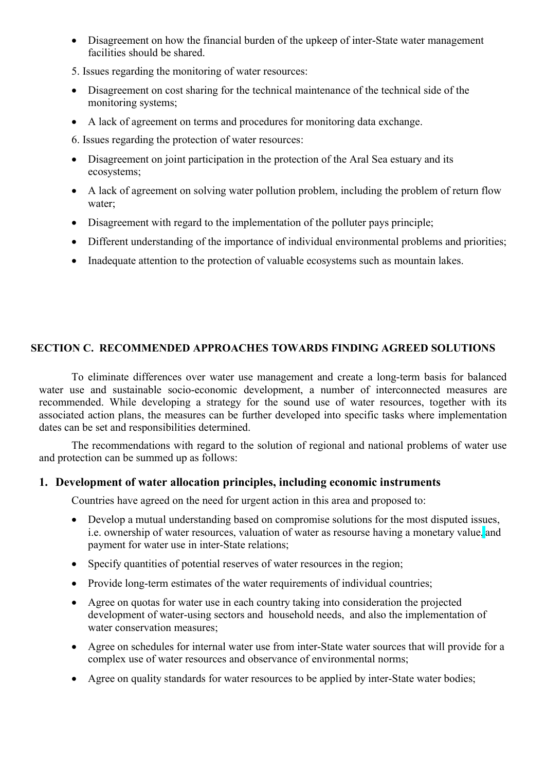- Disagreement on how the financial burden of the upkeep of inter-State water management facilities should be shared.
- 5. Issues regarding the monitoring of water resources:
- Disagreement on cost sharing for the technical maintenance of the technical side of the monitoring systems;
- A lack of agreement on terms and procedures for monitoring data exchange.
- 6. Issues regarding the protection of water resources:
- Disagreement on joint participation in the protection of the Aral Sea estuary and its ecosystems;
- A lack of agreement on solving water pollution problem, including the problem of return flow water;
- Disagreement with regard to the implementation of the polluter pays principle;
- Different understanding of the importance of individual environmental problems and priorities;
- Inadequate attention to the protection of valuable ecosystems such as mountain lakes.

# **SECTION C. RECOMMENDED APPROACHES TOWARDS FINDING AGREED SOLUTIONS**

To eliminate differences over water use management and create a long-term basis for balanced water use and sustainable socio-economic development, a number of interconnected measures are recommended. While developing a strategy for the sound use of water resources, together with its associated action plans, the measures can be further developed into specific tasks where implementation dates can be set and responsibilities determined.

The recommendations with regard to the solution of regional and national problems of water use and protection can be summed up as follows:

# **1. Development of water allocation principles, including economic instruments**

Countries have agreed on the need for urgent action in this area and proposed to:

- Develop a mutual understanding based on compromise solutions for the most disputed issues, i.e. ownership of water resources, valuation of water as resourse having a monetary value, and payment for water use in inter-State relations;
- Specify quantities of potential reserves of water resources in the region;
- Provide long-term estimates of the water requirements of individual countries;
- Agree on quotas for water use in each country taking into consideration the projected development of water-using sectors and household needs, and also the implementation of water conservation measures;
- Agree on schedules for internal water use from inter-State water sources that will provide for a complex use of water resources and observance of environmental norms;
- Agree on quality standards for water resources to be applied by inter-State water bodies;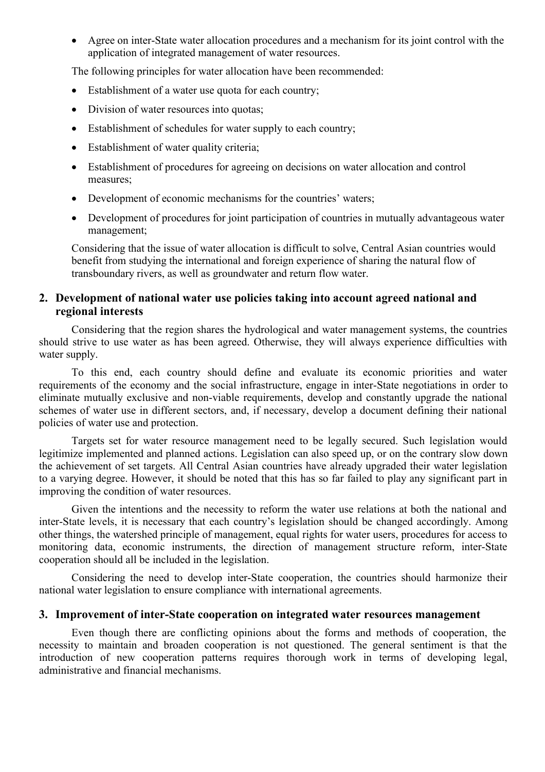Agree on inter-State water allocation procedures and a mechanism for its joint control with the application of integrated management of water resources.

The following principles for water allocation have been recommended:

- Establishment of a water use quota for each country;
- Division of water resources into quotas:
- Establishment of schedules for water supply to each country;
- Establishment of water quality criteria;
- Establishment of procedures for agreeing on decisions on water allocation and control measures;
- Development of economic mechanisms for the countries' waters;
- Development of procedures for joint participation of countries in mutually advantageous water management;

Considering that the issue of water allocation is difficult to solve, Central Asian countries would benefit from studying the international and foreign experience of sharing the natural flow of transboundary rivers, as well as groundwater and return flow water.

# **2. Development of national water use policies taking into account agreed national and regional interests**

Considering that the region shares the hydrological and water management systems, the countries should strive to use water as has been agreed. Otherwise, they will always experience difficulties with water supply.

To this end, each country should define and evaluate its economic priorities and water requirements of the economy and the social infrastructure, engage in inter-State negotiations in order to eliminate mutually exclusive and non-viable requirements, develop and constantly upgrade the national schemes of water use in different sectors, and, if necessary, develop a document defining their national policies of water use and protection.

Targets set for water resource management need to be legally secured. Such legislation would legitimize implemented and planned actions. Legislation can also speed up, or on the contrary slow down the achievement of set targets. All Central Asian countries have already upgraded their water legislation to a varying degree. However, it should be noted that this has so far failed to play any significant part in improving the condition of water resources.

Given the intentions and the necessity to reform the water use relations at both the national and inter-State levels, it is necessary that each country's legislation should be changed accordingly. Among other things, the watershed principle of management, equal rights for water users, procedures for access to monitoring data, economic instruments, the direction of management structure reform, inter-State cooperation should all be included in the legislation.

Considering the need to develop inter-State cooperation, the countries should harmonize their national water legislation to ensure compliance with international agreements.

### **3. Improvement of inter-State cooperation on integrated water resources management**

Even though there are conflicting opinions about the forms and methods of cooperation, the necessity to maintain and broaden cooperation is not questioned. The general sentiment is that the introduction of new cooperation patterns requires thorough work in terms of developing legal, administrative and financial mechanisms.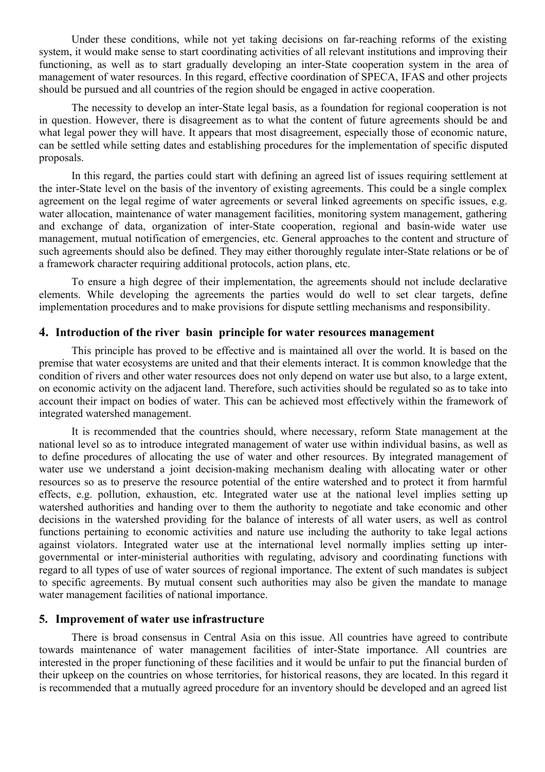Under these conditions, while not yet taking decisions on far-reaching reforms of the existing system, it would make sense to start coordinating activities of all relevant institutions and improving their functioning, as well as to start gradually developing an inter-State cooperation system in the area of management of water resources. In this regard, effective coordination of SPECA, IFAS and other projects should be pursued and all countries of the region should be engaged in active cooperation.

The necessity to develop an inter-State legal basis, as a foundation for regional cooperation is not in question. However, there is disagreement as to what the content of future agreements should be and what legal power they will have. It appears that most disagreement, especially those of economic nature, can be settled while setting dates and establishing procedures for the implementation of specific disputed proposals.

In this regard, the parties could start with defining an agreed list of issues requiring settlement at the inter-State level on the basis of the inventory of existing agreements. This could be a single complex agreement on the legal regime of water agreements or several linked agreements on specific issues, e.g. water allocation, maintenance of water management facilities, monitoring system management, gathering and exchange of data, organization of inter-State cooperation, regional and basin-wide water use management, mutual notification of emergencies, etc. General approaches to the content and structure of such agreements should also be defined. They may either thoroughly regulate inter-State relations or be of a framework character requiring additional protocols, action plans, etc.

To ensure a high degree of their implementation, the agreements should not include declarative elements. While developing the agreements the parties would do well to set clear targets, define implementation procedures and to make provisions for dispute settling mechanisms and responsibility.

### **4. Introduction of the river basin principle for water resources management**

This principle has proved to be effective and is maintained all over the world. It is based on the premise that water ecosystems are united and that their elements interact. It is common knowledge that the condition of rivers and other water resources does not only depend on water use but also, to a large extent, on economic activity on the adjacent land. Therefore, such activities should be regulated so as to take into account their impact on bodies of water. This can be achieved most effectively within the framework of integrated watershed management.

It is recommended that the countries should, where necessary, reform State management at the national level so as to introduce integrated management of water use within individual basins, as well as to define procedures of allocating the use of water and other resources. By integrated management of water use we understand a joint decision-making mechanism dealing with allocating water or other resources so as to preserve the resource potential of the entire watershed and to protect it from harmful effects, e.g. pollution, exhaustion, etc. Integrated water use at the national level implies setting up watershed authorities and handing over to them the authority to negotiate and take economic and other decisions in the watershed providing for the balance of interests of all water users, as well as control functions pertaining to economic activities and nature use including the authority to take legal actions against violators. Integrated water use at the international level normally implies setting up intergovernmental or inter-ministerial authorities with regulating, advisory and coordinating functions with regard to all types of use of water sources of regional importance. The extent of such mandates is subject to specific agreements. By mutual consent such authorities may also be given the mandate to manage water management facilities of national importance.

### **5. Improvement of water use infrastructure**

There is broad consensus in Central Asia on this issue. All countries have agreed to contribute towards maintenance of water management facilities of inter-State importance. All countries are interested in the proper functioning of these facilities and it would be unfair to put the financial burden of their upkeep on the countries on whose territories, for historical reasons, they are located. In this regard it is recommended that a mutually agreed procedure for an inventory should be developed and an agreed list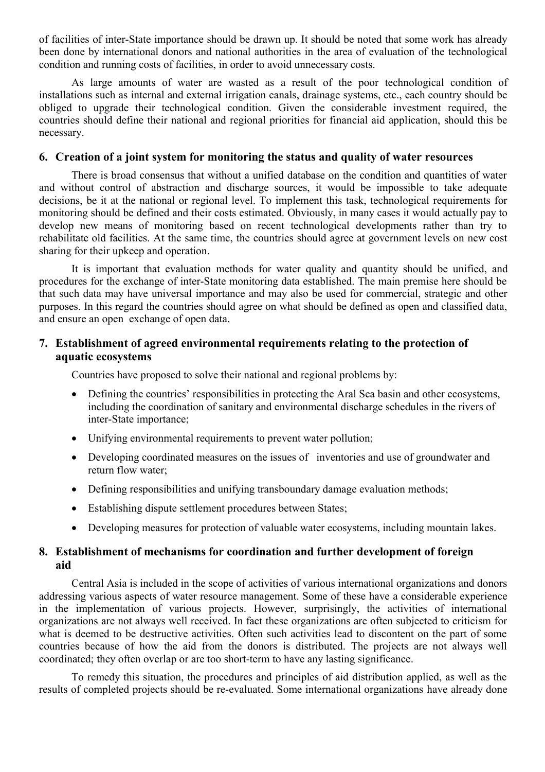of facilities of inter-State importance should be drawn up. It should be noted that some work has already been done by international donors and national authorities in the area of evaluation of the technological condition and running costs of facilities, in order to avoid unnecessary costs.

As large amounts of water are wasted as a result of the poor technological condition of installations such as internal and external irrigation canals, drainage systems, etc., each country should be obliged to upgrade their technological condition. Given the considerable investment required, the countries should define their national and regional priorities for financial aid application, should this be necessary.

### **6. Creation of a joint system for monitoring the status and quality of water resources**

There is broad consensus that without a unified database on the condition and quantities of water and without control of abstraction and discharge sources, it would be impossible to take adequate decisions, be it at the national or regional level. To implement this task, technological requirements for monitoring should be defined and their costs estimated. Obviously, in many cases it would actually pay to develop new means of monitoring based on recent technological developments rather than try to rehabilitate old facilities. At the same time, the countries should agree at government levels on new cost sharing for their upkeep and operation.

It is important that evaluation methods for water quality and quantity should be unified, and procedures for the exchange of inter-State monitoring data established. The main premise here should be that such data may have universal importance and may also be used for commercial, strategic and other purposes. In this regard the countries should agree on what should be defined as open and classified data, and ensure an open exchange of open data.

# **7. Establishment of agreed environmental requirements relating to the protection of aquatic ecosystems**

Countries have proposed to solve their national and regional problems by:

- Defining the countries' responsibilities in protecting the Aral Sea basin and other ecosystems, including the coordination of sanitary and environmental discharge schedules in the rivers of inter-State importance;
- Unifying environmental requirements to prevent water pollution;
- Developing coordinated measures on the issues of inventories and use of groundwater and return flow water;
- Defining responsibilities and unifying transboundary damage evaluation methods;
- Establishing dispute settlement procedures between States;
- Developing measures for protection of valuable water ecosystems, including mountain lakes.

## **8. Establishment of mechanisms for coordination and further development of foreign aid**

Central Asia is included in the scope of activities of various international organizations and donors addressing various aspects of water resource management. Some of these have a considerable experience in the implementation of various projects. However, surprisingly, the activities of international organizations are not always well received. In fact these organizations are often subjected to criticism for what is deemed to be destructive activities. Often such activities lead to discontent on the part of some countries because of how the aid from the donors is distributed. The projects are not always well coordinated; they often overlap or are too short-term to have any lasting significance.

To remedy this situation, the procedures and principles of aid distribution applied, as well as the results of completed projects should be re-evaluated. Some international organizations have already done